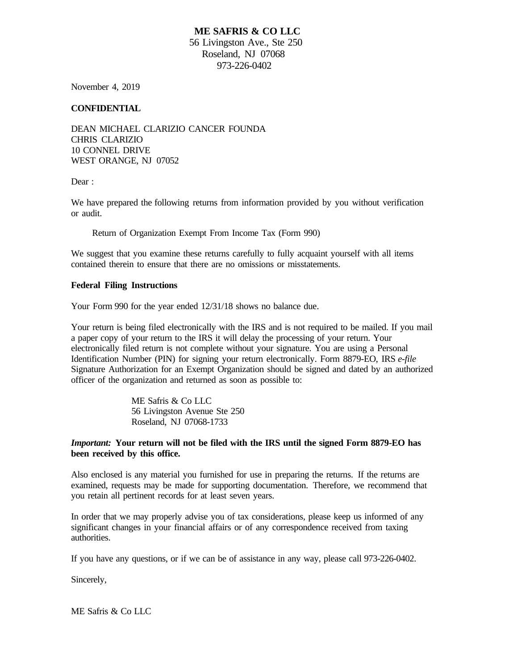# **ME SAFRIS & CO LLC**

 56 Livingston Ave., Ste 250 Roseland, NJ 07068 973-226-0402

November 4, 2019

### **CONFIDENTIAL**

DEAN MICHAEL CLARIZIO CANCER FOUNDA CHRIS CLARIZIO 10 CONNEL DRIVE WEST ORANGE, NJ 07052

Dear:

We have prepared the following returns from information provided by you without verification or audit.

Return of Organization Exempt From Income Tax (Form 990)

We suggest that you examine these returns carefully to fully acquaint yourself with all items contained therein to ensure that there are no omissions or misstatements.

### **Federal Filing Instructions**

Your Form 990 for the year ended 12/31/18 shows no balance due.

Your return is being filed electronically with the IRS and is not required to be mailed. If you mail a paper copy of your return to the IRS it will delay the processing of your return. Your electronically filed return is not complete without your signature. You are using a Personal Identification Number (PIN) for signing your return electronically. Form 8879-EO, IRS *e-file* Signature Authorization for an Exempt Organization should be signed and dated by an authorized officer of the organization and returned as soon as possible to:

> ME Safris & Co LLC 56 Livingston Avenue Ste 250 Roseland, NJ 07068-1733

### *Important:* **Your return will not be filed with the IRS until the signed Form 8879-EO has been received by this office.**

Also enclosed is any material you furnished for use in preparing the returns. If the returns are examined, requests may be made for supporting documentation. Therefore, we recommend that you retain all pertinent records for at least seven years.

In order that we may properly advise you of tax considerations, please keep us informed of any significant changes in your financial affairs or of any correspondence received from taxing authorities.

If you have any questions, or if we can be of assistance in any way, please call 973-226-0402.

Sincerely,

ME Safris & Co LLC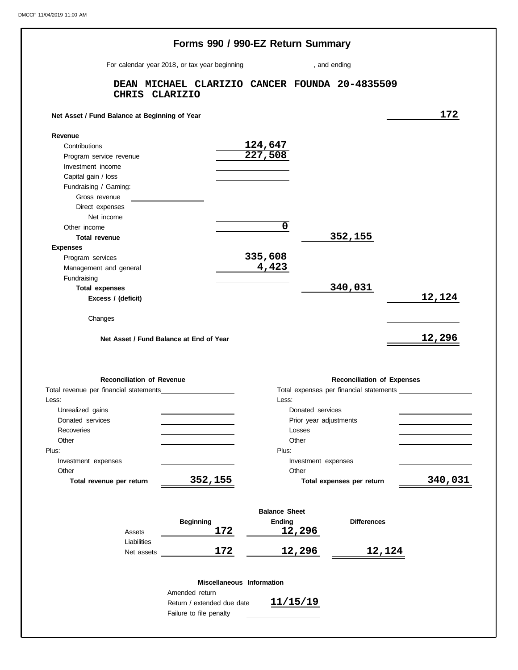|                                                 |                                         | For calendar year 2018, or tax year beginning |                      |                        | , and ending                                   |         |
|-------------------------------------------------|-----------------------------------------|-----------------------------------------------|----------------------|------------------------|------------------------------------------------|---------|
|                                                 | CHRIS CLARIZIO                          |                                               |                      |                        | DEAN MICHAEL CLARIZIO CANCER FOUNDA 20-4835509 |         |
| Net Asset / Fund Balance at Beginning of Year   |                                         |                                               |                      |                        |                                                | 172     |
| Revenue                                         |                                         |                                               |                      |                        |                                                |         |
| Contributions                                   |                                         |                                               | 124,647              |                        |                                                |         |
| Program service revenue                         |                                         |                                               | 227,508              |                        |                                                |         |
| Investment income                               |                                         |                                               |                      |                        |                                                |         |
| Capital gain / loss                             |                                         |                                               |                      |                        |                                                |         |
| Fundraising / Gaming:                           |                                         |                                               |                      |                        |                                                |         |
| Gross revenue                                   |                                         |                                               |                      |                        |                                                |         |
| Direct expenses<br>Net income                   |                                         |                                               |                      |                        |                                                |         |
| Other income                                    |                                         |                                               | $\pmb{0}$            |                        |                                                |         |
| <b>Total revenue</b>                            |                                         |                                               |                      |                        | 352,155                                        |         |
| <b>Expenses</b>                                 |                                         |                                               |                      |                        |                                                |         |
| Program services                                |                                         |                                               | 335,608              |                        |                                                |         |
| Management and general                          |                                         |                                               | $\overline{4,423}$   |                        |                                                |         |
| Fundraising                                     |                                         |                                               |                      |                        |                                                |         |
| <b>Total expenses</b>                           |                                         |                                               |                      |                        | 340,031                                        |         |
| Excess / (deficit)                              |                                         |                                               |                      |                        |                                                | 12,124  |
| Changes                                         | Net Asset / Fund Balance at End of Year |                                               |                      |                        |                                                | 12,296  |
|                                                 |                                         |                                               |                      |                        |                                                |         |
| <b>Reconciliation of Revenue</b>                |                                         |                                               |                      |                        | <b>Reconciliation of Expenses</b>              |         |
| Total revenue per financial statements<br>Less: |                                         |                                               | Less:                |                        | Total expenses per financial statements        |         |
| Unrealized gains                                |                                         |                                               |                      | Donated services       |                                                |         |
| Donated services                                |                                         |                                               |                      | Prior year adjustments |                                                |         |
| Recoveries                                      |                                         |                                               |                      | Losses                 |                                                |         |
| Other                                           |                                         |                                               |                      | Other                  |                                                |         |
|                                                 |                                         |                                               | Plus:                |                        |                                                |         |
| Plus:<br>Investment expenses                    |                                         |                                               |                      | Investment expenses    |                                                |         |
| Other                                           |                                         |                                               |                      | Other                  |                                                |         |
| Total revenue per return                        |                                         | 352,155                                       |                      |                        | Total expenses per return                      |         |
|                                                 |                                         |                                               | <b>Balance Sheet</b> |                        |                                                |         |
|                                                 |                                         | <b>Beginning</b>                              | Ending               |                        | <b>Differences</b>                             |         |
| Assets                                          |                                         | 172                                           |                      | 12,296                 |                                                |         |
| Liabilities                                     |                                         |                                               |                      |                        |                                                | 340,031 |
| Net assets                                      |                                         | $\overline{172}$                              |                      | 12,296                 | <u>12,124</u>                                  |         |
|                                                 |                                         |                                               |                      |                        |                                                |         |
|                                                 |                                         | Miscellaneous Information<br>Amended return   |                      |                        |                                                |         |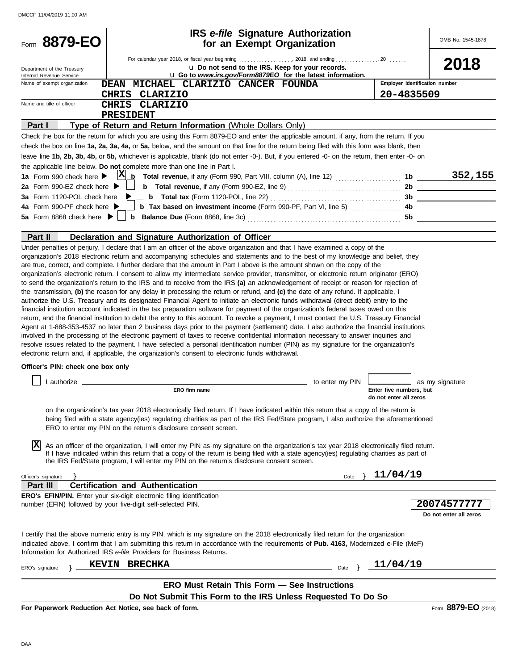| Form 8879-EO                                           | <b>IRS</b> e-file Signature Authorization<br>for an Exempt Organization                                                                                                                                                                                                                                                                                                                                                                                                                                                                                                                                                                                                                                                                                                                                                                                                                                                                                                                                                                                                                                                                                                                                                                                                                                                                                                                 |                 |                                                   | OMB No. 1545-1878                     |
|--------------------------------------------------------|-----------------------------------------------------------------------------------------------------------------------------------------------------------------------------------------------------------------------------------------------------------------------------------------------------------------------------------------------------------------------------------------------------------------------------------------------------------------------------------------------------------------------------------------------------------------------------------------------------------------------------------------------------------------------------------------------------------------------------------------------------------------------------------------------------------------------------------------------------------------------------------------------------------------------------------------------------------------------------------------------------------------------------------------------------------------------------------------------------------------------------------------------------------------------------------------------------------------------------------------------------------------------------------------------------------------------------------------------------------------------------------------|-----------------|---------------------------------------------------|---------------------------------------|
| Department of the Treasury<br>Internal Revenue Service | For calendar year 2018, or fiscal year beginning 2018, and ending 20<br>u Do not send to the IRS. Keep for your records.<br>u Go to www.irs.gov/Form8879EO for the latest information.                                                                                                                                                                                                                                                                                                                                                                                                                                                                                                                                                                                                                                                                                                                                                                                                                                                                                                                                                                                                                                                                                                                                                                                                  |                 |                                                   | 2018                                  |
| Name of exempt organization                            | DEAN MICHAEL CLARIZIO CANCER FOUNDA                                                                                                                                                                                                                                                                                                                                                                                                                                                                                                                                                                                                                                                                                                                                                                                                                                                                                                                                                                                                                                                                                                                                                                                                                                                                                                                                                     |                 | Employer identification number                    |                                       |
| Name and title of officer                              | <b>CLARIZIO</b><br><b>CHRIS</b><br>CHRIS CLARIZIO                                                                                                                                                                                                                                                                                                                                                                                                                                                                                                                                                                                                                                                                                                                                                                                                                                                                                                                                                                                                                                                                                                                                                                                                                                                                                                                                       |                 | 20-4835509                                        |                                       |
|                                                        | PRESIDENT                                                                                                                                                                                                                                                                                                                                                                                                                                                                                                                                                                                                                                                                                                                                                                                                                                                                                                                                                                                                                                                                                                                                                                                                                                                                                                                                                                               |                 |                                                   |                                       |
| Part I                                                 | Type of Return and Return Information (Whole Dollars Only)                                                                                                                                                                                                                                                                                                                                                                                                                                                                                                                                                                                                                                                                                                                                                                                                                                                                                                                                                                                                                                                                                                                                                                                                                                                                                                                              |                 |                                                   |                                       |
|                                                        | Check the box for the return for which you are using this Form 8879-EO and enter the applicable amount, if any, from the return. If you<br>check the box on line 1a, 2a, 3a, 4a, or 5a, below, and the amount on that line for the return being filed with this form was blank, then<br>leave line 1b, 2b, 3b, 4b, or 5b, whichever is applicable, blank (do not enter -0-). But, if you entered -0- on the return, then enter -0- on<br>the applicable line below. Do not complete more than one line in Part I.                                                                                                                                                                                                                                                                                                                                                                                                                                                                                                                                                                                                                                                                                                                                                                                                                                                                       |                 |                                                   |                                       |
| 1a Form 990 check here >                               | $\mathbf{X}$<br>b. Total revenue, if any (Form 990, Part VIII, column (A), line 12) <b>contain the container the container the conta</b>                                                                                                                                                                                                                                                                                                                                                                                                                                                                                                                                                                                                                                                                                                                                                                                                                                                                                                                                                                                                                                                                                                                                                                                                                                                |                 |                                                   | 352,155                               |
| 2a Form 990-EZ check here $\blacktriangleright$        | <b>b</b> Total revenue, if any (Form 990-EZ, line 9) $\ldots$ $\ldots$ $\ldots$ $\ldots$ $\ldots$ 2b $\ldots$                                                                                                                                                                                                                                                                                                                                                                                                                                                                                                                                                                                                                                                                                                                                                                                                                                                                                                                                                                                                                                                                                                                                                                                                                                                                           |                 |                                                   |                                       |
| 3a Form 1120-POL check here                            | <b>b</b> Total tax (Form 1120-POL, line 22) $\ldots$ $\ldots$ $\ldots$ $\ldots$ $\ldots$ $\ldots$                                                                                                                                                                                                                                                                                                                                                                                                                                                                                                                                                                                                                                                                                                                                                                                                                                                                                                                                                                                                                                                                                                                                                                                                                                                                                       |                 |                                                   |                                       |
| 4a Form 990-PF check here                              | b Tax based on investment income (Form 990-PF, Part VI, line 5)  4b                                                                                                                                                                                                                                                                                                                                                                                                                                                                                                                                                                                                                                                                                                                                                                                                                                                                                                                                                                                                                                                                                                                                                                                                                                                                                                                     |                 |                                                   |                                       |
| 5a Form 8868 check here $\blacktriangleright$          | b Balance Due (Form 8868, line 3c) [11] Balance Due (Form 8868, line 3c) [11] Balance Due (Form 8868, line 3c)                                                                                                                                                                                                                                                                                                                                                                                                                                                                                                                                                                                                                                                                                                                                                                                                                                                                                                                                                                                                                                                                                                                                                                                                                                                                          |                 | 5b                                                |                                       |
| Part II                                                | Declaration and Signature Authorization of Officer                                                                                                                                                                                                                                                                                                                                                                                                                                                                                                                                                                                                                                                                                                                                                                                                                                                                                                                                                                                                                                                                                                                                                                                                                                                                                                                                      |                 |                                                   |                                       |
|                                                        | organization's electronic return. I consent to allow my intermediate service provider, transmitter, or electronic return originator (ERO)<br>to send the organization's return to the IRS and to receive from the IRS (a) an acknowledgement of receipt or reason for rejection of<br>the transmission, (b) the reason for any delay in processing the return or refund, and (c) the date of any refund. If applicable, I<br>authorize the U.S. Treasury and its designated Financial Agent to initiate an electronic funds withdrawal (direct debit) entry to the<br>financial institution account indicated in the tax preparation software for payment of the organization's federal taxes owed on this<br>return, and the financial institution to debit the entry to this account. To revoke a payment, I must contact the U.S. Treasury Financial<br>Agent at 1-888-353-4537 no later than 2 business days prior to the payment (settlement) date. I also authorize the financial institutions<br>involved in the processing of the electronic payment of taxes to receive confidential information necessary to answer inquiries and<br>resolve issues related to the payment. I have selected a personal identification number (PIN) as my signature for the organization's<br>electronic return and, if applicable, the organization's consent to electronic funds withdrawal. |                 |                                                   |                                       |
| Officer's PIN: check one box only                      |                                                                                                                                                                                                                                                                                                                                                                                                                                                                                                                                                                                                                                                                                                                                                                                                                                                                                                                                                                                                                                                                                                                                                                                                                                                                                                                                                                                         |                 |                                                   |                                       |
|                                                        |                                                                                                                                                                                                                                                                                                                                                                                                                                                                                                                                                                                                                                                                                                                                                                                                                                                                                                                                                                                                                                                                                                                                                                                                                                                                                                                                                                                         |                 |                                                   |                                       |
|                                                        | <b>ERO</b> firm name                                                                                                                                                                                                                                                                                                                                                                                                                                                                                                                                                                                                                                                                                                                                                                                                                                                                                                                                                                                                                                                                                                                                                                                                                                                                                                                                                                    | to enter my PIN | Enter five numbers, but<br>do not enter all zeros | as my signature                       |
| X                                                      | on the organization's tax year 2018 electronically filed return. If I have indicated within this return that a copy of the return is<br>being filed with a state agency(ies) regulating charities as part of the IRS Fed/State program, I also authorize the aforementioned<br>ERO to enter my PIN on the return's disclosure consent screen.<br>As an officer of the organization, I will enter my PIN as my signature on the organization's tax year 2018 electronically filed return.<br>If I have indicated within this return that a copy of the return is being filed with a state agency(ies) regulating charities as part of<br>the IRS Fed/State program, I will enter my PIN on the return's disclosure consent screen.                                                                                                                                                                                                                                                                                                                                                                                                                                                                                                                                                                                                                                                       |                 |                                                   |                                       |
|                                                        |                                                                                                                                                                                                                                                                                                                                                                                                                                                                                                                                                                                                                                                                                                                                                                                                                                                                                                                                                                                                                                                                                                                                                                                                                                                                                                                                                                                         |                 |                                                   |                                       |
| Officer's signature<br>Part III                        | <b>Certification and Authentication</b>                                                                                                                                                                                                                                                                                                                                                                                                                                                                                                                                                                                                                                                                                                                                                                                                                                                                                                                                                                                                                                                                                                                                                                                                                                                                                                                                                 | Date            | 11/04/19                                          |                                       |
|                                                        | ERO's EFIN/PIN. Enter your six-digit electronic filing identification<br>number (EFIN) followed by your five-digit self-selected PIN.                                                                                                                                                                                                                                                                                                                                                                                                                                                                                                                                                                                                                                                                                                                                                                                                                                                                                                                                                                                                                                                                                                                                                                                                                                                   |                 |                                                   | 20074577777<br>Do not enter all zeros |
|                                                        | I certify that the above numeric entry is my PIN, which is my signature on the 2018 electronically filed return for the organization<br>indicated above. I confirm that I am submitting this return in accordance with the requirements of Pub. 4163, Modernized e-File (MeF)<br>Information for Authorized IRS e-file Providers for Business Returns.                                                                                                                                                                                                                                                                                                                                                                                                                                                                                                                                                                                                                                                                                                                                                                                                                                                                                                                                                                                                                                  |                 |                                                   |                                       |
| <b>KEVIN</b><br>ERO's signature                        | <b>BRECHKA</b>                                                                                                                                                                                                                                                                                                                                                                                                                                                                                                                                                                                                                                                                                                                                                                                                                                                                                                                                                                                                                                                                                                                                                                                                                                                                                                                                                                          | Date }          | 11/04/19                                          |                                       |
|                                                        | <b>ERO Must Retain This Form - See Instructions</b>                                                                                                                                                                                                                                                                                                                                                                                                                                                                                                                                                                                                                                                                                                                                                                                                                                                                                                                                                                                                                                                                                                                                                                                                                                                                                                                                     |                 |                                                   |                                       |
|                                                        | Do Not Submit This Form to the IRS Unless Requested To Do So                                                                                                                                                                                                                                                                                                                                                                                                                                                                                                                                                                                                                                                                                                                                                                                                                                                                                                                                                                                                                                                                                                                                                                                                                                                                                                                            |                 |                                                   |                                       |
|                                                        | For Paperwork Reduction Act Notice, see back of form.                                                                                                                                                                                                                                                                                                                                                                                                                                                                                                                                                                                                                                                                                                                                                                                                                                                                                                                                                                                                                                                                                                                                                                                                                                                                                                                                   |                 |                                                   | Form 8879-EO (2018)                   |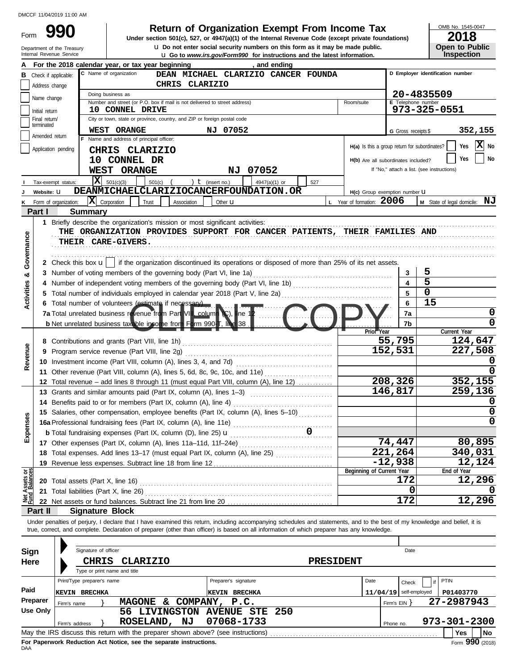Department of the Treasury<br>Internal Revenue Service Form

**u** Go to *www.irs.gov/Form990* for instructions and the latest information. **u** Do not enter social security numbers on this form as it may be made public. **990 1990 2018 Depending Solution Solution Solution Script Script Script Script Script Prom Income Tax 1947(a)(1)** of the Internal Revenue Code (except private foundations)

OMB No. 1545-0047

| 2010                  |
|-----------------------|
| <b>Open to Public</b> |
| <b>Inspection</b>     |

|                                                                                                                                                                                                                                                                                                                                                                                                                                                                                                                                                                                                                                                                                                                                                                                                                                                                                                                                                                                                                                                                                                                                                                                                                                                                                                                                                                                                                                                                                                                                                                                                                                                                                                                                                                                                                                                                                                                                                                                                                                                                                                                                                                                                                                                                                                                                                                                                                                                                                                                                                                                                                                                                                                                                                                                                                                                                                                                                                                                                                                                                                                                                                                                                                                                                                                                                                                                                                                                                                                                                                                                                                                                                                                                                                                 |                | For the 2018 calendar year, or tax year beginning<br>and ending                       |            |    |                                  |
|-----------------------------------------------------------------------------------------------------------------------------------------------------------------------------------------------------------------------------------------------------------------------------------------------------------------------------------------------------------------------------------------------------------------------------------------------------------------------------------------------------------------------------------------------------------------------------------------------------------------------------------------------------------------------------------------------------------------------------------------------------------------------------------------------------------------------------------------------------------------------------------------------------------------------------------------------------------------------------------------------------------------------------------------------------------------------------------------------------------------------------------------------------------------------------------------------------------------------------------------------------------------------------------------------------------------------------------------------------------------------------------------------------------------------------------------------------------------------------------------------------------------------------------------------------------------------------------------------------------------------------------------------------------------------------------------------------------------------------------------------------------------------------------------------------------------------------------------------------------------------------------------------------------------------------------------------------------------------------------------------------------------------------------------------------------------------------------------------------------------------------------------------------------------------------------------------------------------------------------------------------------------------------------------------------------------------------------------------------------------------------------------------------------------------------------------------------------------------------------------------------------------------------------------------------------------------------------------------------------------------------------------------------------------------------------------------------------------------------------------------------------------------------------------------------------------------------------------------------------------------------------------------------------------------------------------------------------------------------------------------------------------------------------------------------------------------------------------------------------------------------------------------------------------------------------------------------------------------------------------------------------------------------------------------------------------------------------------------------------------------------------------------------------------------------------------------------------------------------------------------------------------------------------------------------------------------------------------------------------------------------------------------------------------------------------------------------------------------------------------------------------------|----------------|---------------------------------------------------------------------------------------|------------|----|----------------------------------|
| в                                                                                                                                                                                                                                                                                                                                                                                                                                                                                                                                                                                                                                                                                                                                                                                                                                                                                                                                                                                                                                                                                                                                                                                                                                                                                                                                                                                                                                                                                                                                                                                                                                                                                                                                                                                                                                                                                                                                                                                                                                                                                                                                                                                                                                                                                                                                                                                                                                                                                                                                                                                                                                                                                                                                                                                                                                                                                                                                                                                                                                                                                                                                                                                                                                                                                                                                                                                                                                                                                                                                                                                                                                                                                                                                                               |                | C Name of organization<br>DEAN MICHAEL CLARIZIO CANCER FOUNDA<br>Check if applicable: |            |    | D Employer identification number |
|                                                                                                                                                                                                                                                                                                                                                                                                                                                                                                                                                                                                                                                                                                                                                                                                                                                                                                                                                                                                                                                                                                                                                                                                                                                                                                                                                                                                                                                                                                                                                                                                                                                                                                                                                                                                                                                                                                                                                                                                                                                                                                                                                                                                                                                                                                                                                                                                                                                                                                                                                                                                                                                                                                                                                                                                                                                                                                                                                                                                                                                                                                                                                                                                                                                                                                                                                                                                                                                                                                                                                                                                                                                                                                                                                                 | Address change | CHRIS CLARIZIO                                                                        |            |    |                                  |
|                                                                                                                                                                                                                                                                                                                                                                                                                                                                                                                                                                                                                                                                                                                                                                                                                                                                                                                                                                                                                                                                                                                                                                                                                                                                                                                                                                                                                                                                                                                                                                                                                                                                                                                                                                                                                                                                                                                                                                                                                                                                                                                                                                                                                                                                                                                                                                                                                                                                                                                                                                                                                                                                                                                                                                                                                                                                                                                                                                                                                                                                                                                                                                                                                                                                                                                                                                                                                                                                                                                                                                                                                                                                                                                                                                 |                | Doing business as                                                                     |            |    |                                  |
|                                                                                                                                                                                                                                                                                                                                                                                                                                                                                                                                                                                                                                                                                                                                                                                                                                                                                                                                                                                                                                                                                                                                                                                                                                                                                                                                                                                                                                                                                                                                                                                                                                                                                                                                                                                                                                                                                                                                                                                                                                                                                                                                                                                                                                                                                                                                                                                                                                                                                                                                                                                                                                                                                                                                                                                                                                                                                                                                                                                                                                                                                                                                                                                                                                                                                                                                                                                                                                                                                                                                                                                                                                                                                                                                                                 |                | Number and street (or P.O. box if mail is not delivered to street address)            | Room/suite |    |                                  |
|                                                                                                                                                                                                                                                                                                                                                                                                                                                                                                                                                                                                                                                                                                                                                                                                                                                                                                                                                                                                                                                                                                                                                                                                                                                                                                                                                                                                                                                                                                                                                                                                                                                                                                                                                                                                                                                                                                                                                                                                                                                                                                                                                                                                                                                                                                                                                                                                                                                                                                                                                                                                                                                                                                                                                                                                                                                                                                                                                                                                                                                                                                                                                                                                                                                                                                                                                                                                                                                                                                                                                                                                                                                                                                                                                                 |                | <b>10 CONNEL DRIVE</b>                                                                |            |    |                                  |
|                                                                                                                                                                                                                                                                                                                                                                                                                                                                                                                                                                                                                                                                                                                                                                                                                                                                                                                                                                                                                                                                                                                                                                                                                                                                                                                                                                                                                                                                                                                                                                                                                                                                                                                                                                                                                                                                                                                                                                                                                                                                                                                                                                                                                                                                                                                                                                                                                                                                                                                                                                                                                                                                                                                                                                                                                                                                                                                                                                                                                                                                                                                                                                                                                                                                                                                                                                                                                                                                                                                                                                                                                                                                                                                                                                 |                |                                                                                       |            |    |                                  |
|                                                                                                                                                                                                                                                                                                                                                                                                                                                                                                                                                                                                                                                                                                                                                                                                                                                                                                                                                                                                                                                                                                                                                                                                                                                                                                                                                                                                                                                                                                                                                                                                                                                                                                                                                                                                                                                                                                                                                                                                                                                                                                                                                                                                                                                                                                                                                                                                                                                                                                                                                                                                                                                                                                                                                                                                                                                                                                                                                                                                                                                                                                                                                                                                                                                                                                                                                                                                                                                                                                                                                                                                                                                                                                                                                                 |                | <b>WEST ORANGE</b><br>NJ 07052                                                        |            |    | 352,155                          |
|                                                                                                                                                                                                                                                                                                                                                                                                                                                                                                                                                                                                                                                                                                                                                                                                                                                                                                                                                                                                                                                                                                                                                                                                                                                                                                                                                                                                                                                                                                                                                                                                                                                                                                                                                                                                                                                                                                                                                                                                                                                                                                                                                                                                                                                                                                                                                                                                                                                                                                                                                                                                                                                                                                                                                                                                                                                                                                                                                                                                                                                                                                                                                                                                                                                                                                                                                                                                                                                                                                                                                                                                                                                                                                                                                                 |                | F Name and address of principal officer:                                              |            |    | X No                             |
|                                                                                                                                                                                                                                                                                                                                                                                                                                                                                                                                                                                                                                                                                                                                                                                                                                                                                                                                                                                                                                                                                                                                                                                                                                                                                                                                                                                                                                                                                                                                                                                                                                                                                                                                                                                                                                                                                                                                                                                                                                                                                                                                                                                                                                                                                                                                                                                                                                                                                                                                                                                                                                                                                                                                                                                                                                                                                                                                                                                                                                                                                                                                                                                                                                                                                                                                                                                                                                                                                                                                                                                                                                                                                                                                                                 |                | CHRIS CLARIZIO                                                                        |            |    |                                  |
|                                                                                                                                                                                                                                                                                                                                                                                                                                                                                                                                                                                                                                                                                                                                                                                                                                                                                                                                                                                                                                                                                                                                                                                                                                                                                                                                                                                                                                                                                                                                                                                                                                                                                                                                                                                                                                                                                                                                                                                                                                                                                                                                                                                                                                                                                                                                                                                                                                                                                                                                                                                                                                                                                                                                                                                                                                                                                                                                                                                                                                                                                                                                                                                                                                                                                                                                                                                                                                                                                                                                                                                                                                                                                                                                                                 |                | 10 CONNEL DR                                                                          |            |    | No<br>Yes                        |
|                                                                                                                                                                                                                                                                                                                                                                                                                                                                                                                                                                                                                                                                                                                                                                                                                                                                                                                                                                                                                                                                                                                                                                                                                                                                                                                                                                                                                                                                                                                                                                                                                                                                                                                                                                                                                                                                                                                                                                                                                                                                                                                                                                                                                                                                                                                                                                                                                                                                                                                                                                                                                                                                                                                                                                                                                                                                                                                                                                                                                                                                                                                                                                                                                                                                                                                                                                                                                                                                                                                                                                                                                                                                                                                                                                 |                | 07052<br><b>WEST ORANGE</b><br>ΝJ                                                     |            |    |                                  |
|                                                                                                                                                                                                                                                                                                                                                                                                                                                                                                                                                                                                                                                                                                                                                                                                                                                                                                                                                                                                                                                                                                                                                                                                                                                                                                                                                                                                                                                                                                                                                                                                                                                                                                                                                                                                                                                                                                                                                                                                                                                                                                                                                                                                                                                                                                                                                                                                                                                                                                                                                                                                                                                                                                                                                                                                                                                                                                                                                                                                                                                                                                                                                                                                                                                                                                                                                                                                                                                                                                                                                                                                                                                                                                                                                                 |                |                                                                                       |            |    |                                  |
|                                                                                                                                                                                                                                                                                                                                                                                                                                                                                                                                                                                                                                                                                                                                                                                                                                                                                                                                                                                                                                                                                                                                                                                                                                                                                                                                                                                                                                                                                                                                                                                                                                                                                                                                                                                                                                                                                                                                                                                                                                                                                                                                                                                                                                                                                                                                                                                                                                                                                                                                                                                                                                                                                                                                                                                                                                                                                                                                                                                                                                                                                                                                                                                                                                                                                                                                                                                                                                                                                                                                                                                                                                                                                                                                                                 |                |                                                                                       |            |    |                                  |
|                                                                                                                                                                                                                                                                                                                                                                                                                                                                                                                                                                                                                                                                                                                                                                                                                                                                                                                                                                                                                                                                                                                                                                                                                                                                                                                                                                                                                                                                                                                                                                                                                                                                                                                                                                                                                                                                                                                                                                                                                                                                                                                                                                                                                                                                                                                                                                                                                                                                                                                                                                                                                                                                                                                                                                                                                                                                                                                                                                                                                                                                                                                                                                                                                                                                                                                                                                                                                                                                                                                                                                                                                                                                                                                                                                 |                |                                                                                       |            |    |                                  |
|                                                                                                                                                                                                                                                                                                                                                                                                                                                                                                                                                                                                                                                                                                                                                                                                                                                                                                                                                                                                                                                                                                                                                                                                                                                                                                                                                                                                                                                                                                                                                                                                                                                                                                                                                                                                                                                                                                                                                                                                                                                                                                                                                                                                                                                                                                                                                                                                                                                                                                                                                                                                                                                                                                                                                                                                                                                                                                                                                                                                                                                                                                                                                                                                                                                                                                                                                                                                                                                                                                                                                                                                                                                                                                                                                                 |                |                                                                                       |            |    |                                  |
|                                                                                                                                                                                                                                                                                                                                                                                                                                                                                                                                                                                                                                                                                                                                                                                                                                                                                                                                                                                                                                                                                                                                                                                                                                                                                                                                                                                                                                                                                                                                                                                                                                                                                                                                                                                                                                                                                                                                                                                                                                                                                                                                                                                                                                                                                                                                                                                                                                                                                                                                                                                                                                                                                                                                                                                                                                                                                                                                                                                                                                                                                                                                                                                                                                                                                                                                                                                                                                                                                                                                                                                                                                                                                                                                                                 |                |                                                                                       |            |    |                                  |
|                                                                                                                                                                                                                                                                                                                                                                                                                                                                                                                                                                                                                                                                                                                                                                                                                                                                                                                                                                                                                                                                                                                                                                                                                                                                                                                                                                                                                                                                                                                                                                                                                                                                                                                                                                                                                                                                                                                                                                                                                                                                                                                                                                                                                                                                                                                                                                                                                                                                                                                                                                                                                                                                                                                                                                                                                                                                                                                                                                                                                                                                                                                                                                                                                                                                                                                                                                                                                                                                                                                                                                                                                                                                                                                                                                 |                |                                                                                       |            |    |                                  |
|                                                                                                                                                                                                                                                                                                                                                                                                                                                                                                                                                                                                                                                                                                                                                                                                                                                                                                                                                                                                                                                                                                                                                                                                                                                                                                                                                                                                                                                                                                                                                                                                                                                                                                                                                                                                                                                                                                                                                                                                                                                                                                                                                                                                                                                                                                                                                                                                                                                                                                                                                                                                                                                                                                                                                                                                                                                                                                                                                                                                                                                                                                                                                                                                                                                                                                                                                                                                                                                                                                                                                                                                                                                                                                                                                                 |                |                                                                                       |            |    |                                  |
|                                                                                                                                                                                                                                                                                                                                                                                                                                                                                                                                                                                                                                                                                                                                                                                                                                                                                                                                                                                                                                                                                                                                                                                                                                                                                                                                                                                                                                                                                                                                                                                                                                                                                                                                                                                                                                                                                                                                                                                                                                                                                                                                                                                                                                                                                                                                                                                                                                                                                                                                                                                                                                                                                                                                                                                                                                                                                                                                                                                                                                                                                                                                                                                                                                                                                                                                                                                                                                                                                                                                                                                                                                                                                                                                                                 |                |                                                                                       |            |    |                                  |
|                                                                                                                                                                                                                                                                                                                                                                                                                                                                                                                                                                                                                                                                                                                                                                                                                                                                                                                                                                                                                                                                                                                                                                                                                                                                                                                                                                                                                                                                                                                                                                                                                                                                                                                                                                                                                                                                                                                                                                                                                                                                                                                                                                                                                                                                                                                                                                                                                                                                                                                                                                                                                                                                                                                                                                                                                                                                                                                                                                                                                                                                                                                                                                                                                                                                                                                                                                                                                                                                                                                                                                                                                                                                                                                                                                 |                |                                                                                       |            |    |                                  |
|                                                                                                                                                                                                                                                                                                                                                                                                                                                                                                                                                                                                                                                                                                                                                                                                                                                                                                                                                                                                                                                                                                                                                                                                                                                                                                                                                                                                                                                                                                                                                                                                                                                                                                                                                                                                                                                                                                                                                                                                                                                                                                                                                                                                                                                                                                                                                                                                                                                                                                                                                                                                                                                                                                                                                                                                                                                                                                                                                                                                                                                                                                                                                                                                                                                                                                                                                                                                                                                                                                                                                                                                                                                                                                                                                                 |                |                                                                                       |            |    |                                  |
| න්                                                                                                                                                                                                                                                                                                                                                                                                                                                                                                                                                                                                                                                                                                                                                                                                                                                                                                                                                                                                                                                                                                                                                                                                                                                                                                                                                                                                                                                                                                                                                                                                                                                                                                                                                                                                                                                                                                                                                                                                                                                                                                                                                                                                                                                                                                                                                                                                                                                                                                                                                                                                                                                                                                                                                                                                                                                                                                                                                                                                                                                                                                                                                                                                                                                                                                                                                                                                                                                                                                                                                                                                                                                                                                                                                              |                |                                                                                       |            | 3  |                                  |
|                                                                                                                                                                                                                                                                                                                                                                                                                                                                                                                                                                                                                                                                                                                                                                                                                                                                                                                                                                                                                                                                                                                                                                                                                                                                                                                                                                                                                                                                                                                                                                                                                                                                                                                                                                                                                                                                                                                                                                                                                                                                                                                                                                                                                                                                                                                                                                                                                                                                                                                                                                                                                                                                                                                                                                                                                                                                                                                                                                                                                                                                                                                                                                                                                                                                                                                                                                                                                                                                                                                                                                                                                                                                                                                                                                 |                |                                                                                       |            |    |                                  |
|                                                                                                                                                                                                                                                                                                                                                                                                                                                                                                                                                                                                                                                                                                                                                                                                                                                                                                                                                                                                                                                                                                                                                                                                                                                                                                                                                                                                                                                                                                                                                                                                                                                                                                                                                                                                                                                                                                                                                                                                                                                                                                                                                                                                                                                                                                                                                                                                                                                                                                                                                                                                                                                                                                                                                                                                                                                                                                                                                                                                                                                                                                                                                                                                                                                                                                                                                                                                                                                                                                                                                                                                                                                                                                                                                                 |                |                                                                                       |            |    |                                  |
|                                                                                                                                                                                                                                                                                                                                                                                                                                                                                                                                                                                                                                                                                                                                                                                                                                                                                                                                                                                                                                                                                                                                                                                                                                                                                                                                                                                                                                                                                                                                                                                                                                                                                                                                                                                                                                                                                                                                                                                                                                                                                                                                                                                                                                                                                                                                                                                                                                                                                                                                                                                                                                                                                                                                                                                                                                                                                                                                                                                                                                                                                                                                                                                                                                                                                                                                                                                                                                                                                                                                                                                                                                                                                                                                                                 |                |                                                                                       |            | 6  | 15                               |
|                                                                                                                                                                                                                                                                                                                                                                                                                                                                                                                                                                                                                                                                                                                                                                                                                                                                                                                                                                                                                                                                                                                                                                                                                                                                                                                                                                                                                                                                                                                                                                                                                                                                                                                                                                                                                                                                                                                                                                                                                                                                                                                                                                                                                                                                                                                                                                                                                                                                                                                                                                                                                                                                                                                                                                                                                                                                                                                                                                                                                                                                                                                                                                                                                                                                                                                                                                                                                                                                                                                                                                                                                                                                                                                                                                 |                |                                                                                       |            | 7a | O                                |
|                                                                                                                                                                                                                                                                                                                                                                                                                                                                                                                                                                                                                                                                                                                                                                                                                                                                                                                                                                                                                                                                                                                                                                                                                                                                                                                                                                                                                                                                                                                                                                                                                                                                                                                                                                                                                                                                                                                                                                                                                                                                                                                                                                                                                                                                                                                                                                                                                                                                                                                                                                                                                                                                                                                                                                                                                                                                                                                                                                                                                                                                                                                                                                                                                                                                                                                                                                                                                                                                                                                                                                                                                                                                                                                                                                 |                |                                                                                       |            |    |                                  |
|                                                                                                                                                                                                                                                                                                                                                                                                                                                                                                                                                                                                                                                                                                                                                                                                                                                                                                                                                                                                                                                                                                                                                                                                                                                                                                                                                                                                                                                                                                                                                                                                                                                                                                                                                                                                                                                                                                                                                                                                                                                                                                                                                                                                                                                                                                                                                                                                                                                                                                                                                                                                                                                                                                                                                                                                                                                                                                                                                                                                                                                                                                                                                                                                                                                                                                                                                                                                                                                                                                                                                                                                                                                                                                                                                                 |                |                                                                                       |            |    | Current Year                     |
|                                                                                                                                                                                                                                                                                                                                                                                                                                                                                                                                                                                                                                                                                                                                                                                                                                                                                                                                                                                                                                                                                                                                                                                                                                                                                                                                                                                                                                                                                                                                                                                                                                                                                                                                                                                                                                                                                                                                                                                                                                                                                                                                                                                                                                                                                                                                                                                                                                                                                                                                                                                                                                                                                                                                                                                                                                                                                                                                                                                                                                                                                                                                                                                                                                                                                                                                                                                                                                                                                                                                                                                                                                                                                                                                                                 |                |                                                                                       |            |    | 124,647                          |
|                                                                                                                                                                                                                                                                                                                                                                                                                                                                                                                                                                                                                                                                                                                                                                                                                                                                                                                                                                                                                                                                                                                                                                                                                                                                                                                                                                                                                                                                                                                                                                                                                                                                                                                                                                                                                                                                                                                                                                                                                                                                                                                                                                                                                                                                                                                                                                                                                                                                                                                                                                                                                                                                                                                                                                                                                                                                                                                                                                                                                                                                                                                                                                                                                                                                                                                                                                                                                                                                                                                                                                                                                                                                                                                                                                 |                |                                                                                       |            |    | 227,508                          |
|                                                                                                                                                                                                                                                                                                                                                                                                                                                                                                                                                                                                                                                                                                                                                                                                                                                                                                                                                                                                                                                                                                                                                                                                                                                                                                                                                                                                                                                                                                                                                                                                                                                                                                                                                                                                                                                                                                                                                                                                                                                                                                                                                                                                                                                                                                                                                                                                                                                                                                                                                                                                                                                                                                                                                                                                                                                                                                                                                                                                                                                                                                                                                                                                                                                                                                                                                                                                                                                                                                                                                                                                                                                                                                                                                                 |                |                                                                                       |            |    | O                                |
|                                                                                                                                                                                                                                                                                                                                                                                                                                                                                                                                                                                                                                                                                                                                                                                                                                                                                                                                                                                                                                                                                                                                                                                                                                                                                                                                                                                                                                                                                                                                                                                                                                                                                                                                                                                                                                                                                                                                                                                                                                                                                                                                                                                                                                                                                                                                                                                                                                                                                                                                                                                                                                                                                                                                                                                                                                                                                                                                                                                                                                                                                                                                                                                                                                                                                                                                                                                                                                                                                                                                                                                                                                                                                                                                                                 |                |                                                                                       |            |    |                                  |
|                                                                                                                                                                                                                                                                                                                                                                                                                                                                                                                                                                                                                                                                                                                                                                                                                                                                                                                                                                                                                                                                                                                                                                                                                                                                                                                                                                                                                                                                                                                                                                                                                                                                                                                                                                                                                                                                                                                                                                                                                                                                                                                                                                                                                                                                                                                                                                                                                                                                                                                                                                                                                                                                                                                                                                                                                                                                                                                                                                                                                                                                                                                                                                                                                                                                                                                                                                                                                                                                                                                                                                                                                                                                                                                                                                 |                |                                                                                       |            |    |                                  |
|                                                                                                                                                                                                                                                                                                                                                                                                                                                                                                                                                                                                                                                                                                                                                                                                                                                                                                                                                                                                                                                                                                                                                                                                                                                                                                                                                                                                                                                                                                                                                                                                                                                                                                                                                                                                                                                                                                                                                                                                                                                                                                                                                                                                                                                                                                                                                                                                                                                                                                                                                                                                                                                                                                                                                                                                                                                                                                                                                                                                                                                                                                                                                                                                                                                                                                                                                                                                                                                                                                                                                                                                                                                                                                                                                                 |                |                                                                                       |            |    |                                  |
|                                                                                                                                                                                                                                                                                                                                                                                                                                                                                                                                                                                                                                                                                                                                                                                                                                                                                                                                                                                                                                                                                                                                                                                                                                                                                                                                                                                                                                                                                                                                                                                                                                                                                                                                                                                                                                                                                                                                                                                                                                                                                                                                                                                                                                                                                                                                                                                                                                                                                                                                                                                                                                                                                                                                                                                                                                                                                                                                                                                                                                                                                                                                                                                                                                                                                                                                                                                                                                                                                                                                                                                                                                                                                                                                                                 |                |                                                                                       |            |    |                                  |
|                                                                                                                                                                                                                                                                                                                                                                                                                                                                                                                                                                                                                                                                                                                                                                                                                                                                                                                                                                                                                                                                                                                                                                                                                                                                                                                                                                                                                                                                                                                                                                                                                                                                                                                                                                                                                                                                                                                                                                                                                                                                                                                                                                                                                                                                                                                                                                                                                                                                                                                                                                                                                                                                                                                                                                                                                                                                                                                                                                                                                                                                                                                                                                                                                                                                                                                                                                                                                                                                                                                                                                                                                                                                                                                                                                 |                |                                                                                       |            |    | 0                                |
|                                                                                                                                                                                                                                                                                                                                                                                                                                                                                                                                                                                                                                                                                                                                                                                                                                                                                                                                                                                                                                                                                                                                                                                                                                                                                                                                                                                                                                                                                                                                                                                                                                                                                                                                                                                                                                                                                                                                                                                                                                                                                                                                                                                                                                                                                                                                                                                                                                                                                                                                                                                                                                                                                                                                                                                                                                                                                                                                                                                                                                                                                                                                                                                                                                                                                                                                                                                                                                                                                                                                                                                                                                                                                                                                                                 |                |                                                                                       |            |    | 0                                |
|                                                                                                                                                                                                                                                                                                                                                                                                                                                                                                                                                                                                                                                                                                                                                                                                                                                                                                                                                                                                                                                                                                                                                                                                                                                                                                                                                                                                                                                                                                                                                                                                                                                                                                                                                                                                                                                                                                                                                                                                                                                                                                                                                                                                                                                                                                                                                                                                                                                                                                                                                                                                                                                                                                                                                                                                                                                                                                                                                                                                                                                                                                                                                                                                                                                                                                                                                                                                                                                                                                                                                                                                                                                                                                                                                                 |                |                                                                                       |            |    | 0                                |
|                                                                                                                                                                                                                                                                                                                                                                                                                                                                                                                                                                                                                                                                                                                                                                                                                                                                                                                                                                                                                                                                                                                                                                                                                                                                                                                                                                                                                                                                                                                                                                                                                                                                                                                                                                                                                                                                                                                                                                                                                                                                                                                                                                                                                                                                                                                                                                                                                                                                                                                                                                                                                                                                                                                                                                                                                                                                                                                                                                                                                                                                                                                                                                                                                                                                                                                                                                                                                                                                                                                                                                                                                                                                                                                                                                 |                |                                                                                       |            |    |                                  |
|                                                                                                                                                                                                                                                                                                                                                                                                                                                                                                                                                                                                                                                                                                                                                                                                                                                                                                                                                                                                                                                                                                                                                                                                                                                                                                                                                                                                                                                                                                                                                                                                                                                                                                                                                                                                                                                                                                                                                                                                                                                                                                                                                                                                                                                                                                                                                                                                                                                                                                                                                                                                                                                                                                                                                                                                                                                                                                                                                                                                                                                                                                                                                                                                                                                                                                                                                                                                                                                                                                                                                                                                                                                                                                                                                                 |                |                                                                                       |            |    | 80,895                           |
|                                                                                                                                                                                                                                                                                                                                                                                                                                                                                                                                                                                                                                                                                                                                                                                                                                                                                                                                                                                                                                                                                                                                                                                                                                                                                                                                                                                                                                                                                                                                                                                                                                                                                                                                                                                                                                                                                                                                                                                                                                                                                                                                                                                                                                                                                                                                                                                                                                                                                                                                                                                                                                                                                                                                                                                                                                                                                                                                                                                                                                                                                                                                                                                                                                                                                                                                                                                                                                                                                                                                                                                                                                                                                                                                                                 |                |                                                                                       |            |    | 340,031                          |
|                                                                                                                                                                                                                                                                                                                                                                                                                                                                                                                                                                                                                                                                                                                                                                                                                                                                                                                                                                                                                                                                                                                                                                                                                                                                                                                                                                                                                                                                                                                                                                                                                                                                                                                                                                                                                                                                                                                                                                                                                                                                                                                                                                                                                                                                                                                                                                                                                                                                                                                                                                                                                                                                                                                                                                                                                                                                                                                                                                                                                                                                                                                                                                                                                                                                                                                                                                                                                                                                                                                                                                                                                                                                                                                                                                 |                |                                                                                       |            |    | 12,124                           |
|                                                                                                                                                                                                                                                                                                                                                                                                                                                                                                                                                                                                                                                                                                                                                                                                                                                                                                                                                                                                                                                                                                                                                                                                                                                                                                                                                                                                                                                                                                                                                                                                                                                                                                                                                                                                                                                                                                                                                                                                                                                                                                                                                                                                                                                                                                                                                                                                                                                                                                                                                                                                                                                                                                                                                                                                                                                                                                                                                                                                                                                                                                                                                                                                                                                                                                                                                                                                                                                                                                                                                                                                                                                                                                                                                                 |                |                                                                                       |            |    |                                  |
|                                                                                                                                                                                                                                                                                                                                                                                                                                                                                                                                                                                                                                                                                                                                                                                                                                                                                                                                                                                                                                                                                                                                                                                                                                                                                                                                                                                                                                                                                                                                                                                                                                                                                                                                                                                                                                                                                                                                                                                                                                                                                                                                                                                                                                                                                                                                                                                                                                                                                                                                                                                                                                                                                                                                                                                                                                                                                                                                                                                                                                                                                                                                                                                                                                                                                                                                                                                                                                                                                                                                                                                                                                                                                                                                                                 |                |                                                                                       |            |    | 12,296                           |
|                                                                                                                                                                                                                                                                                                                                                                                                                                                                                                                                                                                                                                                                                                                                                                                                                                                                                                                                                                                                                                                                                                                                                                                                                                                                                                                                                                                                                                                                                                                                                                                                                                                                                                                                                                                                                                                                                                                                                                                                                                                                                                                                                                                                                                                                                                                                                                                                                                                                                                                                                                                                                                                                                                                                                                                                                                                                                                                                                                                                                                                                                                                                                                                                                                                                                                                                                                                                                                                                                                                                                                                                                                                                                                                                                                 |                |                                                                                       |            | 0  |                                  |
|                                                                                                                                                                                                                                                                                                                                                                                                                                                                                                                                                                                                                                                                                                                                                                                                                                                                                                                                                                                                                                                                                                                                                                                                                                                                                                                                                                                                                                                                                                                                                                                                                                                                                                                                                                                                                                                                                                                                                                                                                                                                                                                                                                                                                                                                                                                                                                                                                                                                                                                                                                                                                                                                                                                                                                                                                                                                                                                                                                                                                                                                                                                                                                                                                                                                                                                                                                                                                                                                                                                                                                                                                                                                                                                                                                 |                |                                                                                       |            |    | 12,296                           |
|                                                                                                                                                                                                                                                                                                                                                                                                                                                                                                                                                                                                                                                                                                                                                                                                                                                                                                                                                                                                                                                                                                                                                                                                                                                                                                                                                                                                                                                                                                                                                                                                                                                                                                                                                                                                                                                                                                                                                                                                                                                                                                                                                                                                                                                                                                                                                                                                                                                                                                                                                                                                                                                                                                                                                                                                                                                                                                                                                                                                                                                                                                                                                                                                                                                                                                                                                                                                                                                                                                                                                                                                                                                                                                                                                                 |                | <b>Signature Block</b>                                                                |            |    |                                  |
|                                                                                                                                                                                                                                                                                                                                                                                                                                                                                                                                                                                                                                                                                                                                                                                                                                                                                                                                                                                                                                                                                                                                                                                                                                                                                                                                                                                                                                                                                                                                                                                                                                                                                                                                                                                                                                                                                                                                                                                                                                                                                                                                                                                                                                                                                                                                                                                                                                                                                                                                                                                                                                                                                                                                                                                                                                                                                                                                                                                                                                                                                                                                                                                                                                                                                                                                                                                                                                                                                                                                                                                                                                                                                                                                                                 |                |                                                                                       |            |    |                                  |
|                                                                                                                                                                                                                                                                                                                                                                                                                                                                                                                                                                                                                                                                                                                                                                                                                                                                                                                                                                                                                                                                                                                                                                                                                                                                                                                                                                                                                                                                                                                                                                                                                                                                                                                                                                                                                                                                                                                                                                                                                                                                                                                                                                                                                                                                                                                                                                                                                                                                                                                                                                                                                                                                                                                                                                                                                                                                                                                                                                                                                                                                                                                                                                                                                                                                                                                                                                                                                                                                                                                                                                                                                                                                                                                                                                 |                |                                                                                       |            |    |                                  |
|                                                                                                                                                                                                                                                                                                                                                                                                                                                                                                                                                                                                                                                                                                                                                                                                                                                                                                                                                                                                                                                                                                                                                                                                                                                                                                                                                                                                                                                                                                                                                                                                                                                                                                                                                                                                                                                                                                                                                                                                                                                                                                                                                                                                                                                                                                                                                                                                                                                                                                                                                                                                                                                                                                                                                                                                                                                                                                                                                                                                                                                                                                                                                                                                                                                                                                                                                                                                                                                                                                                                                                                                                                                                                                                                                                 |                |                                                                                       |            |    |                                  |
| 20-4835509<br>Name change<br>E Telephone number<br>973-325-0551<br>Initial return<br>Final return/<br>City or town, state or province, country, and ZIP or foreign postal code<br>terminated<br>G Gross receipts \$<br>Amended return<br>H(a) Is this a group return for subordinates?<br>Yes<br>Application pending<br>H(b) Are all subordinates included?<br>If "No," attach a list. (see instructions)<br>$\overline{\mathbf{x}}$<br>501(c)(3)<br>$t$ (insert no.)<br>501(c)<br>4947(a)(1) or<br>Tax-exempt status:<br>527<br>DEANMICHAELCLARIZIOCANCERFOUNDATION.OR<br>Website: U<br>H(c) Group exemption number LI<br>$ \mathbf{X} $ Corporation<br>L Year of formation: 2006<br>M State of legal domicile: NJ<br>Form of organization:<br>Trust<br>Association<br>Other <b>u</b><br>κ<br>Part I<br><b>Summary</b><br>THE ORGANIZATION PROVIDES SUPPORT FOR CANCER PATIENTS, THEIR FAMILIES AND<br>Governance<br><b>THEIR CARE-GIVERS.</b><br>2 Check this box $\mathbf{u}$   if the organization discontinued its operations or disposed of more than 25% of its net assets.<br>5<br>3 Number of voting members of the governing body (Part VI, line 1a)<br>5<br>Activities<br>$\mathbf 0$<br>6 Total number of volunteers (estimate if neoessary)<br>7a Total unrelated business revenue from Part VIII_column (C), line 1<br><b>b</b> Net unrelated business taxable income from Form 990-T, line 38<br>7b<br>Prior <sup>y</sup> ear<br>55,795<br>8 Contributions and grants (Part VIII, line 1h)<br>Revenue<br>$\overline{1}$ 52,531<br>9 Program service revenue (Part VIII, line 2g)<br>10 Investment income (Part VIII, column (A), lines 3, 4, and 7d)<br>11 Other revenue (Part VIII, column (A), lines 5, 6d, 8c, 9c, 10c, and 11e)<br>208,326<br>352,155<br>12 Total revenue - add lines 8 through 11 (must equal Part VIII, column (A), line 12)<br>146,817<br>259,136<br>13 Grants and similar amounts paid (Part IX, column (A), lines 1-3)<br>14 Benefits paid to or for members (Part IX, column (A), line 4)<br>15 Salaries, other compensation, employee benefits (Part IX, column (A), lines 5-10)<br>cosuad<br>16a Professional fundraising fees (Part IX, column (A), line 11e)<br>0<br><b>b</b> Total fundraising expenses (Part IX, column (D), line 25) <b>u</b><br>ш<br>74,447<br>17 Other expenses (Part IX, column (A), lines 11a-11d, 11f-24e)<br>221,264<br>18 Total expenses. Add lines 13-17 (must equal Part IX, column (A), line 25) [<br>$-12,938$<br>19 Revenue less expenses. Subtract line 18 from line 12<br>Net Assets or<br>Fund Balances<br>Beginning of Current Year<br>End of Year<br>172<br>20 Total assets (Part X, line 16) <b>CONVERTED ASSETS</b> Total assets (Part X, line 16)<br>21 Total liabilities (Part X, line 26)<br>172<br>Part II<br>Under penalties of perjury, I declare that I have examined this return, including accompanying schedules and statements, and to the best of my knowledge and belief, it is<br>true, correct, and complete. Declaration of preparer (other than officer) is based on all information of which preparer has any knowledge.<br>Signature of officer<br>Date<br><b>Sign</b><br><b>PRESIDENT</b><br>Here<br><b>CHRIS</b><br><b>CLARIZIO</b><br>Type or print name and title<br>Print/Type preparer's name<br>Preparer's signature<br>PTIN<br>Date<br>Check<br>Paid<br><b>KEVIN BRECHKA</b><br>$11/04/19$ self-employed<br>P01403770<br><b>KEVIN BRECHKA</b><br>Preparer<br>27-2987943<br>MAGONE & COMPANY, P.C.<br>Firm's $EIN$ }<br>Firm's name<br>Use Only<br>56 LIVINGSTON AVENUE STE 250<br>07068-1733<br><b>ROSELAND,</b><br>NJ<br>Firm's address<br>Phone no.<br>May the IRS discuss this return with the preparer shown above? (see instructions)<br>Yes |                |                                                                                       |            |    |                                  |
|                                                                                                                                                                                                                                                                                                                                                                                                                                                                                                                                                                                                                                                                                                                                                                                                                                                                                                                                                                                                                                                                                                                                                                                                                                                                                                                                                                                                                                                                                                                                                                                                                                                                                                                                                                                                                                                                                                                                                                                                                                                                                                                                                                                                                                                                                                                                                                                                                                                                                                                                                                                                                                                                                                                                                                                                                                                                                                                                                                                                                                                                                                                                                                                                                                                                                                                                                                                                                                                                                                                                                                                                                                                                                                                                                                 |                |                                                                                       |            |    |                                  |
|                                                                                                                                                                                                                                                                                                                                                                                                                                                                                                                                                                                                                                                                                                                                                                                                                                                                                                                                                                                                                                                                                                                                                                                                                                                                                                                                                                                                                                                                                                                                                                                                                                                                                                                                                                                                                                                                                                                                                                                                                                                                                                                                                                                                                                                                                                                                                                                                                                                                                                                                                                                                                                                                                                                                                                                                                                                                                                                                                                                                                                                                                                                                                                                                                                                                                                                                                                                                                                                                                                                                                                                                                                                                                                                                                                 |                |                                                                                       |            |    |                                  |
|                                                                                                                                                                                                                                                                                                                                                                                                                                                                                                                                                                                                                                                                                                                                                                                                                                                                                                                                                                                                                                                                                                                                                                                                                                                                                                                                                                                                                                                                                                                                                                                                                                                                                                                                                                                                                                                                                                                                                                                                                                                                                                                                                                                                                                                                                                                                                                                                                                                                                                                                                                                                                                                                                                                                                                                                                                                                                                                                                                                                                                                                                                                                                                                                                                                                                                                                                                                                                                                                                                                                                                                                                                                                                                                                                                 |                |                                                                                       |            |    |                                  |
|                                                                                                                                                                                                                                                                                                                                                                                                                                                                                                                                                                                                                                                                                                                                                                                                                                                                                                                                                                                                                                                                                                                                                                                                                                                                                                                                                                                                                                                                                                                                                                                                                                                                                                                                                                                                                                                                                                                                                                                                                                                                                                                                                                                                                                                                                                                                                                                                                                                                                                                                                                                                                                                                                                                                                                                                                                                                                                                                                                                                                                                                                                                                                                                                                                                                                                                                                                                                                                                                                                                                                                                                                                                                                                                                                                 |                |                                                                                       |            |    |                                  |
|                                                                                                                                                                                                                                                                                                                                                                                                                                                                                                                                                                                                                                                                                                                                                                                                                                                                                                                                                                                                                                                                                                                                                                                                                                                                                                                                                                                                                                                                                                                                                                                                                                                                                                                                                                                                                                                                                                                                                                                                                                                                                                                                                                                                                                                                                                                                                                                                                                                                                                                                                                                                                                                                                                                                                                                                                                                                                                                                                                                                                                                                                                                                                                                                                                                                                                                                                                                                                                                                                                                                                                                                                                                                                                                                                                 |                |                                                                                       |            |    |                                  |
|                                                                                                                                                                                                                                                                                                                                                                                                                                                                                                                                                                                                                                                                                                                                                                                                                                                                                                                                                                                                                                                                                                                                                                                                                                                                                                                                                                                                                                                                                                                                                                                                                                                                                                                                                                                                                                                                                                                                                                                                                                                                                                                                                                                                                                                                                                                                                                                                                                                                                                                                                                                                                                                                                                                                                                                                                                                                                                                                                                                                                                                                                                                                                                                                                                                                                                                                                                                                                                                                                                                                                                                                                                                                                                                                                                 |                |                                                                                       |            |    |                                  |
|                                                                                                                                                                                                                                                                                                                                                                                                                                                                                                                                                                                                                                                                                                                                                                                                                                                                                                                                                                                                                                                                                                                                                                                                                                                                                                                                                                                                                                                                                                                                                                                                                                                                                                                                                                                                                                                                                                                                                                                                                                                                                                                                                                                                                                                                                                                                                                                                                                                                                                                                                                                                                                                                                                                                                                                                                                                                                                                                                                                                                                                                                                                                                                                                                                                                                                                                                                                                                                                                                                                                                                                                                                                                                                                                                                 |                |                                                                                       |            |    |                                  |
|                                                                                                                                                                                                                                                                                                                                                                                                                                                                                                                                                                                                                                                                                                                                                                                                                                                                                                                                                                                                                                                                                                                                                                                                                                                                                                                                                                                                                                                                                                                                                                                                                                                                                                                                                                                                                                                                                                                                                                                                                                                                                                                                                                                                                                                                                                                                                                                                                                                                                                                                                                                                                                                                                                                                                                                                                                                                                                                                                                                                                                                                                                                                                                                                                                                                                                                                                                                                                                                                                                                                                                                                                                                                                                                                                                 |                |                                                                                       |            |    | 973-301-2300                     |
|                                                                                                                                                                                                                                                                                                                                                                                                                                                                                                                                                                                                                                                                                                                                                                                                                                                                                                                                                                                                                                                                                                                                                                                                                                                                                                                                                                                                                                                                                                                                                                                                                                                                                                                                                                                                                                                                                                                                                                                                                                                                                                                                                                                                                                                                                                                                                                                                                                                                                                                                                                                                                                                                                                                                                                                                                                                                                                                                                                                                                                                                                                                                                                                                                                                                                                                                                                                                                                                                                                                                                                                                                                                                                                                                                                 |                |                                                                                       |            |    | No                               |

| Sign<br>Here |                             | Signature of officer<br><b>CHRIS</b><br>Type or print name and title | CLARIZIO                   |    |                                                                                   | <b>PRESIDENT</b> |      |              | Date                     |                         |          |           |
|--------------|-----------------------------|----------------------------------------------------------------------|----------------------------|----|-----------------------------------------------------------------------------------|------------------|------|--------------|--------------------------|-------------------------|----------|-----------|
| Paid         |                             | Print/Type preparer's name                                           |                            |    | Preparer's signature                                                              |                  | Date |              | Check                    | PTIN                    |          |           |
| Preparer     | <b>KEVIN</b><br>Firm's name | <b>BRECHKA</b>                                                       | <b>MAGONE</b><br>&ε.       |    | BRECHKA<br><b>KEVIN</b><br>COMPANY, P.C.                                          |                  |      | Firm's $EIN$ | $11/04/19$ self-employed | P01403770<br>27-2987943 |          |           |
| Use Only     | Firm's address              |                                                                      | 56 LIVINGSTON<br>ROSELAND, | NJ | <b>AVENUE STE 250</b><br>07068-1733                                               |                  |      | Phone no.    |                          | 973-301-2300            |          |           |
|              |                             |                                                                      |                            |    | May the IRS discuss this return with the preparer shown above? (see instructions) |                  |      |              |                          | Yes                     | $\cdots$ | <b>No</b> |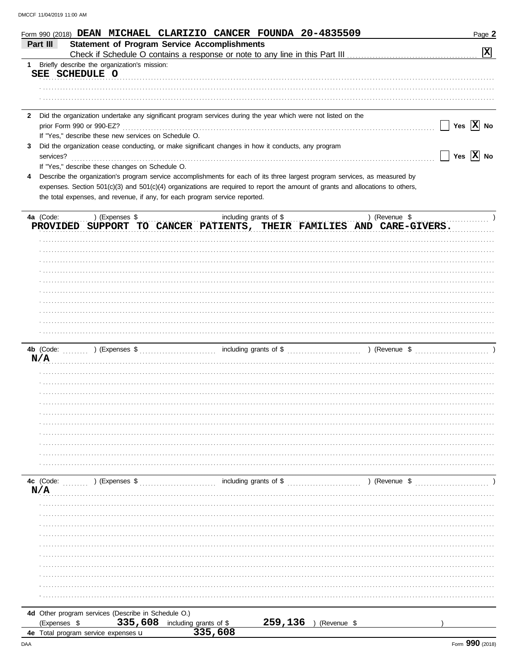|              | Form 990 (2018) DEAN MICHAEL CLARIZIO CANCER FOUNDA 20-4835509                                                                                                                                                                                               | Page 2                           |
|--------------|--------------------------------------------------------------------------------------------------------------------------------------------------------------------------------------------------------------------------------------------------------------|----------------------------------|
|              | <b>Statement of Program Service Accomplishments</b><br>Part III                                                                                                                                                                                              |                                  |
|              |                                                                                                                                                                                                                                                              | $\boxed{\mathbf{x}}$             |
| 1.           | Briefly describe the organization's mission:<br>SEE SCHEDULE O                                                                                                                                                                                               |                                  |
|              |                                                                                                                                                                                                                                                              |                                  |
|              |                                                                                                                                                                                                                                                              |                                  |
|              |                                                                                                                                                                                                                                                              |                                  |
| $\mathbf{2}$ | Did the organization undertake any significant program services during the year which were not listed on the                                                                                                                                                 |                                  |
|              |                                                                                                                                                                                                                                                              | Yes $ \mathbf{X} $ No            |
|              | If "Yes," describe these new services on Schedule O.                                                                                                                                                                                                         |                                  |
| 3            | Did the organization cease conducting, or make significant changes in how it conducts, any program                                                                                                                                                           |                                  |
|              | services?                                                                                                                                                                                                                                                    | $Yes \quad X$ No<br>$\mathbf{I}$ |
|              | If "Yes," describe these changes on Schedule O.                                                                                                                                                                                                              |                                  |
| 4            | Describe the organization's program service accomplishments for each of its three largest program services, as measured by<br>expenses. Section 501(c)(3) and 501(c)(4) organizations are required to report the amount of grants and allocations to others, |                                  |
|              | the total expenses, and revenue, if any, for each program service reported.                                                                                                                                                                                  |                                  |
|              |                                                                                                                                                                                                                                                              |                                  |
|              | 4a (Code:<br>) (Expenses \$<br>including grants of \$<br>) (Revenue \$                                                                                                                                                                                       |                                  |
|              | SUPPORT TO CANCER PATIENTS, THEIR FAMILIES AND CARE-GIVERS.<br>PROVIDED                                                                                                                                                                                      |                                  |
|              |                                                                                                                                                                                                                                                              |                                  |
|              |                                                                                                                                                                                                                                                              |                                  |
|              |                                                                                                                                                                                                                                                              |                                  |
|              |                                                                                                                                                                                                                                                              |                                  |
|              |                                                                                                                                                                                                                                                              |                                  |
|              |                                                                                                                                                                                                                                                              |                                  |
|              |                                                                                                                                                                                                                                                              |                                  |
|              |                                                                                                                                                                                                                                                              |                                  |
|              |                                                                                                                                                                                                                                                              |                                  |
|              |                                                                                                                                                                                                                                                              |                                  |
|              | $4b$ (Code:                                                                                                                                                                                                                                                  |                                  |
|              | N/A                                                                                                                                                                                                                                                          |                                  |
|              |                                                                                                                                                                                                                                                              |                                  |
|              |                                                                                                                                                                                                                                                              |                                  |
|              |                                                                                                                                                                                                                                                              |                                  |
|              |                                                                                                                                                                                                                                                              |                                  |
|              |                                                                                                                                                                                                                                                              |                                  |
|              |                                                                                                                                                                                                                                                              |                                  |
|              |                                                                                                                                                                                                                                                              |                                  |
|              |                                                                                                                                                                                                                                                              |                                  |
|              |                                                                                                                                                                                                                                                              |                                  |
|              |                                                                                                                                                                                                                                                              |                                  |
|              | including grants of \$<br>4c (Code:<br>) (Expenses \$<br>) (Revenue \$                                                                                                                                                                                       |                                  |
|              | N/A                                                                                                                                                                                                                                                          |                                  |
|              |                                                                                                                                                                                                                                                              |                                  |
|              |                                                                                                                                                                                                                                                              |                                  |
|              |                                                                                                                                                                                                                                                              |                                  |
|              |                                                                                                                                                                                                                                                              |                                  |
|              |                                                                                                                                                                                                                                                              |                                  |
|              |                                                                                                                                                                                                                                                              |                                  |
|              |                                                                                                                                                                                                                                                              |                                  |
|              |                                                                                                                                                                                                                                                              |                                  |
|              |                                                                                                                                                                                                                                                              |                                  |
|              |                                                                                                                                                                                                                                                              |                                  |
|              | 4d Other program services (Describe in Schedule O.)                                                                                                                                                                                                          |                                  |
|              | 259,136<br>335,608<br>(Revenue \$<br>(Expenses \$<br>including grants of \$<br>$\rightarrow$                                                                                                                                                                 |                                  |
|              | 335,608<br>4e Total program service expenses u                                                                                                                                                                                                               |                                  |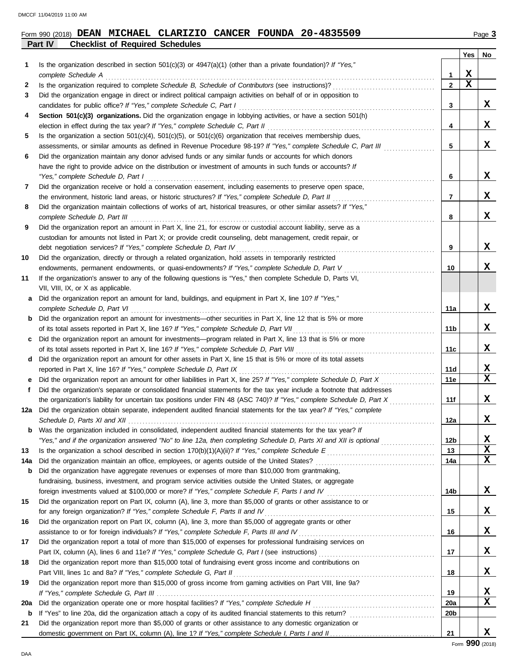### **Part IV Checklist of Required Schedules Form 990 (2018) DEAN MICHAEL CLARIZIO CANCER FOUNDA 20-4835509** Page 3

|     |                                                                                                                                                                                                               |                 | Yes | No |
|-----|---------------------------------------------------------------------------------------------------------------------------------------------------------------------------------------------------------------|-----------------|-----|----|
| 1   | Is the organization described in section $501(c)(3)$ or $4947(a)(1)$ (other than a private foundation)? If "Yes,"<br>complete Schedule A                                                                      | 1               | х   |    |
| 2   |                                                                                                                                                                                                               | $\mathbf{2}$    | X   |    |
| 3   | Did the organization engage in direct or indirect political campaign activities on behalf of or in opposition to                                                                                              |                 |     |    |
|     | candidates for public office? If "Yes," complete Schedule C, Part I                                                                                                                                           | 3               |     | x  |
| 4   | Section 501(c)(3) organizations. Did the organization engage in lobbying activities, or have a section 501(h)                                                                                                 |                 |     |    |
|     | election in effect during the tax year? If "Yes," complete Schedule C, Part II                                                                                                                                | 4               |     | X  |
| 5   | Is the organization a section $501(c)(4)$ , $501(c)(5)$ , or $501(c)(6)$ organization that receives membership dues,                                                                                          |                 |     |    |
|     |                                                                                                                                                                                                               | 5               |     | X  |
| 6   | Did the organization maintain any donor advised funds or any similar funds or accounts for which donors                                                                                                       |                 |     |    |
|     | have the right to provide advice on the distribution or investment of amounts in such funds or accounts? If                                                                                                   |                 |     |    |
|     | "Yes," complete Schedule D, Part I                                                                                                                                                                            | 6               |     | x  |
| 7   | Did the organization receive or hold a conservation easement, including easements to preserve open space,                                                                                                     |                 |     |    |
|     |                                                                                                                                                                                                               | 7               |     | x  |
| 8   | Did the organization maintain collections of works of art, historical treasures, or other similar assets? If "Yes,"                                                                                           |                 |     |    |
|     | complete Schedule D, Part III                                                                                                                                                                                 | 8               |     | X  |
| 9   | Did the organization report an amount in Part X, line 21, for escrow or custodial account liability, serve as a                                                                                               |                 |     |    |
|     | custodian for amounts not listed in Part X; or provide credit counseling, debt management, credit repair, or                                                                                                  |                 |     |    |
|     | debt negotiation services? If "Yes," complete Schedule D, Part IV                                                                                                                                             | 9               |     | x  |
| 10  | Did the organization, directly or through a related organization, hold assets in temporarily restricted<br>endowments, permanent endowments, or quasi-endowments? If "Yes," complete Schedule D, Part V       | 10              |     | X  |
| 11  | If the organization's answer to any of the following questions is "Yes," then complete Schedule D, Parts VI,                                                                                                  |                 |     |    |
|     | VII, VIII, IX, or X as applicable.                                                                                                                                                                            |                 |     |    |
| а   | Did the organization report an amount for land, buildings, and equipment in Part X, line 10? If "Yes,"                                                                                                        |                 |     |    |
|     | complete Schedule D, Part VI                                                                                                                                                                                  | 11a             |     | x  |
| b   | Did the organization report an amount for investments—other securities in Part X, line 12 that is 5% or more                                                                                                  |                 |     |    |
|     | of its total assets reported in Part X, line 16? If "Yes," complete Schedule D, Part VII                                                                                                                      | 11b             |     | x  |
| c   | Did the organization report an amount for investments—program related in Part X, line 13 that is 5% or more                                                                                                   |                 |     |    |
|     | of its total assets reported in Part X, line 16? If "Yes," complete Schedule D, Part VIII                                                                                                                     | 11c             |     | x  |
| d   | Did the organization report an amount for other assets in Part X, line 15 that is 5% or more of its total assets                                                                                              |                 |     |    |
|     | reported in Part X, line 16? If "Yes," complete Schedule D, Part IX                                                                                                                                           | 11d             |     | x  |
| е   | Did the organization report an amount for other liabilities in Part X, line 25? If "Yes," complete Schedule D, Part X                                                                                         | 11e             |     | X  |
| f   | Did the organization's separate or consolidated financial statements for the tax year include a footnote that addresses                                                                                       |                 |     |    |
|     | the organization's liability for uncertain tax positions under FIN 48 (ASC 740)? If "Yes," complete Schedule D, Part X                                                                                        | 11f             |     | x  |
| 12a | Did the organization obtain separate, independent audited financial statements for the tax year? If "Yes," complete                                                                                           |                 |     |    |
|     |                                                                                                                                                                                                               | 12a             |     | x  |
|     | <b>b</b> Was the organization included in consolidated, independent audited financial statements for the tax year? If                                                                                         |                 |     |    |
|     | "Yes," and if the organization answered "No" to line 12a, then completing Schedule D, Parts XI and XII is optional                                                                                            | 12b             |     | X  |
| 13  |                                                                                                                                                                                                               | 13              |     | х  |
| 14a |                                                                                                                                                                                                               | 14a             |     | X  |
| b   | Did the organization have aggregate revenues or expenses of more than \$10,000 from grantmaking,<br>fundraising, business, investment, and program service activities outside the United States, or aggregate |                 |     |    |
|     |                                                                                                                                                                                                               | 14b             |     | X  |
| 15  | Did the organization report on Part IX, column (A), line 3, more than \$5,000 of grants or other assistance to or                                                                                             |                 |     |    |
|     | for any foreign organization? If "Yes," complete Schedule F, Parts II and IV                                                                                                                                  | 15              |     | X  |
| 16  | Did the organization report on Part IX, column (A), line 3, more than \$5,000 of aggregate grants or other                                                                                                    |                 |     |    |
|     | assistance to or for foreign individuals? If "Yes," complete Schedule F, Parts III and IV [[[[[[[[[[[[[[[[[[[                                                                                                 | 16              |     | X  |
| 17  | Did the organization report a total of more than \$15,000 of expenses for professional fundraising services on                                                                                                |                 |     |    |
|     |                                                                                                                                                                                                               | 17              |     | x  |
| 18  | Did the organization report more than \$15,000 total of fundraising event gross income and contributions on                                                                                                   |                 |     |    |
|     |                                                                                                                                                                                                               | 18              |     | x  |
| 19  | Did the organization report more than \$15,000 of gross income from gaming activities on Part VIII, line 9a?                                                                                                  |                 |     |    |
|     |                                                                                                                                                                                                               | 19              |     | x  |
| 20a |                                                                                                                                                                                                               | <b>20a</b>      |     | X  |
| b   |                                                                                                                                                                                                               | 20 <sub>b</sub> |     |    |
| 21  | Did the organization report more than \$5,000 of grants or other assistance to any domestic organization or                                                                                                   |                 |     |    |
|     |                                                                                                                                                                                                               | 21              |     | X, |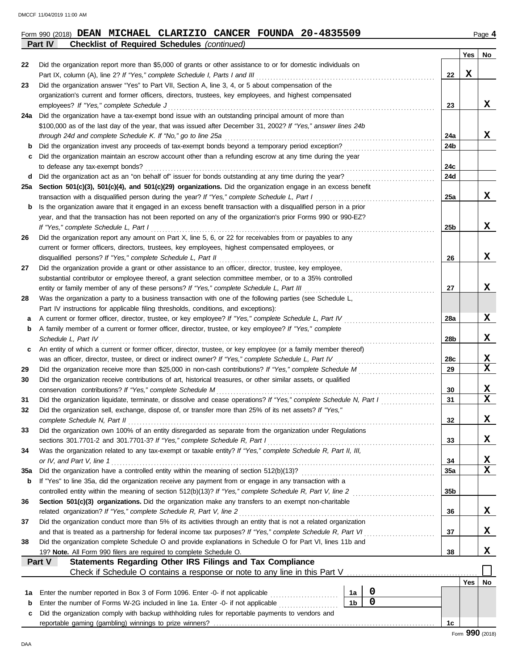### **Form 990 (2018) DEAN MICHAEL CLARIZIO CANCER FOUNDA 20-4835509** Page 4 **Part IV Checklist of Required Schedules** *(continued)*

|          |                                                                                                                                             |                 | Yes | No     |
|----------|---------------------------------------------------------------------------------------------------------------------------------------------|-----------------|-----|--------|
| 22       | Did the organization report more than \$5,000 of grants or other assistance to or for domestic individuals on                               |                 |     |        |
|          | Part IX, column (A), line 2? If "Yes," complete Schedule I, Parts I and III                                                                 | 22              | X   |        |
| 23       | Did the organization answer "Yes" to Part VII, Section A, line 3, 4, or 5 about compensation of the                                         |                 |     |        |
|          | organization's current and former officers, directors, trustees, key employees, and highest compensated                                     |                 |     |        |
|          | employees? If "Yes," complete Schedule J                                                                                                    | 23              |     | x      |
| 24a      | Did the organization have a tax-exempt bond issue with an outstanding principal amount of more than                                         |                 |     |        |
|          | \$100,000 as of the last day of the year, that was issued after December 31, 2002? If "Yes," answer lines 24b                               |                 |     |        |
|          | through 24d and complete Schedule K. If "No," go to line 25a                                                                                | 24a             |     | x      |
| b        | Did the organization invest any proceeds of tax-exempt bonds beyond a temporary period exception?                                           | 24b             |     |        |
| c        | Did the organization maintain an escrow account other than a refunding escrow at any time during the year                                   |                 |     |        |
|          | to defease any tax-exempt bonds?                                                                                                            | 24c             |     |        |
| d        | Did the organization act as an "on behalf of" issuer for bonds outstanding at any time during the year?                                     | 24d             |     |        |
| 25а      | Section 501(c)(3), 501(c)(4), and 501(c)(29) organizations. Did the organization engage in an excess benefit                                |                 |     |        |
|          | transaction with a disqualified person during the year? If "Yes," complete Schedule L, Part I                                               | 25a             |     | x      |
| b        | Is the organization aware that it engaged in an excess benefit transaction with a disqualified person in a prior                            |                 |     |        |
|          | year, and that the transaction has not been reported on any of the organization's prior Forms 990 or 990-EZ?                                |                 |     |        |
|          | If "Yes," complete Schedule L, Part I                                                                                                       | 25 <sub>b</sub> |     | x      |
| 26       | Did the organization report any amount on Part X, line 5, 6, or 22 for receivables from or payables to any                                  |                 |     |        |
|          | current or former officers, directors, trustees, key employees, highest compensated employees, or                                           |                 |     |        |
|          | disqualified persons? If "Yes," complete Schedule L, Part II                                                                                | 26              |     | X      |
| 27       | Did the organization provide a grant or other assistance to an officer, director, trustee, key employee,                                    |                 |     |        |
|          | substantial contributor or employee thereof, a grant selection committee member, or to a 35% controlled                                     |                 |     |        |
|          | entity or family member of any of these persons? If "Yes," complete Schedule L, Part III                                                    | 27              |     | x      |
| 28       | Was the organization a party to a business transaction with one of the following parties (see Schedule L,                                   |                 |     |        |
|          | Part IV instructions for applicable filing thresholds, conditions, and exceptions):                                                         |                 |     |        |
| а        | A current or former officer, director, trustee, or key employee? If "Yes," complete Schedule L, Part IV                                     | 28a             |     | X      |
| b        | A family member of a current or former officer, director, trustee, or key employee? If "Yes," complete                                      |                 |     |        |
|          | Schedule L, Part IV                                                                                                                         | 28b             |     | x      |
| c        | An entity of which a current or former officer, director, trustee, or key employee (or a family member thereof)                             |                 |     |        |
|          | was an officer, director, trustee, or direct or indirect owner? If "Yes," complete Schedule L, Part IV                                      | 28c             |     | X<br>X |
| 29       | Did the organization receive more than \$25,000 in non-cash contributions? If "Yes," complete Schedule M                                    | 29              |     |        |
| 30       | Did the organization receive contributions of art, historical treasures, or other similar assets, or qualified                              |                 |     |        |
|          | conservation contributions? If "Yes," complete Schedule M                                                                                   | 30              |     | X<br>X |
| 31       | Did the organization liquidate, terminate, or dissolve and cease operations? If "Yes," complete Schedule N, Part I                          | 31              |     |        |
| 32       | Did the organization sell, exchange, dispose of, or transfer more than 25% of its net assets? If "Yes,"                                     |                 |     | X      |
|          | complete Schedule N, Part II                                                                                                                | 32              |     |        |
| 33       | Did the organization own 100% of an entity disregarded as separate from the organization under Regulations                                  |                 |     | X      |
|          | sections 301.7701-2 and 301.7701-3? If "Yes," complete Schedule R, Part I                                                                   | 33              |     |        |
| 34       | Was the organization related to any tax-exempt or taxable entity? If "Yes," complete Schedule R, Part II, III,<br>or IV, and Part V, line 1 | 34              |     | X      |
|          | Did the organization have a controlled entity within the meaning of section 512(b)(13)?                                                     |                 |     | X      |
| 35a<br>b | If "Yes" to line 35a, did the organization receive any payment from or engage in any transaction with a                                     | 35a             |     |        |
|          | controlled entity within the meaning of section 512(b)(13)? If "Yes," complete Schedule R, Part V, line 2                                   | 35b             |     |        |
| 36       | Section 501(c)(3) organizations. Did the organization make any transfers to an exempt non-charitable                                        |                 |     |        |
|          | related organization? If "Yes," complete Schedule R, Part V, line 2                                                                         | 36              |     | X      |
| 37       | Did the organization conduct more than 5% of its activities through an entity that is not a related organization                            |                 |     |        |
|          | and that is treated as a partnership for federal income tax purposes? If "Yes," complete Schedule R, Part VI                                | 37              |     | X      |
| 38       | Did the organization complete Schedule O and provide explanations in Schedule O for Part VI, lines 11b and                                  |                 |     |        |
|          | 19? Note. All Form 990 filers are required to complete Schedule O.                                                                          | 38              |     | X      |
|          | Statements Regarding Other IRS Filings and Tax Compliance<br>Part V                                                                         |                 |     |        |
|          | Check if Schedule O contains a response or note to any line in this Part V                                                                  |                 |     |        |
|          |                                                                                                                                             |                 | Yes | No     |
| 1a       | $\boldsymbol{0}$<br>Enter the number reported in Box 3 of Form 1096. Enter -0- if not applicable<br>1a                                      |                 |     |        |
| b        | $\pmb{0}$<br>1 <sub>b</sub><br>Enter the number of Forms W-2G included in line 1a. Enter -0- if not applicable                              |                 |     |        |
| с        | Did the organization comply with backup withholding rules for reportable payments to vendors and                                            |                 |     |        |
|          |                                                                                                                                             | 1c              |     |        |
|          |                                                                                                                                             |                 |     |        |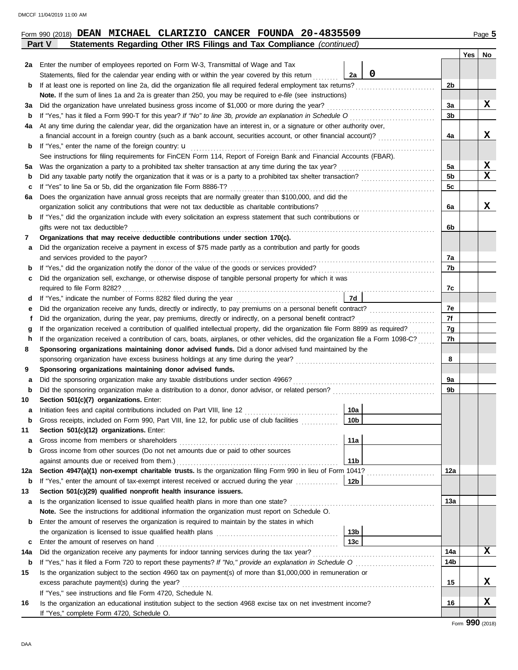### **Part V Statements Regarding Other IRS Filings and Tax Compliance** *(continued)* **Form 990 (2018) DEAN MICHAEL CLARIZIO CANCER FOUNDA 20-4835509** Page 5

|--|--|

|             |                                                                                                                                                 |                 |   |                | Yes | No |
|-------------|-------------------------------------------------------------------------------------------------------------------------------------------------|-----------------|---|----------------|-----|----|
| 2a          | Enter the number of employees reported on Form W-3, Transmittal of Wage and Tax                                                                 |                 |   |                |     |    |
|             | Statements, filed for the calendar year ending with or within the year covered by this return                                                   | 2a              | 0 |                |     |    |
| b           | If at least one is reported on line 2a, did the organization file all required federal employment tax returns?                                  |                 |   | 2b             |     |    |
|             | Note. If the sum of lines 1a and 2a is greater than 250, you may be required to e-file (see instructions)                                       |                 |   |                |     |    |
| За          | Did the organization have unrelated business gross income of \$1,000 or more during the year?                                                   |                 |   | За             |     | X  |
| b           |                                                                                                                                                 |                 |   | 3b             |     |    |
| 4a          | At any time during the calendar year, did the organization have an interest in, or a signature or other authority over,                         |                 |   |                |     |    |
|             | a financial account in a foreign country (such as a bank account, securities account, or other financial account)?                              |                 |   | 4a             |     | x  |
| b           | If "Yes," enter the name of the foreign country: <b>u</b>                                                                                       |                 |   |                |     |    |
|             | See instructions for filing requirements for FinCEN Form 114, Report of Foreign Bank and Financial Accounts (FBAR).                             |                 |   |                |     |    |
| 5a          |                                                                                                                                                 |                 |   | 5a             |     | х  |
| b           |                                                                                                                                                 |                 |   | 5 <sub>b</sub> |     | X  |
| c           | If "Yes" to line 5a or 5b, did the organization file Form 8886-T?                                                                               |                 |   | 5c             |     |    |
| 6а          | Does the organization have annual gross receipts that are normally greater than \$100,000, and did the                                          |                 |   |                |     |    |
|             | organization solicit any contributions that were not tax deductible as charitable contributions?                                                |                 |   | 6a             |     | x  |
| b           | If "Yes," did the organization include with every solicitation an express statement that such contributions or                                  |                 |   |                |     |    |
|             | gifts were not tax deductible?                                                                                                                  |                 |   | 6b             |     |    |
| 7           | Organizations that may receive deductible contributions under section 170(c).                                                                   |                 |   |                |     |    |
| а           | Did the organization receive a payment in excess of \$75 made partly as a contribution and partly for goods                                     |                 |   |                |     |    |
|             | and services provided to the payor?                                                                                                             |                 |   | 7a             |     |    |
| b           |                                                                                                                                                 |                 |   | 7b             |     |    |
| с           | Did the organization sell, exchange, or otherwise dispose of tangible personal property for which it was                                        |                 |   |                |     |    |
|             |                                                                                                                                                 |                 |   | 7с             |     |    |
| d           |                                                                                                                                                 | 7d              |   |                |     |    |
| е           |                                                                                                                                                 |                 |   | 7e             |     |    |
| t           | Did the organization, during the year, pay premiums, directly or indirectly, on a personal benefit contract?                                    |                 |   | 7f             |     |    |
| g           | If the organization received a contribution of qualified intellectual property, did the organization file Form 8899 as required?                |                 |   | 7g             |     |    |
| h           | If the organization received a contribution of cars, boats, airplanes, or other vehicles, did the organization file a Form 1098-C?              |                 |   | 7h             |     |    |
| 8           | Sponsoring organizations maintaining donor advised funds. Did a donor advised fund maintained by the                                            |                 |   |                |     |    |
|             | sponsoring organization have excess business holdings at any time during the year?                                                              |                 |   | 8              |     |    |
| 9           | Sponsoring organizations maintaining donor advised funds.<br>Did the sponsoring organization make any taxable distributions under section 4966? |                 |   | 9a             |     |    |
| а<br>b      |                                                                                                                                                 |                 |   | 9b             |     |    |
| 10          | Section 501(c)(7) organizations. Enter:                                                                                                         |                 |   |                |     |    |
| а           | Initiation fees and capital contributions included on Part VIII, line 12                                                                        | 10a             |   |                |     |    |
| $\mathbf b$ | Gross receipts, included on Form 990, Part VIII, line 12, for public use of club facilities                                                     | 10 <sub>b</sub> |   |                |     |    |
| 11          | Section 501(c)(12) organizations. Enter:                                                                                                        |                 |   |                |     |    |
| а           |                                                                                                                                                 | 11a             |   |                |     |    |
| b           | Gross income from other sources (Do not net amounts due or paid to other sources                                                                |                 |   |                |     |    |
|             | against amounts due or received from them.)                                                                                                     | 11 <sub>b</sub> |   |                |     |    |
| 12a         | Section 4947(a)(1) non-exempt charitable trusts. Is the organization filing Form 990 in lieu of Form 1041?                                      |                 |   | 12a            |     |    |
| b           |                                                                                                                                                 |                 |   |                |     |    |
| 13          | Section 501(c)(29) qualified nonprofit health insurance issuers.                                                                                |                 |   |                |     |    |
| а           | Is the organization licensed to issue qualified health plans in more than one state?                                                            |                 |   | 13а            |     |    |
|             | Note. See the instructions for additional information the organization must report on Schedule O.                                               |                 |   |                |     |    |
| b           | Enter the amount of reserves the organization is required to maintain by the states in which                                                    |                 |   |                |     |    |
|             |                                                                                                                                                 | 13b             |   |                |     |    |
| c           |                                                                                                                                                 | 13 <sub>c</sub> |   |                |     |    |
| 14a         |                                                                                                                                                 |                 |   | 14a            |     | X  |
| b           |                                                                                                                                                 |                 |   | 14b            |     |    |
| 15          | Is the organization subject to the section 4960 tax on payment(s) of more than \$1,000,000 in remuneration or                                   |                 |   |                |     |    |
|             |                                                                                                                                                 |                 |   | 15             |     | x  |
|             | If "Yes," see instructions and file Form 4720, Schedule N.                                                                                      |                 |   |                |     |    |
| 16          | Is the organization an educational institution subject to the section 4968 excise tax on net investment income?                                 |                 |   | 16             |     | X  |
|             | If "Yes," complete Form 4720, Schedule O.                                                                                                       |                 |   |                |     |    |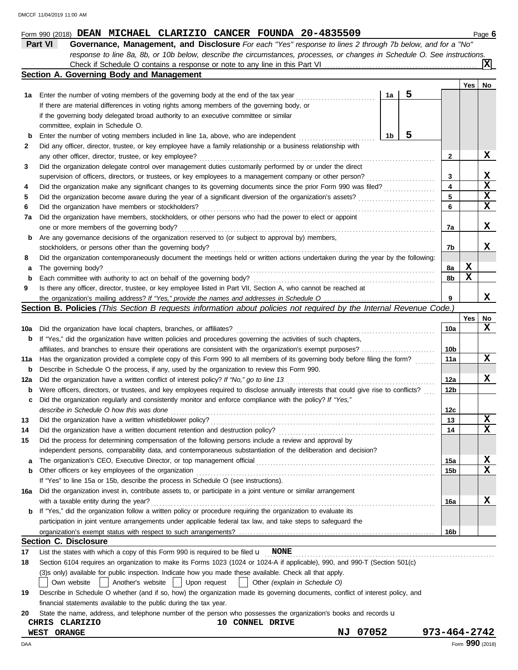|          | response to line 8a, 8b, or 10b below, describe the circumstances, processes, or changes in Schedule O. See instructions.           |                |   |                 |     |                         |
|----------|-------------------------------------------------------------------------------------------------------------------------------------|----------------|---|-----------------|-----|-------------------------|
|          |                                                                                                                                     |                |   |                 |     |                         |
|          | Section A. Governing Body and Management                                                                                            |                |   |                 |     |                         |
|          |                                                                                                                                     |                |   |                 | Yes | No                      |
| 1a       | Enter the number of voting members of the governing body at the end of the tax year                                                 | 1a             | 5 |                 |     |                         |
|          | If there are material differences in voting rights among members of the governing body, or                                          |                |   |                 |     |                         |
|          | if the governing body delegated broad authority to an executive committee or similar                                                |                |   |                 |     |                         |
|          | committee, explain in Schedule O.                                                                                                   |                |   |                 |     |                         |
| b        | Enter the number of voting members included in line 1a, above, who are independent                                                  | 1 <sub>b</sub> | 5 |                 |     |                         |
| 2        | Did any officer, director, trustee, or key employee have a family relationship or a business relationship with                      |                |   |                 |     |                         |
|          | any other officer, director, trustee, or key employee?                                                                              |                |   | 2               |     | X                       |
| 3        | Did the organization delegate control over management duties customarily performed by or under the direct                           |                |   |                 |     |                         |
|          | supervision of officers, directors, or trustees, or key employees to a management company or other person?                          |                |   | 3               |     | X                       |
| 4        | Did the organization make any significant changes to its governing documents since the prior Form 990 was filed?                    |                |   | 4               |     | $\mathbf x$             |
| 5        | Did the organization become aware during the year of a significant diversion of the organization's assets?                          |                |   | 5               |     | $\mathbf x$             |
| 6        | Did the organization have members or stockholders?                                                                                  |                |   | 6               |     | $\mathbf x$             |
| 7a       | Did the organization have members, stockholders, or other persons who had the power to elect or appoint                             |                |   |                 |     |                         |
|          | one or more members of the governing body?                                                                                          |                |   | 7a              |     | X                       |
| b        | Are any governance decisions of the organization reserved to (or subject to approval by) members,                                   |                |   |                 |     |                         |
|          | stockholders, or persons other than the governing body?                                                                             |                |   | 7b              |     | x                       |
| 8        | Did the organization contemporaneously document the meetings held or written actions undertaken during the year by the following:   |                |   |                 |     |                         |
| а        | The governing body?                                                                                                                 |                |   | 8а              | X   |                         |
| b        | Each committee with authority to act on behalf of the governing body?                                                               |                |   | 8b              | X   |                         |
| 9        | Is there any officer, director, trustee, or key employee listed in Part VII, Section A, who cannot be reached at                    |                |   |                 |     |                         |
|          |                                                                                                                                     |                |   | 9               |     | X                       |
|          | Section B. Policies (This Section B requests information about policies not required by the Internal Revenue Code.)                 |                |   |                 |     |                         |
|          |                                                                                                                                     |                |   |                 | Yes | No                      |
| 10a      | Did the organization have local chapters, branches, or affiliates?                                                                  |                |   | 10a             |     | x                       |
| b        | If "Yes," did the organization have written policies and procedures governing the activities of such chapters,                      |                |   |                 |     |                         |
|          | affiliates, and branches to ensure their operations are consistent with the organization's exempt purposes?                         |                |   | 10 <sub>b</sub> |     |                         |
| 11a      | Has the organization provided a complete copy of this Form 990 to all members of its governing body before filing the form?         |                |   | 11a             |     | X                       |
| b        | Describe in Schedule O the process, if any, used by the organization to review this Form 990.                                       |                |   |                 |     |                         |
| 12a      | Did the organization have a written conflict of interest policy? If "No," go to line 13                                             |                |   | 12a             |     | x                       |
| b        | Were officers, directors, or trustees, and key employees required to disclose annually interests that could give rise to conflicts? |                |   | 12b             |     |                         |
| c        | Did the organization regularly and consistently monitor and enforce compliance with the policy? If "Yes,"                           |                |   |                 |     |                         |
|          | describe in Schedule O how this was done                                                                                            |                |   | 12c             |     |                         |
| 13       | Did the organization have a written whistleblower policy?                                                                           |                |   | 13              |     | $\mathbf x$             |
|          | Did the organization have a written document retention and destruction policy?                                                      |                |   | 14              |     | $\overline{\textbf{X}}$ |
| 15       | Did the process for determining compensation of the following persons include a review and approval by                              |                |   |                 |     |                         |
|          | independent persons, comparability data, and contemporaneous substantiation of the deliberation and decision?                       |                |   |                 |     |                         |
| а        | The organization's CEO, Executive Director, or top management official                                                              |                |   | 15a             |     | X                       |
| b        | Other officers or key employees of the organization                                                                                 |                |   | 15b             |     | $\mathbf x$             |
|          | If "Yes" to line 15a or 15b, describe the process in Schedule O (see instructions).                                                 |                |   |                 |     |                         |
| 16a      | Did the organization invest in, contribute assets to, or participate in a joint venture or similar arrangement                      |                |   |                 |     |                         |
|          | with a taxable entity during the year?                                                                                              |                |   | 16a             |     | X                       |
| b        | If "Yes," did the organization follow a written policy or procedure requiring the organization to evaluate its                      |                |   |                 |     |                         |
|          | participation in joint venture arrangements under applicable federal tax law, and take steps to safeguard the                       |                |   |                 |     |                         |
|          |                                                                                                                                     |                |   | 16b             |     |                         |
|          | <b>Section C. Disclosure</b>                                                                                                        |                |   |                 |     |                         |
|          | List the states with which a copy of this Form 990 is required to be filed $\mathbf{u}$ NONE                                        |                |   |                 |     |                         |
| 17<br>18 | Section 6104 requires an organization to make its Forms 1023 (1024 or 1024-A if applicable), 990, and 990-T (Section 501(c)         |                |   |                 |     |                         |
|          |                                                                                                                                     |                |   |                 |     |                         |
|          | (3)s only) available for public inspection. Indicate how you made these available. Check all that apply.                            |                |   |                 |     |                         |
|          | Another's website<br>Upon request<br>Own website<br>Other (explain in Schedule O)                                                   |                |   |                 |     |                         |
| 19       | Describe in Schedule O whether (and if so, how) the organization made its governing documents, conflict of interest policy, and     |                |   |                 |     |                         |
|          | financial statements available to the public during the tax year.<br>paraon urba poononon the arganizationia                        |                |   |                 |     |                         |

**Part VI Governance, Management, and Disclosure** *For each "Yes" response to lines 2 through 7b below, and for a "No"*

| CHRIS CLARIZIO     | 10 CONNEL DRIVE |  |
|--------------------|-----------------|--|
| <b>WEST ORANGE</b> |                 |  |

**WEST ORANGE NJ 07052 973-464-2742**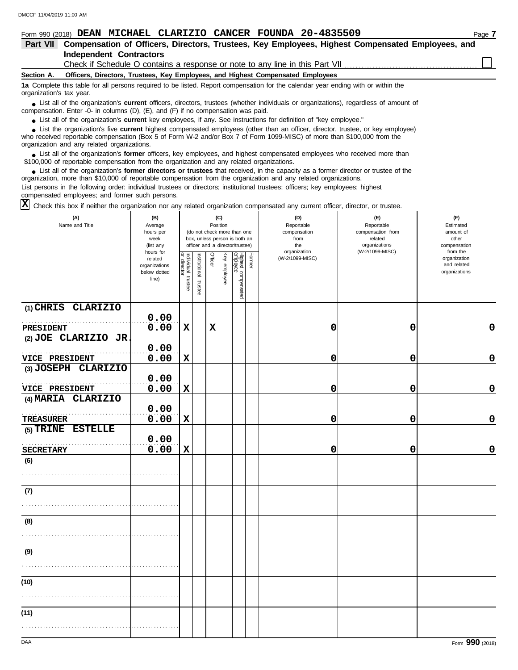| Form 990 (2018) DEAN MICHAEL CLARIZIO CANCER FOUNDA 20-4835509                                                                                                                                                                      | Page 7 |
|-------------------------------------------------------------------------------------------------------------------------------------------------------------------------------------------------------------------------------------|--------|
| Compensation of Officers, Directors, Trustees, Key Employees, Highest Compensated Employees, and<br>Part VII                                                                                                                        |        |
| <b>Independent Contractors</b>                                                                                                                                                                                                      |        |
|                                                                                                                                                                                                                                     |        |
| Officers, Directors, Trustees, Key Employees, and Highest Compensated Employees<br>Section A.                                                                                                                                       |        |
| 1a Complete this table for all persons required to be listed. Report compensation for the calendar year ending with or within the<br>organization's tax year.                                                                       |        |
| • List all of the organization's current officers, directors, trustees (whether individuals or organizations), regardless of amount of<br>compensation. Enter -0- in columns $(D)$ , $(E)$ , and $(F)$ if no compensation was paid. |        |
| • List all of the organization's current key employees, if any. See instructions for definition of "key employee."                                                                                                                  |        |
| List the organization's five current highest compensated employees (other than an officer, director, trustee, or key employee)                                                                                                      |        |

who received reportable compensation (Box 5 of Form W-2 and/or Box 7 of Form 1099-MISC) of more than \$100,000 from the organization and any related organizations. **•**

■ List all of the organization's **former** officers, key employees, and highest compensated employees who received more than<br> **•** 00,000 of reportable compensation from the ergonization and any related ergonizations \$100,000 of reportable compensation from the organization and any related organizations.

■ List all of the organization's **former directors or trustees** that received, in the capacity as a former director or trustee of the<br>paization, more than \$10,000 of reportable compensation from the organization and any r organization, more than \$10,000 of reportable compensation from the organization and any related organizations. List persons in the following order: individual trustees or directors; institutional trustees; officers; key employees; highest

compensated employees; and former such persons.

 $\overline{X}$  Check this box if neither the organization nor any related organization compensated any current officer, director, or trustee.

| (A)<br>Name and Title | (B)<br>Average<br>hours per<br>week<br>(list any  | (C)<br>Position<br>(do not check more than one<br>box, unless person is both an<br>officer and a director/trustee)<br>hours for |                       |             |              |                                 |               | (D)<br>Reportable<br>compensation<br>from<br>the | (E)<br>Reportable<br>compensation from<br>related<br>organizations | (F)<br>Estimated<br>amount of<br>other<br>compensation   |  |  |
|-----------------------|---------------------------------------------------|---------------------------------------------------------------------------------------------------------------------------------|-----------------------|-------------|--------------|---------------------------------|---------------|--------------------------------------------------|--------------------------------------------------------------------|----------------------------------------------------------|--|--|
|                       | related<br>organizations<br>below dotted<br>line) | Individual trustee<br>or director                                                                                               | Institutional trustee | Officer     | Key employee | Highest compensated<br>employee | <b>Former</b> | organization<br>(W-2/1099-MISC)                  | (W-2/1099-MISC)                                                    | from the<br>organization<br>and related<br>organizations |  |  |
| (1) CHRIS CLARIZIO    |                                                   |                                                                                                                                 |                       |             |              |                                 |               |                                                  |                                                                    |                                                          |  |  |
| PRESIDENT             | 0.00<br>0.00                                      | $\mathbf x$                                                                                                                     |                       | $\mathbf x$ |              |                                 |               | 0                                                | 0                                                                  | $\pmb{0}$                                                |  |  |
| (2) JOE CLARIZIO JR.  |                                                   |                                                                                                                                 |                       |             |              |                                 |               |                                                  |                                                                    |                                                          |  |  |
|                       | 0.00                                              |                                                                                                                                 |                       |             |              |                                 |               |                                                  |                                                                    |                                                          |  |  |
| VICE PRESIDENT        | 0.00                                              | X                                                                                                                               |                       |             |              |                                 |               | 0                                                | 0                                                                  | $\mathbf 0$                                              |  |  |
| (3) JOSEPH CLARIZIO   | 0.00                                              |                                                                                                                                 |                       |             |              |                                 |               |                                                  |                                                                    |                                                          |  |  |
| <b>VICE PRESIDENT</b> | 0.00                                              | $\mathbf x$                                                                                                                     |                       |             |              |                                 |               | 0                                                | 0                                                                  | 0                                                        |  |  |
| (4) MARIA CLARIZIO    |                                                   |                                                                                                                                 |                       |             |              |                                 |               |                                                  |                                                                    |                                                          |  |  |
| .                     | 0.00                                              |                                                                                                                                 |                       |             |              |                                 |               |                                                  |                                                                    |                                                          |  |  |
| <b>TREASURER</b>      | 0.00                                              | $\mathbf x$                                                                                                                     |                       |             |              |                                 |               | 0                                                | 0                                                                  | 0                                                        |  |  |
| (5) TRINE ESTELLE     | 0.00                                              |                                                                                                                                 |                       |             |              |                                 |               |                                                  |                                                                    |                                                          |  |  |
| <b>SECRETARY</b>      | 0.00                                              | $\mathbf x$                                                                                                                     |                       |             |              |                                 |               | 0                                                | 0                                                                  | $\pmb{0}$                                                |  |  |
| (6)                   |                                                   |                                                                                                                                 |                       |             |              |                                 |               |                                                  |                                                                    |                                                          |  |  |
| (7)                   |                                                   |                                                                                                                                 |                       |             |              |                                 |               |                                                  |                                                                    |                                                          |  |  |
|                       |                                                   |                                                                                                                                 |                       |             |              |                                 |               |                                                  |                                                                    |                                                          |  |  |
| (8)                   |                                                   |                                                                                                                                 |                       |             |              |                                 |               |                                                  |                                                                    |                                                          |  |  |
|                       |                                                   |                                                                                                                                 |                       |             |              |                                 |               |                                                  |                                                                    |                                                          |  |  |
| (9)                   |                                                   |                                                                                                                                 |                       |             |              |                                 |               |                                                  |                                                                    |                                                          |  |  |
|                       |                                                   |                                                                                                                                 |                       |             |              |                                 |               |                                                  |                                                                    |                                                          |  |  |
| (10)                  |                                                   |                                                                                                                                 |                       |             |              |                                 |               |                                                  |                                                                    |                                                          |  |  |
| (11)                  |                                                   |                                                                                                                                 |                       |             |              |                                 |               |                                                  |                                                                    |                                                          |  |  |
|                       |                                                   |                                                                                                                                 |                       |             |              |                                 |               |                                                  |                                                                    |                                                          |  |  |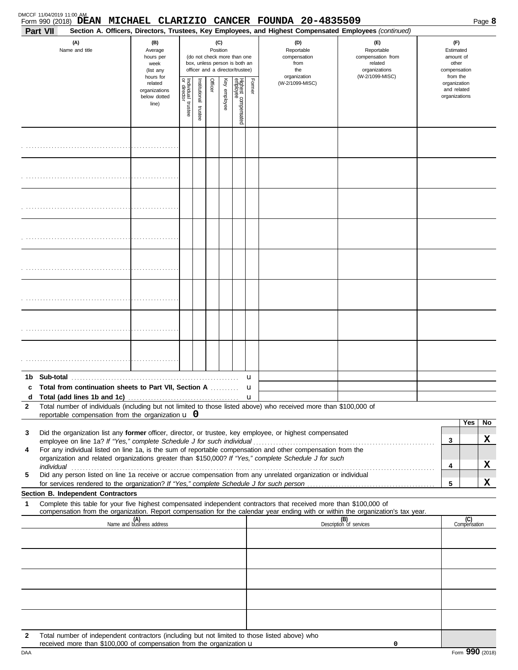| Part VII          |                                                                                                                                                                       |                                                                                                                                                                                     |                         |                      |         |              |                                                                  |        | Form 990 (2018) DEAN MICHAEL CLARIZIO CANCER FOUNDA 20-4835509<br>Section A. Officers, Directors, Trustees, Key Employees, and Highest Compensated Employees (continued)                                             |                                                                                                                                  |                                              | Page 8              |
|-------------------|-----------------------------------------------------------------------------------------------------------------------------------------------------------------------|-------------------------------------------------------------------------------------------------------------------------------------------------------------------------------------|-------------------------|----------------------|---------|--------------|------------------------------------------------------------------|--------|----------------------------------------------------------------------------------------------------------------------------------------------------------------------------------------------------------------------|----------------------------------------------------------------------------------------------------------------------------------|----------------------------------------------|---------------------|
|                   | (A)<br>Name and title                                                                                                                                                 | (B)<br>(C)<br>Position<br>Average<br>hours per<br>(do not check more than one<br>box, unless person is both an<br>week<br>officer and a director/trustee)<br>(list any<br>hours for |                         |                      |         |              | (D)<br>Reportable<br>compensation<br>from<br>the<br>organization |        | (E)<br>Reportable<br>compensation from<br>related<br>organizations<br>(W-2/1099-MISC)                                                                                                                                | (F)<br>Estimated<br>amount of<br>other<br>compensation<br>from the                                                               |                                              |                     |
|                   |                                                                                                                                                                       | related<br>organizations<br>below dotted<br>line)                                                                                                                                   | Individual 1<br>trustee | nstitutional trustee | Officer | Key employee | Highest compensated<br>employee                                  | Former | (W-2/1099-MISC)                                                                                                                                                                                                      |                                                                                                                                  | organization<br>and related<br>organizations |                     |
|                   |                                                                                                                                                                       |                                                                                                                                                                                     |                         |                      |         |              |                                                                  |        |                                                                                                                                                                                                                      |                                                                                                                                  |                                              |                     |
|                   |                                                                                                                                                                       |                                                                                                                                                                                     |                         |                      |         |              |                                                                  |        |                                                                                                                                                                                                                      |                                                                                                                                  |                                              |                     |
|                   |                                                                                                                                                                       |                                                                                                                                                                                     |                         |                      |         |              |                                                                  |        |                                                                                                                                                                                                                      |                                                                                                                                  |                                              |                     |
|                   |                                                                                                                                                                       |                                                                                                                                                                                     |                         |                      |         |              |                                                                  |        |                                                                                                                                                                                                                      |                                                                                                                                  |                                              |                     |
|                   |                                                                                                                                                                       |                                                                                                                                                                                     |                         |                      |         |              |                                                                  |        |                                                                                                                                                                                                                      |                                                                                                                                  |                                              |                     |
|                   |                                                                                                                                                                       |                                                                                                                                                                                     |                         |                      |         |              |                                                                  |        |                                                                                                                                                                                                                      |                                                                                                                                  |                                              |                     |
|                   |                                                                                                                                                                       |                                                                                                                                                                                     |                         |                      |         |              |                                                                  |        |                                                                                                                                                                                                                      |                                                                                                                                  |                                              |                     |
|                   |                                                                                                                                                                       |                                                                                                                                                                                     |                         |                      |         |              |                                                                  |        |                                                                                                                                                                                                                      |                                                                                                                                  |                                              |                     |
| 1b Sub-total<br>C | Total from continuation sheets to Part VII, Section A                                                                                                                 |                                                                                                                                                                                     |                         |                      |         | .            |                                                                  | u<br>u |                                                                                                                                                                                                                      |                                                                                                                                  |                                              |                     |
| d<br>2            | reportable compensation from the organization $\bf{u}$ 0                                                                                                              |                                                                                                                                                                                     |                         |                      |         |              |                                                                  | u      | Total number of individuals (including but not limited to those listed above) who received more than \$100,000 of                                                                                                    |                                                                                                                                  |                                              |                     |
| 3                 |                                                                                                                                                                       |                                                                                                                                                                                     |                         |                      |         |              |                                                                  |        | Did the organization list any former officer, director, or trustee, key employee, or highest compensated                                                                                                             |                                                                                                                                  | 3                                            | Yes<br>No.<br>X     |
| 4                 |                                                                                                                                                                       |                                                                                                                                                                                     |                         |                      |         |              |                                                                  |        | For any individual listed on line 1a, is the sum of reportable compensation and other compensation from the<br>organization and related organizations greater than \$150,000? If "Yes," complete Schedule J for such |                                                                                                                                  |                                              | X                   |
| 5                 |                                                                                                                                                                       |                                                                                                                                                                                     |                         |                      |         |              |                                                                  |        | Did any person listed on line 1a receive or accrue compensation from any unrelated organization or individual                                                                                                        |                                                                                                                                  | 4<br>5                                       | x                   |
|                   | Section B. Independent Contractors                                                                                                                                    |                                                                                                                                                                                     |                         |                      |         |              |                                                                  |        |                                                                                                                                                                                                                      |                                                                                                                                  |                                              |                     |
| 1                 |                                                                                                                                                                       |                                                                                                                                                                                     |                         |                      |         |              |                                                                  |        | Complete this table for your five highest compensated independent contractors that received more than \$100,000 of                                                                                                   | compensation from the organization. Report compensation for the calendar year ending with or within the organization's tax year. |                                              |                     |
|                   |                                                                                                                                                                       | (A)<br>Name and business address                                                                                                                                                    |                         |                      |         |              |                                                                  |        |                                                                                                                                                                                                                      | (B)<br>Description of services                                                                                                   |                                              | (C)<br>Compensation |
|                   |                                                                                                                                                                       |                                                                                                                                                                                     |                         |                      |         |              |                                                                  |        |                                                                                                                                                                                                                      |                                                                                                                                  |                                              |                     |
|                   |                                                                                                                                                                       |                                                                                                                                                                                     |                         |                      |         |              |                                                                  |        |                                                                                                                                                                                                                      |                                                                                                                                  |                                              |                     |
|                   |                                                                                                                                                                       |                                                                                                                                                                                     |                         |                      |         |              |                                                                  |        |                                                                                                                                                                                                                      |                                                                                                                                  |                                              |                     |
| $\mathbf{2}$      | Total number of independent contractors (including but not limited to those listed above) who<br>received more than \$100,000 of compensation from the organization u |                                                                                                                                                                                     |                         |                      |         |              |                                                                  |        |                                                                                                                                                                                                                      | 0                                                                                                                                |                                              |                     |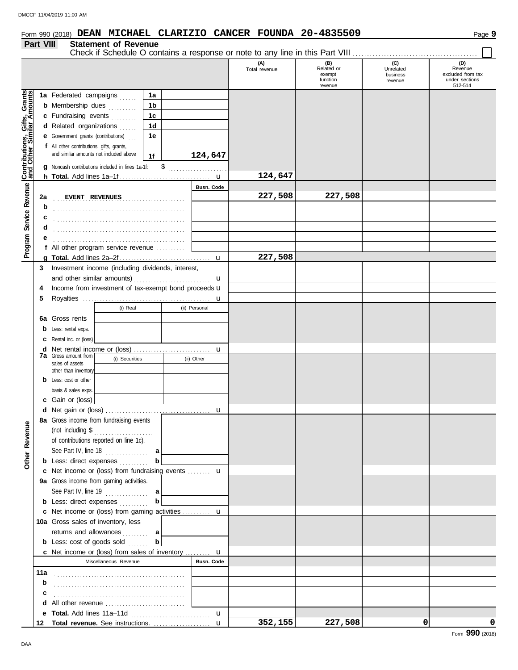### **Form 990 (2018) DEAN MICHAEL CLARIZIO CANCER FOUNDA 20-4835509** Page 9

### **Part VIII Statement of Revenue**

Check if Schedule O contains a response or note to any line in this Part VIII

|                                                           |     |                                                                    |             |                   | (A)<br>Total revenue | (B)<br>Related or<br>exempt<br>function<br>revenue | (C)<br>Unrelated<br>business<br>revenue | (D)<br>Revenue<br>excluded from tax<br>under sections<br>512-514 |
|-----------------------------------------------------------|-----|--------------------------------------------------------------------|-------------|-------------------|----------------------|----------------------------------------------------|-----------------------------------------|------------------------------------------------------------------|
|                                                           |     | 1a Federated campaigns                                             | 1a          |                   |                      |                                                    |                                         |                                                                  |
| Contributions, Gifts, Grants<br>and Other Similar Amounts |     | <b>b</b> Membership dues                                           | 1b          |                   |                      |                                                    |                                         |                                                                  |
|                                                           |     | c Fundraising events                                               | 1c          |                   |                      |                                                    |                                         |                                                                  |
|                                                           |     | d Related organizations                                            | 1d          |                   |                      |                                                    |                                         |                                                                  |
|                                                           |     | <b>e</b> Government grants (contributions)                         | 1e          |                   |                      |                                                    |                                         |                                                                  |
|                                                           |     | f All other contributions, gifts, grants,                          |             |                   |                      |                                                    |                                         |                                                                  |
|                                                           |     | and similar amounts not included above                             | 1f          | 124,647           |                      |                                                    |                                         |                                                                  |
|                                                           |     | g Noncash contributions included in lines 1a-1f:                   |             |                   |                      |                                                    |                                         |                                                                  |
|                                                           |     |                                                                    |             |                   | 124,647              |                                                    |                                         |                                                                  |
| Revenue                                                   |     |                                                                    |             | <b>Busn. Code</b> |                      |                                                    |                                         |                                                                  |
|                                                           | 2a  | <b>EVENT REVENUES</b>                                              |             |                   | 227,508              | 227,508                                            |                                         |                                                                  |
|                                                           | b   |                                                                    |             |                   |                      |                                                    |                                         |                                                                  |
| Service                                                   | с   |                                                                    |             |                   |                      |                                                    |                                         |                                                                  |
|                                                           | d   |                                                                    |             |                   |                      |                                                    |                                         |                                                                  |
|                                                           |     | f All other program service revenue $\ldots$                       |             |                   |                      |                                                    |                                         |                                                                  |
| Program                                                   |     |                                                                    |             |                   | 227,508              |                                                    |                                         |                                                                  |
|                                                           | 3   | Investment income (including dividends, interest,                  |             |                   |                      |                                                    |                                         |                                                                  |
|                                                           |     |                                                                    |             | u                 |                      |                                                    |                                         |                                                                  |
|                                                           | 4   | Income from investment of tax-exempt bond proceeds u               |             |                   |                      |                                                    |                                         |                                                                  |
|                                                           | 5   |                                                                    |             | $\mathbf u$       |                      |                                                    |                                         |                                                                  |
|                                                           |     | (i) Real                                                           |             | (ii) Personal     |                      |                                                    |                                         |                                                                  |
|                                                           |     | <b>6a</b> Gross rents                                              |             |                   |                      |                                                    |                                         |                                                                  |
|                                                           | b   | Less: rental exps.                                                 |             |                   |                      |                                                    |                                         |                                                                  |
|                                                           | с   | Rental inc. or (loss)                                              |             |                   |                      |                                                    |                                         |                                                                  |
|                                                           | d   | <b>7a</b> Gross amount from                                        |             |                   |                      |                                                    |                                         |                                                                  |
|                                                           |     | (i) Securities<br>sales of assets                                  |             | (ii) Other        |                      |                                                    |                                         |                                                                  |
|                                                           |     | other than inventory                                               |             |                   |                      |                                                    |                                         |                                                                  |
|                                                           |     | <b>b</b> Less: cost or other                                       |             |                   |                      |                                                    |                                         |                                                                  |
|                                                           |     | basis & sales exps.<br>c Gain or (loss)                            |             |                   |                      |                                                    |                                         |                                                                  |
|                                                           |     |                                                                    |             |                   |                      |                                                    |                                         |                                                                  |
|                                                           |     | 8a Gross income from fundraising events                            |             |                   |                      |                                                    |                                         |                                                                  |
| enue                                                      |     | (not including \$<br>.                                             |             |                   |                      |                                                    |                                         |                                                                  |
| Rev                                                       |     | of contributions reported on line 1c).                             |             |                   |                      |                                                    |                                         |                                                                  |
|                                                           |     | See Part IV, line 18                                               | a           |                   |                      |                                                    |                                         |                                                                  |
| Other                                                     |     | <b>b</b> Less: direct expenses                                     | b           |                   |                      |                                                    |                                         |                                                                  |
|                                                           |     | c Net income or (loss) from fundraising events  u                  |             |                   |                      |                                                    |                                         |                                                                  |
|                                                           |     | 9a Gross income from gaming activities.                            |             |                   |                      |                                                    |                                         |                                                                  |
|                                                           |     | See Part IV, line 19 $\ldots$                                      | a           |                   |                      |                                                    |                                         |                                                                  |
|                                                           |     | <b>b</b> Less: direct expenses                                     | $\mathbf b$ |                   |                      |                                                    |                                         |                                                                  |
|                                                           |     | c Net income or (loss) from gaming activities  u                   |             |                   |                      |                                                    |                                         |                                                                  |
|                                                           |     | 10a Gross sales of inventory, less                                 |             |                   |                      |                                                    |                                         |                                                                  |
|                                                           |     | returns and allowances<br><b>b</b> Less: cost of goods sold        | a <br>b     |                   |                      |                                                    |                                         |                                                                  |
|                                                           |     | <b>c</b> Net income or (loss) from sales of inventory $\mathbf{u}$ |             |                   |                      |                                                    |                                         |                                                                  |
|                                                           |     | Miscellaneous Revenue                                              |             | Busn. Code        |                      |                                                    |                                         |                                                                  |
|                                                           | 11a |                                                                    |             |                   |                      |                                                    |                                         |                                                                  |
|                                                           | b   |                                                                    |             |                   |                      |                                                    |                                         |                                                                  |
|                                                           | c   |                                                                    |             |                   |                      |                                                    |                                         |                                                                  |
|                                                           |     |                                                                    |             |                   |                      |                                                    |                                         |                                                                  |
|                                                           | е   |                                                                    |             | u                 |                      |                                                    |                                         |                                                                  |
|                                                           | 12  | <b>Total revenue.</b> See instructions.                            |             | $\mathbf{u}$      | 352,155              | 227,508                                            | 0                                       | $\Omega$                                                         |

 $\Box$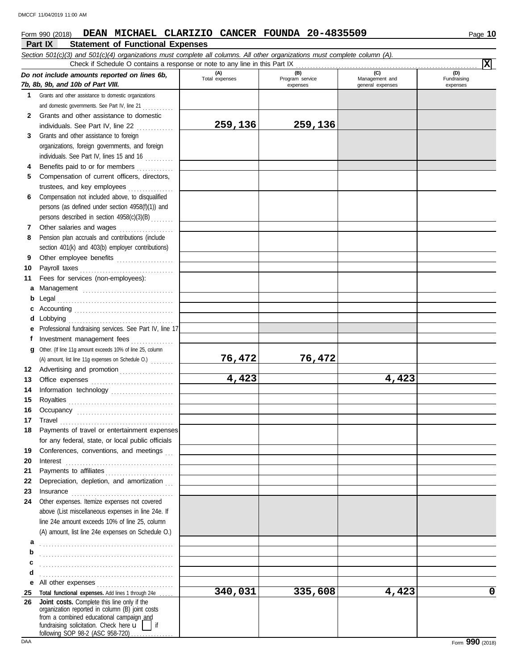### **Part IX Statement of Functional Expenses** Form 990 (2018) Page **10 DEAN MICHAEL CLARIZIO CANCER FOUNDA 20-4835509**

|              | Section 501(c)(3) and 501(c)(4) organizations must complete all columns. All other organizations must complete column (A).<br>Check if Schedule O contains a response or note to any line in this Part IX |                |                             |                                    | X                       |
|--------------|-----------------------------------------------------------------------------------------------------------------------------------------------------------------------------------------------------------|----------------|-----------------------------|------------------------------------|-------------------------|
|              |                                                                                                                                                                                                           | (A)            | (B)                         | (C)                                | (D)                     |
|              | Do not include amounts reported on lines 6b,<br>7b, 8b, 9b, and 10b of Part VIII.                                                                                                                         | Total expenses | Program service<br>expenses | Management and<br>general expenses | Fundraising<br>expenses |
|              | 1 Grants and other assistance to domestic organizations                                                                                                                                                   |                |                             |                                    |                         |
|              | and domestic governments. See Part IV, line 21                                                                                                                                                            |                |                             |                                    |                         |
| $\mathbf{2}$ | Grants and other assistance to domestic                                                                                                                                                                   |                |                             |                                    |                         |
|              | individuals. See Part IV, line 22<br>.                                                                                                                                                                    | 259,136        | 259,136                     |                                    |                         |
| 3            | Grants and other assistance to foreign                                                                                                                                                                    |                |                             |                                    |                         |
|              | organizations, foreign governments, and foreign                                                                                                                                                           |                |                             |                                    |                         |
|              | individuals. See Part IV, lines 15 and 16                                                                                                                                                                 |                |                             |                                    |                         |
| 4            | Benefits paid to or for members                                                                                                                                                                           |                |                             |                                    |                         |
| 5            | Compensation of current officers, directors,                                                                                                                                                              |                |                             |                                    |                         |
|              | trustees, and key employees                                                                                                                                                                               |                |                             |                                    |                         |
|              | Compensation not included above, to disqualified                                                                                                                                                          |                |                             |                                    |                         |
| 6            |                                                                                                                                                                                                           |                |                             |                                    |                         |
|              | persons (as defined under section 4958(f)(1)) and                                                                                                                                                         |                |                             |                                    |                         |
|              | persons described in section 4958(c)(3)(B)                                                                                                                                                                |                |                             |                                    |                         |
| 7            | Other salaries and wages<br>.                                                                                                                                                                             |                |                             |                                    |                         |
| 8            | Pension plan accruals and contributions (include                                                                                                                                                          |                |                             |                                    |                         |
|              | section 401(k) and 403(b) employer contributions)                                                                                                                                                         |                |                             |                                    |                         |
| 9            | Other employee benefits                                                                                                                                                                                   |                |                             |                                    |                         |
| 10           |                                                                                                                                                                                                           |                |                             |                                    |                         |
| 11           | Fees for services (non-employees):                                                                                                                                                                        |                |                             |                                    |                         |
| а            |                                                                                                                                                                                                           |                |                             |                                    |                         |
| b            | Legal                                                                                                                                                                                                     |                |                             |                                    |                         |
| c            |                                                                                                                                                                                                           |                |                             |                                    |                         |
| d            |                                                                                                                                                                                                           |                |                             |                                    |                         |
| е            | Professional fundraising services. See Part IV, line 17                                                                                                                                                   |                |                             |                                    |                         |
| f            | Investment management fees                                                                                                                                                                                |                |                             |                                    |                         |
| a            | Other. (If line 11g amount exceeds 10% of line 25, column                                                                                                                                                 |                |                             |                                    |                         |
|              | (A) amount, list line 11g expenses on Schedule O.)                                                                                                                                                        | 76,472         | 76,472                      |                                    |                         |
| 12           | Advertising and promotion                                                                                                                                                                                 |                |                             |                                    |                         |
| 13           |                                                                                                                                                                                                           | 4,423          |                             | 4,423                              |                         |
| 14           | Information technology                                                                                                                                                                                    |                |                             |                                    |                         |
| 15           |                                                                                                                                                                                                           |                |                             |                                    |                         |
| 16           |                                                                                                                                                                                                           |                |                             |                                    |                         |
| 17           |                                                                                                                                                                                                           |                |                             |                                    |                         |
| 18           | Payments of travel or entertainment expenses                                                                                                                                                              |                |                             |                                    |                         |
|              | for any federal, state, or local public officials                                                                                                                                                         |                |                             |                                    |                         |
| 19           | Conferences, conventions, and meetings                                                                                                                                                                    |                |                             |                                    |                         |
| 20           | Interest                                                                                                                                                                                                  |                |                             |                                    |                         |
| 21           | Payments to affiliates                                                                                                                                                                                    |                |                             |                                    |                         |
| 22           | Depreciation, depletion, and amortization                                                                                                                                                                 |                |                             |                                    |                         |
|              |                                                                                                                                                                                                           |                |                             |                                    |                         |
| 23<br>24     | Other expenses. Itemize expenses not covered                                                                                                                                                              |                |                             |                                    |                         |
|              |                                                                                                                                                                                                           |                |                             |                                    |                         |
|              | above (List miscellaneous expenses in line 24e. If<br>line 24e amount exceeds 10% of line 25, column                                                                                                      |                |                             |                                    |                         |
|              |                                                                                                                                                                                                           |                |                             |                                    |                         |
|              | (A) amount, list line 24e expenses on Schedule O.)                                                                                                                                                        |                |                             |                                    |                         |
| а            |                                                                                                                                                                                                           |                |                             |                                    |                         |
| b            |                                                                                                                                                                                                           |                |                             |                                    |                         |
| c            |                                                                                                                                                                                                           |                |                             |                                    |                         |
| d            |                                                                                                                                                                                                           |                |                             |                                    |                         |
| е            |                                                                                                                                                                                                           |                |                             |                                    |                         |
| 25           | Total functional expenses. Add lines 1 through 24e                                                                                                                                                        | 340,031        | 335,608                     | 4,423                              | $\mathbf 0$             |
| 26           | Joint costs. Complete this line only if the<br>organization reported in column (B) joint costs                                                                                                            |                |                             |                                    |                         |
|              | from a combined educational campaign and                                                                                                                                                                  |                |                             |                                    |                         |
|              | fundraising solicitation. Check here $\mathbf{u}$<br>if                                                                                                                                                   |                |                             |                                    |                         |

following SOP 98-2 (ASC 958-720) . . . . . . . . . . . . .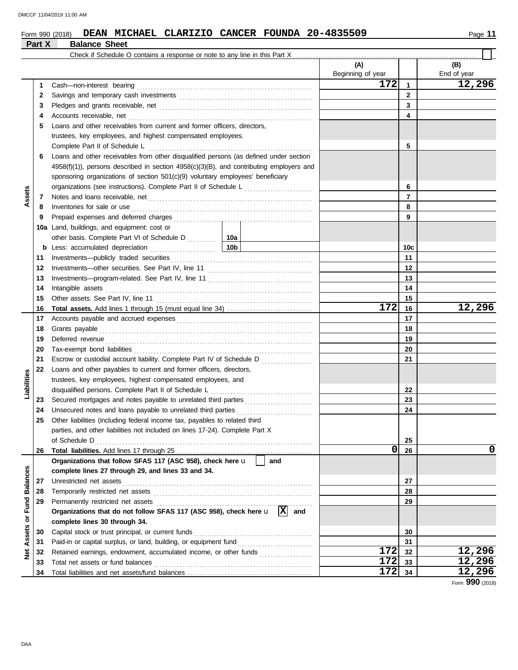## **Form 990 (2018) DEAN MICHAEL CLARIZIO CANCER FOUNDA 20-4835509** Page 11

|                 | Part X | <b>Balance Sheet</b>                                                                                                                                                                                                                |                   |              |             |
|-----------------|--------|-------------------------------------------------------------------------------------------------------------------------------------------------------------------------------------------------------------------------------------|-------------------|--------------|-------------|
|                 |        |                                                                                                                                                                                                                                     |                   |              |             |
|                 |        |                                                                                                                                                                                                                                     | (A)               |              | (B)         |
|                 |        |                                                                                                                                                                                                                                     | Beginning of year |              | End of year |
|                 | 1      |                                                                                                                                                                                                                                     | 172               | 1            | 12,296      |
|                 | 2      |                                                                                                                                                                                                                                     |                   | $\mathbf{2}$ |             |
|                 | 3      |                                                                                                                                                                                                                                     |                   | 3            |             |
|                 | 4      |                                                                                                                                                                                                                                     |                   | 4            |             |
|                 | 5      | Loans and other receivables from current and former officers, directors,                                                                                                                                                            |                   |              |             |
|                 |        | trustees, key employees, and highest compensated employees.                                                                                                                                                                         |                   |              |             |
|                 |        | Complete Part II of Schedule L                                                                                                                                                                                                      |                   | 5            |             |
|                 | 6      | Loans and other receivables from other disqualified persons (as defined under section                                                                                                                                               |                   |              |             |
|                 |        | $4958(f)(1)$ ), persons described in section $4958(c)(3)(B)$ , and contributing employers and                                                                                                                                       |                   |              |             |
|                 |        | sponsoring organizations of section 501(c)(9) voluntary employees' beneficiary                                                                                                                                                      |                   |              |             |
|                 |        | organizations (see instructions). Complete Part II of Schedule L                                                                                                                                                                    |                   | 6            |             |
| Assets          | 7      |                                                                                                                                                                                                                                     |                   | 7            |             |
|                 | 8      | Inventories for sale or use <i>communication</i> and the state of the state or use of the state of the state of the state of the state of the state of the state of the state of the state of the state of the state of the state o |                   | 8            |             |
|                 | 9      |                                                                                                                                                                                                                                     |                   | 9            |             |
|                 |        | 10a Land, buildings, and equipment: cost or                                                                                                                                                                                         |                   |              |             |
|                 |        | other basis. Complete Part VI of Schedule D  10a                                                                                                                                                                                    |                   |              |             |
|                 |        |                                                                                                                                                                                                                                     |                   | 10c          |             |
|                 | 11     |                                                                                                                                                                                                                                     |                   | 11           |             |
|                 | 12     |                                                                                                                                                                                                                                     |                   | 12           |             |
|                 | 13     |                                                                                                                                                                                                                                     |                   | 13           |             |
|                 | 14     | Intangible assets with a state of the contract of the state of the state of the state of the state of the state of the state of the state of the state of the state of the state of the state of the state of the state of the      |                   | 14           |             |
|                 | 15     |                                                                                                                                                                                                                                     |                   | 15           |             |
|                 | 16     |                                                                                                                                                                                                                                     | 172               | 16           | 12,296      |
|                 | 17     |                                                                                                                                                                                                                                     |                   | 17           |             |
|                 | 18     |                                                                                                                                                                                                                                     |                   | 18           |             |
|                 | 19     |                                                                                                                                                                                                                                     |                   | 19           |             |
|                 | 20     |                                                                                                                                                                                                                                     |                   | 20           |             |
|                 | 21     | Escrow or custodial account liability. Complete Part IV of Schedule D                                                                                                                                                               |                   | 21           |             |
|                 | 22     | Loans and other payables to current and former officers, directors,                                                                                                                                                                 |                   |              |             |
| Liabilities     |        | trustees, key employees, highest compensated employees, and                                                                                                                                                                         |                   |              |             |
|                 |        |                                                                                                                                                                                                                                     |                   | 22           |             |
|                 | 23     |                                                                                                                                                                                                                                     |                   | 23           |             |
|                 | 24     |                                                                                                                                                                                                                                     |                   | 24           |             |
|                 | 25     | Other liabilities (including federal income tax, payables to related third                                                                                                                                                          |                   |              |             |
|                 |        | parties, and other liabilities not included on lines 17-24). Complete Part X                                                                                                                                                        |                   |              |             |
|                 |        |                                                                                                                                                                                                                                     |                   | 25           |             |
|                 | 26     |                                                                                                                                                                                                                                     | 0                 | 26           | 0           |
|                 |        | Organizations that follow SFAS 117 (ASC 958), check here u<br>and                                                                                                                                                                   |                   |              |             |
|                 |        | complete lines 27 through 29, and lines 33 and 34.                                                                                                                                                                                  |                   |              |             |
| <b>Balances</b> | 27     |                                                                                                                                                                                                                                     |                   | 27           |             |
|                 | 28     |                                                                                                                                                                                                                                     |                   | 28           |             |
| Fund            | 29     | Permanently restricted net assets<br><b>Organizations that do not follow SFAS 117 (ASC 958), check here u</b> $\boxed{\mathbf{X}}$ and                                                                                              |                   | 29           |             |
| ŏ               |        |                                                                                                                                                                                                                                     |                   |              |             |
|                 |        | complete lines 30 through 34.                                                                                                                                                                                                       |                   |              |             |
| Assets          | 30     |                                                                                                                                                                                                                                     |                   | 30           |             |
|                 | 31     | Paid-in or capital surplus, or land, building, or equipment fund [                                                                                                                                                                  |                   | 31           |             |
| ğ               | 32     | Retained earnings, endowment, accumulated income, or other funds                                                                                                                                                                    | 172               | 32           | 12,296      |
|                 | 33     | Total net assets or fund balances                                                                                                                                                                                                   | 172               | 33           | 12,296      |
|                 | 34     |                                                                                                                                                                                                                                     | 172               | 34           | 12,296      |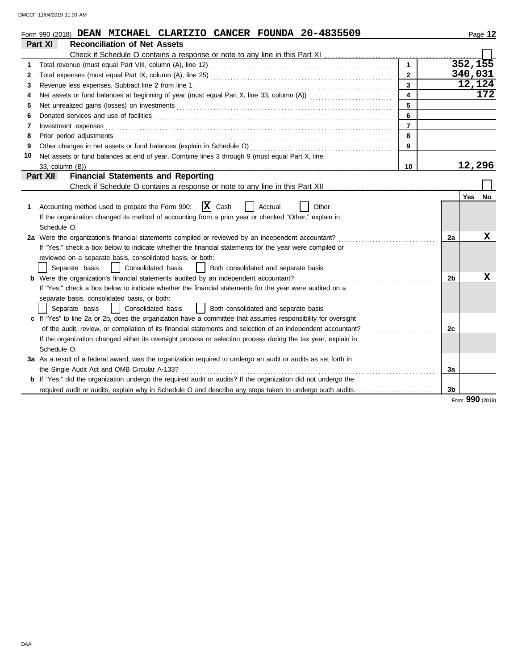| <b>Reconciliation of Net Assets</b><br>Part XI                                                                                                                                                                                                |                |           |  |
|-----------------------------------------------------------------------------------------------------------------------------------------------------------------------------------------------------------------------------------------------|----------------|-----------|--|
|                                                                                                                                                                                                                                               |                |           |  |
|                                                                                                                                                                                                                                               |                |           |  |
| 1                                                                                                                                                                                                                                             |                | 352, 155  |  |
| $\overline{2}$<br>2                                                                                                                                                                                                                           |                | 340,031   |  |
| $\mathbf{3}$<br>3                                                                                                                                                                                                                             | 12,124         |           |  |
| Net assets or fund balances at beginning of year (must equal Part X, line 33, column (A)) [[[[[[[[[[[[[[[[[[[<br>$\overline{\mathbf{4}}$<br>4                                                                                                 | 172            |           |  |
| 5<br>5                                                                                                                                                                                                                                        |                |           |  |
| 6<br>Donated services and use of facilities <b>constructs</b> and the service of the service of the services and use of facilities<br>6                                                                                                       |                |           |  |
| $\overline{7}$<br>Investment expenses<br>7                                                                                                                                                                                                    |                |           |  |
| 8<br>Prior period adjustments <b>construction and construction</b> and and adjustments of the construction of the construction of the construction of the construction of the construction of the construction of the construction of th<br>8 |                |           |  |
| Other changes in net assets or fund balances (explain in Schedule O)<br>9<br>9                                                                                                                                                                |                |           |  |
| Net assets or fund balances at end of year. Combine lines 3 through 9 (must equal Part X, line<br>10                                                                                                                                          |                |           |  |
| 10<br>33, column (B))                                                                                                                                                                                                                         |                | 12,296    |  |
| <b>Financial Statements and Reporting</b><br>Part XII                                                                                                                                                                                         |                |           |  |
|                                                                                                                                                                                                                                               |                |           |  |
|                                                                                                                                                                                                                                               |                | Yes<br>No |  |
| $ {\bf x} $<br>Cash<br>Accounting method used to prepare the Form 990:<br>Accrual<br>Other<br>1                                                                                                                                               |                |           |  |
| If the organization changed its method of accounting from a prior year or checked "Other," explain in                                                                                                                                         |                |           |  |
| Schedule O.                                                                                                                                                                                                                                   |                |           |  |
| 2a Were the organization's financial statements compiled or reviewed by an independent accountant?                                                                                                                                            | 2a             | x         |  |
| If "Yes," check a box below to indicate whether the financial statements for the year were compiled or                                                                                                                                        |                |           |  |
| reviewed on a separate basis, consolidated basis, or both:                                                                                                                                                                                    |                |           |  |
| Consolidated basis<br>Both consolidated and separate basis<br>Separate basis<br>$\mathbf{1}$                                                                                                                                                  |                |           |  |
| <b>b</b> Were the organization's financial statements audited by an independent accountant?                                                                                                                                                   | 2b             | X         |  |
| If "Yes," check a box below to indicate whether the financial statements for the year were audited on a                                                                                                                                       |                |           |  |
| separate basis, consolidated basis, or both:                                                                                                                                                                                                  |                |           |  |
| Consolidated basis<br>  Both consolidated and separate basis<br>Separate basis                                                                                                                                                                |                |           |  |
| c If "Yes" to line 2a or 2b, does the organization have a committee that assumes responsibility for oversight                                                                                                                                 |                |           |  |
| of the audit, review, or compilation of its financial statements and selection of an independent accountant?                                                                                                                                  | 2c             |           |  |
| If the organization changed either its oversight process or selection process during the tax year, explain in                                                                                                                                 |                |           |  |
| Schedule O.                                                                                                                                                                                                                                   |                |           |  |
| 3a As a result of a federal award, was the organization required to undergo an audit or audits as set forth in                                                                                                                                |                |           |  |
| the Single Audit Act and OMB Circular A-133?                                                                                                                                                                                                  | 3a             |           |  |
| <b>b</b> If "Yes," did the organization undergo the required audit or audits? If the organization did not undergo the                                                                                                                         |                |           |  |
|                                                                                                                                                                                                                                               | 3 <sub>b</sub> | $\sim$    |  |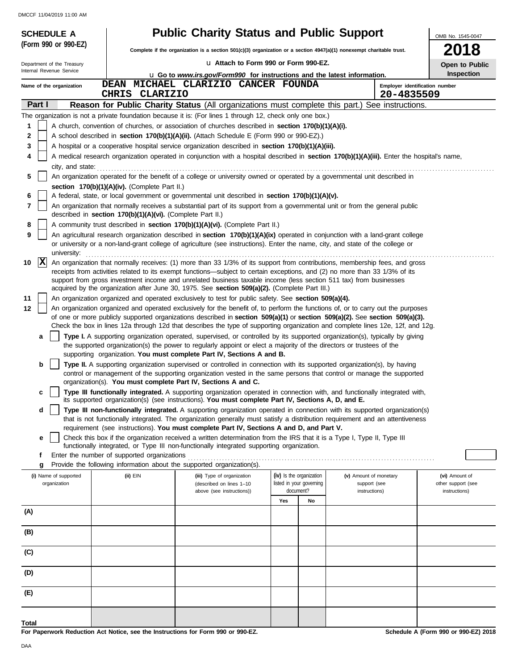|        |                                                                                                                                                                | <b>SCHEDULE A</b>                                                                                                                                                                                                                                                                                                                                 |                                                            | <b>Public Charity Status and Public Support</b>                                                                                                                                                                                                                |                                                                                                    |                                                                   |                                                         | OMB No. 1545-0047                                     |  |  |  |  |
|--------|----------------------------------------------------------------------------------------------------------------------------------------------------------------|---------------------------------------------------------------------------------------------------------------------------------------------------------------------------------------------------------------------------------------------------------------------------------------------------------------------------------------------------|------------------------------------------------------------|----------------------------------------------------------------------------------------------------------------------------------------------------------------------------------------------------------------------------------------------------------------|----------------------------------------------------------------------------------------------------|-------------------------------------------------------------------|---------------------------------------------------------|-------------------------------------------------------|--|--|--|--|
|        |                                                                                                                                                                | (Form 990 or 990-EZ)                                                                                                                                                                                                                                                                                                                              |                                                            | Complete if the organization is a section 501(c)(3) organization or a section 4947(a)(1) nonexempt charitable trust.                                                                                                                                           |                                                                                                    |                                                                   |                                                         | 2018                                                  |  |  |  |  |
|        |                                                                                                                                                                | Department of the Treasury                                                                                                                                                                                                                                                                                                                        |                                                            | La Attach to Form 990 or Form 990-EZ.                                                                                                                                                                                                                          |                                                                                                    |                                                                   |                                                         | Open to Public                                        |  |  |  |  |
|        |                                                                                                                                                                | Internal Revenue Service                                                                                                                                                                                                                                                                                                                          |                                                            | <b>u</b> Go to www.irs.gov/Form990 for instructions and the latest information.                                                                                                                                                                                |                                                                                                    |                                                                   |                                                         | <b>Inspection</b>                                     |  |  |  |  |
|        |                                                                                                                                                                | Name of the organization                                                                                                                                                                                                                                                                                                                          | <b>DEAN</b><br>CHRIS CLARIZIO                              | MICHAEL CLARIZIO CANCER FOUNDA                                                                                                                                                                                                                                 |                                                                                                    |                                                                   | Employer identification number<br>20-4835509            |                                                       |  |  |  |  |
|        | Part I                                                                                                                                                         |                                                                                                                                                                                                                                                                                                                                                   |                                                            |                                                                                                                                                                                                                                                                | Reason for Public Charity Status (All organizations must complete this part.)<br>See instructions. |                                                                   |                                                         |                                                       |  |  |  |  |
|        |                                                                                                                                                                |                                                                                                                                                                                                                                                                                                                                                   |                                                            | The organization is not a private foundation because it is: (For lines 1 through 12, check only one box.)                                                                                                                                                      |                                                                                                    |                                                                   |                                                         |                                                       |  |  |  |  |
| 1      |                                                                                                                                                                |                                                                                                                                                                                                                                                                                                                                                   |                                                            | A church, convention of churches, or association of churches described in <b>section 170(b)(1)(A)(i).</b>                                                                                                                                                      |                                                                                                    |                                                                   |                                                         |                                                       |  |  |  |  |
| 2      |                                                                                                                                                                |                                                                                                                                                                                                                                                                                                                                                   |                                                            | A school described in section 170(b)(1)(A)(ii). (Attach Schedule E (Form 990 or 990-EZ).)                                                                                                                                                                      |                                                                                                    |                                                                   |                                                         |                                                       |  |  |  |  |
| 3<br>4 |                                                                                                                                                                |                                                                                                                                                                                                                                                                                                                                                   |                                                            | A hospital or a cooperative hospital service organization described in section 170(b)(1)(A)(iii).                                                                                                                                                              |                                                                                                    |                                                                   |                                                         |                                                       |  |  |  |  |
|        | A medical research organization operated in conjunction with a hospital described in section 170(b)(1)(A)(iii). Enter the hospital's name,<br>city, and state: |                                                                                                                                                                                                                                                                                                                                                   |                                                            |                                                                                                                                                                                                                                                                |                                                                                                    |                                                                   |                                                         |                                                       |  |  |  |  |
| 5      | An organization operated for the benefit of a college or university owned or operated by a governmental unit described in                                      |                                                                                                                                                                                                                                                                                                                                                   |                                                            |                                                                                                                                                                                                                                                                |                                                                                                    |                                                                   |                                                         |                                                       |  |  |  |  |
|        |                                                                                                                                                                |                                                                                                                                                                                                                                                                                                                                                   | section 170(b)(1)(A)(iv). (Complete Part II.)              |                                                                                                                                                                                                                                                                |                                                                                                    |                                                                   |                                                         |                                                       |  |  |  |  |
| 6<br>7 |                                                                                                                                                                |                                                                                                                                                                                                                                                                                                                                                   |                                                            | A federal, state, or local government or governmental unit described in section 170(b)(1)(A)(v).<br>An organization that normally receives a substantial part of its support from a governmental unit or from the general public                               |                                                                                                    |                                                                   |                                                         |                                                       |  |  |  |  |
|        |                                                                                                                                                                |                                                                                                                                                                                                                                                                                                                                                   | described in section 170(b)(1)(A)(vi). (Complete Part II.) |                                                                                                                                                                                                                                                                |                                                                                                    |                                                                   |                                                         |                                                       |  |  |  |  |
| 8      |                                                                                                                                                                |                                                                                                                                                                                                                                                                                                                                                   |                                                            | A community trust described in section 170(b)(1)(A)(vi). (Complete Part II.)                                                                                                                                                                                   |                                                                                                    |                                                                   |                                                         |                                                       |  |  |  |  |
| 9      |                                                                                                                                                                | An agricultural research organization described in section 170(b)(1)(A)(ix) operated in conjunction with a land-grant college<br>or university or a non-land-grant college of agriculture (see instructions). Enter the name, city, and state of the college or<br>university:                                                                    |                                                            |                                                                                                                                                                                                                                                                |                                                                                                    |                                                                   |                                                         |                                                       |  |  |  |  |
| 10     | $ {\bf x} $                                                                                                                                                    | An organization that normally receives: (1) more than 33 1/3% of its support from contributions, membership fees, and gross                                                                                                                                                                                                                       |                                                            |                                                                                                                                                                                                                                                                |                                                                                                    |                                                                   |                                                         |                                                       |  |  |  |  |
|        |                                                                                                                                                                | receipts from activities related to its exempt functions—subject to certain exceptions, and (2) no more than 33 1/3% of its<br>support from gross investment income and unrelated business taxable income (less section 511 tax) from businesses<br>acquired by the organization after June 30, 1975. See section 509(a)(2). (Complete Part III.) |                                                            |                                                                                                                                                                                                                                                                |                                                                                                    |                                                                   |                                                         |                                                       |  |  |  |  |
| 11     |                                                                                                                                                                |                                                                                                                                                                                                                                                                                                                                                   |                                                            | An organization organized and operated exclusively to test for public safety. See section 509(a)(4).                                                                                                                                                           |                                                                                                    |                                                                   |                                                         |                                                       |  |  |  |  |
| 12     |                                                                                                                                                                |                                                                                                                                                                                                                                                                                                                                                   |                                                            | An organization organized and operated exclusively for the benefit of, to perform the functions of, or to carry out the purposes                                                                                                                               |                                                                                                    |                                                                   |                                                         |                                                       |  |  |  |  |
|        |                                                                                                                                                                |                                                                                                                                                                                                                                                                                                                                                   |                                                            | of one or more publicly supported organizations described in section 509(a)(1) or section 509(a)(2). See section 509(a)(3).<br>Check the box in lines 12a through 12d that describes the type of supporting organization and complete lines 12e, 12f, and 12g. |                                                                                                    |                                                                   |                                                         |                                                       |  |  |  |  |
|        | a                                                                                                                                                              |                                                                                                                                                                                                                                                                                                                                                   |                                                            | Type I. A supporting organization operated, supervised, or controlled by its supported organization(s), typically by giving<br>the supported organization(s) the power to regularly appoint or elect a majority of the directors or trustees of the            |                                                                                                    |                                                                   |                                                         |                                                       |  |  |  |  |
|        | b                                                                                                                                                              |                                                                                                                                                                                                                                                                                                                                                   |                                                            | supporting organization. You must complete Part IV, Sections A and B.<br>Type II. A supporting organization supervised or controlled in connection with its supported organization(s), by having                                                               |                                                                                                    |                                                                   |                                                         |                                                       |  |  |  |  |
|        |                                                                                                                                                                |                                                                                                                                                                                                                                                                                                                                                   |                                                            | control or management of the supporting organization vested in the same persons that control or manage the supported<br>organization(s). You must complete Part IV, Sections A and C.                                                                          |                                                                                                    |                                                                   |                                                         |                                                       |  |  |  |  |
|        | c                                                                                                                                                              |                                                                                                                                                                                                                                                                                                                                                   |                                                            | Type III functionally integrated. A supporting organization operated in connection with, and functionally integrated with,<br>its supported organization(s) (see instructions). You must complete Part IV, Sections A, D, and E.                               |                                                                                                    |                                                                   |                                                         |                                                       |  |  |  |  |
|        | d                                                                                                                                                              |                                                                                                                                                                                                                                                                                                                                                   |                                                            | Type III non-functionally integrated. A supporting organization operated in connection with its supported organization(s)<br>that is not functionally integrated. The organization generally must satisfy a distribution requirement and an attentiveness      |                                                                                                    |                                                                   |                                                         |                                                       |  |  |  |  |
|        |                                                                                                                                                                |                                                                                                                                                                                                                                                                                                                                                   |                                                            | requirement (see instructions). You must complete Part IV, Sections A and D, and Part V.                                                                                                                                                                       |                                                                                                    |                                                                   |                                                         |                                                       |  |  |  |  |
|        | е                                                                                                                                                              |                                                                                                                                                                                                                                                                                                                                                   |                                                            | Check this box if the organization received a written determination from the IRS that it is a Type I, Type II, Type III<br>functionally integrated, or Type III non-functionally integrated supporting organization.                                           |                                                                                                    |                                                                   |                                                         |                                                       |  |  |  |  |
|        | f                                                                                                                                                              |                                                                                                                                                                                                                                                                                                                                                   | Enter the number of supported organizations                |                                                                                                                                                                                                                                                                |                                                                                                    |                                                                   |                                                         |                                                       |  |  |  |  |
|        | g                                                                                                                                                              |                                                                                                                                                                                                                                                                                                                                                   |                                                            | Provide the following information about the supported organization(s).                                                                                                                                                                                         |                                                                                                    |                                                                   |                                                         |                                                       |  |  |  |  |
|        |                                                                                                                                                                | (i) Name of supported<br>organization                                                                                                                                                                                                                                                                                                             | (ii) EIN                                                   | (iii) Type of organization<br>(described on lines 1-10<br>above (see instructions))                                                                                                                                                                            |                                                                                                    | (iv) Is the organization<br>listed in your governing<br>document? | (v) Amount of monetary<br>support (see<br>instructions) | (vi) Amount of<br>other support (see<br>instructions) |  |  |  |  |
|        |                                                                                                                                                                |                                                                                                                                                                                                                                                                                                                                                   |                                                            |                                                                                                                                                                                                                                                                | Yes                                                                                                | No                                                                |                                                         |                                                       |  |  |  |  |
| (A)    |                                                                                                                                                                |                                                                                                                                                                                                                                                                                                                                                   |                                                            |                                                                                                                                                                                                                                                                |                                                                                                    |                                                                   |                                                         |                                                       |  |  |  |  |
| (B)    |                                                                                                                                                                |                                                                                                                                                                                                                                                                                                                                                   |                                                            |                                                                                                                                                                                                                                                                |                                                                                                    |                                                                   |                                                         |                                                       |  |  |  |  |
| (C)    |                                                                                                                                                                |                                                                                                                                                                                                                                                                                                                                                   |                                                            |                                                                                                                                                                                                                                                                |                                                                                                    |                                                                   |                                                         |                                                       |  |  |  |  |
| (D)    |                                                                                                                                                                |                                                                                                                                                                                                                                                                                                                                                   |                                                            |                                                                                                                                                                                                                                                                |                                                                                                    |                                                                   |                                                         |                                                       |  |  |  |  |
| (E)    |                                                                                                                                                                |                                                                                                                                                                                                                                                                                                                                                   |                                                            |                                                                                                                                                                                                                                                                |                                                                                                    |                                                                   |                                                         |                                                       |  |  |  |  |
| Total  |                                                                                                                                                                |                                                                                                                                                                                                                                                                                                                                                   |                                                            |                                                                                                                                                                                                                                                                |                                                                                                    |                                                                   |                                                         |                                                       |  |  |  |  |

**For Paperwork Reduction Act Notice, see the Instructions for Form 990 or 990-EZ.**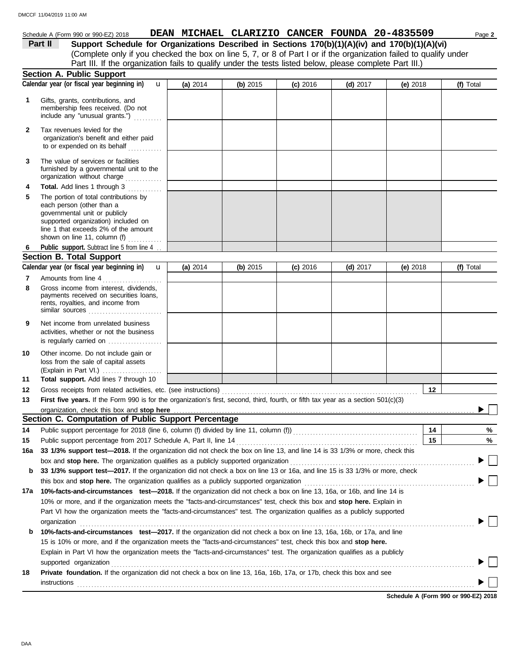Schedule A (Form 990 or 990-EZ) 2018 **DEAN MICHAEL CLARIZIO CANCER FOUNDA 20-4835509** Page 2 (Complete only if you checked the box on line 5, 7, or 8 of Part I or if the organization failed to qualify under **Part II** Support Schedule for Organizations Described in Sections 170(b)(1)(A)(iv) and 170(b)(1)(A)(vi) Part III. If the organization fails to qualify under the tests listed below, please complete Part III.)

|     | <b>Section A. Public Support</b>                                                                                                                                                                                                             |            |            |            |            |            |           |
|-----|----------------------------------------------------------------------------------------------------------------------------------------------------------------------------------------------------------------------------------------------|------------|------------|------------|------------|------------|-----------|
|     | Calendar year (or fiscal year beginning in)<br>$\mathbf{u}$                                                                                                                                                                                  | (a) 2014   | (b) $2015$ | $(c)$ 2016 | (d) $2017$ | (e) $2018$ | (f) Total |
| 1   | Gifts, grants, contributions, and<br>membership fees received. (Do not<br>include any "unusual grants.")                                                                                                                                     |            |            |            |            |            |           |
| 2   | Tax revenues levied for the<br>organization's benefit and either paid<br>to or expended on its behalf                                                                                                                                        |            |            |            |            |            |           |
| 3   | The value of services or facilities<br>furnished by a governmental unit to the<br>organization without charge                                                                                                                                |            |            |            |            |            |           |
| 4   | Total. Add lines 1 through 3                                                                                                                                                                                                                 |            |            |            |            |            |           |
| 5   | The portion of total contributions by<br>each person (other than a<br>governmental unit or publicly<br>supported organization) included on<br>line 1 that exceeds 2% of the amount<br>shown on line 11, column (f)                           |            |            |            |            |            |           |
| 6   | Public support. Subtract line 5 from line 4                                                                                                                                                                                                  |            |            |            |            |            |           |
|     | <b>Section B. Total Support</b>                                                                                                                                                                                                              |            |            |            |            |            |           |
|     | Calendar year (or fiscal year beginning in)<br>$\mathbf{u}$                                                                                                                                                                                  | (a) $2014$ | (b) 2015   | $(c)$ 2016 | (d) $2017$ | (e) $2018$ | (f) Total |
| 7   | Amounts from line 4<br>.                                                                                                                                                                                                                     |            |            |            |            |            |           |
| 8   | Gross income from interest, dividends,<br>payments received on securities loans,<br>rents, royalties, and income from<br>similar sources                                                                                                     |            |            |            |            |            |           |
| 9   | Net income from unrelated business<br>activities, whether or not the business<br>is regularly carried on                                                                                                                                     |            |            |            |            |            |           |
| 10  | Other income. Do not include gain or<br>loss from the sale of capital assets<br>(Explain in Part VI.)                                                                                                                                        |            |            |            |            |            |           |
| 11  | Total support. Add lines 7 through 10                                                                                                                                                                                                        |            |            |            |            |            |           |
| 12  |                                                                                                                                                                                                                                              |            |            |            |            | 12         |           |
| 13  | First five years. If the Form 990 is for the organization's first, second, third, fourth, or fifth tax year as a section 501(c)(3)                                                                                                           |            |            |            |            |            |           |
|     |                                                                                                                                                                                                                                              |            |            |            |            |            |           |
|     | Section C. Computation of Public Support Percentage                                                                                                                                                                                          |            |            |            |            |            |           |
| 14  | Public support percentage for 2018 (line 6, column (f) divided by line 11, column (f)) [[[[[[[[[[[[[[[[[[[[[[                                                                                                                                |            |            |            |            | 14         | %         |
| 15  | Public support percentage from 2017 Schedule A, Part II, line 14                                                                                                                                                                             |            |            |            |            | 15         | %         |
| 16а | 33 1/3% support test-2018. If the organization did not check the box on line 13, and line 14 is 33 1/3% or more, check this                                                                                                                  |            |            |            |            |            |           |
|     | box and stop here. The organization qualifies as a publicly supported organization                                                                                                                                                           |            |            |            |            |            |           |
| b   | 33 1/3% support test-2017. If the organization did not check a box on line 13 or 16a, and line 15 is 33 1/3% or more, check                                                                                                                  |            |            |            |            |            |           |
|     |                                                                                                                                                                                                                                              |            |            |            |            |            |           |
| 17a | 10%-facts-and-circumstances test-2018. If the organization did not check a box on line 13, 16a, or 16b, and line 14 is                                                                                                                       |            |            |            |            |            |           |
|     | 10% or more, and if the organization meets the "facts-and-circumstances" test, check this box and stop here. Explain in                                                                                                                      |            |            |            |            |            |           |
|     | Part VI how the organization meets the "facts-and-circumstances" test. The organization qualifies as a publicly supported                                                                                                                    |            |            |            |            |            |           |
|     | organization                                                                                                                                                                                                                                 |            |            |            |            |            |           |
| b   | 10%-facts-and-circumstances test-2017. If the organization did not check a box on line 13, 16a, 16b, or 17a, and line<br>15 is 10% or more, and if the organization meets the "facts-and-circumstances" test, check this box and stop here.  |            |            |            |            |            |           |
|     | Explain in Part VI how the organization meets the "facts-and-circumstances" test. The organization qualifies as a publicly                                                                                                                   |            |            |            |            |            |           |
|     | supported organization                                                                                                                                                                                                                       |            |            |            |            |            |           |
| 18  | Private foundation. If the organization did not check a box on line 13, 16a, 16b, 17a, or 17b, check this box and see                                                                                                                        |            |            |            |            |            |           |
|     | instructions<br><sub>contr</sub> ettions<br>and the contract of the contract of the contract of the contract of the contract of the contract of the contract of the contract of the contract of the contract of the contract of the contract |            |            |            |            |            |           |
|     |                                                                                                                                                                                                                                              |            |            |            |            |            |           |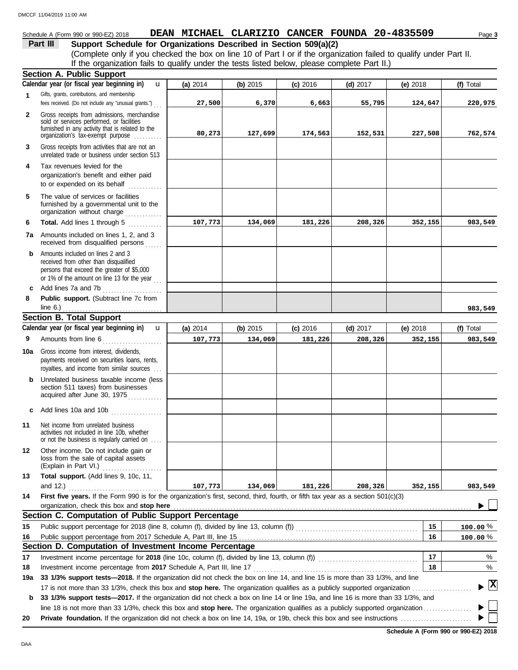### Schedule A (Form 990 or 990-EZ) 2018 **DEAN MICHAEL CLARIZIO CANCER FOUNDA 20-4835509** Page 3

### **Part III** Support Schedule for Organizations Described in Section 509(a)(2)

(Complete only if you checked the box on line 10 of Part I or if the organization failed to qualify under Part II. If the organization fails to qualify under the tests listed below, please complete Part II.)

|              | <b>Section A. Public Support</b>                                                                                                                                                  |            |            |            |            |            |                                    |
|--------------|-----------------------------------------------------------------------------------------------------------------------------------------------------------------------------------|------------|------------|------------|------------|------------|------------------------------------|
|              | Calendar year (or fiscal year beginning in)<br>u                                                                                                                                  | (a) $2014$ | (b) $2015$ | $(c)$ 2016 | (d) $2017$ | (e) $2018$ | (f) Total                          |
| 1            | Gifts, grants, contributions, and membership<br>fees received. (Do not include any "unusual grants.")                                                                             | 27,500     | 6,370      | 6,663      | 55,795     | 124,647    | 220,975                            |
| $\mathbf{2}$ | Gross receipts from admissions, merchandise<br>sold or services performed, or facilities<br>furnished in any activity that is related to the<br>organization's tax-exempt purpose | 80,273     | 127,699    | 174,563    | 152,531    | 227,508    | 762,574                            |
| 3            | Gross receipts from activities that are not an<br>unrelated trade or business under section 513                                                                                   |            |            |            |            |            |                                    |
| 4            | Tax revenues levied for the<br>organization's benefit and either paid<br>to or expended on its behalf                                                                             |            |            |            |            |            |                                    |
| 5            | The value of services or facilities<br>furnished by a governmental unit to the<br>organization without charge                                                                     |            |            |            |            |            |                                    |
| 6            | Total. Add lines 1 through 5                                                                                                                                                      | 107,773    | 134,069    | 181,226    | 208,326    | 352,155    | 983,549                            |
|              | 7a Amounts included on lines 1, 2, and 3<br>received from disqualified persons                                                                                                    |            |            |            |            |            |                                    |
| b            | Amounts included on lines 2 and 3<br>received from other than disqualified<br>persons that exceed the greater of \$5,000<br>or 1% of the amount on line 13 for the year $\ldots$  |            |            |            |            |            |                                    |
| c            | Add lines 7a and 7b                                                                                                                                                               |            |            |            |            |            |                                    |
| 8            | Public support. (Subtract line 7c from                                                                                                                                            |            |            |            |            |            |                                    |
|              | line $6.$ )<br><b>Section B. Total Support</b>                                                                                                                                    |            |            |            |            |            | 983,549                            |
|              | Calendar year (or fiscal year beginning in)<br>$\mathbf{u}$                                                                                                                       | (a) 2014   | (b) 2015   | $(c)$ 2016 | (d) $2017$ | (e) $2018$ | (f) Total                          |
| 9            | Amounts from line 6                                                                                                                                                               | 107,773    | 134,069    | 181,226    | 208,326    | 352,155    | 983,549                            |
|              |                                                                                                                                                                                   |            |            |            |            |            |                                    |
| 10a          | Gross income from interest, dividends,<br>payments received on securities loans, rents,<br>royalties, and income from similar sources                                             |            |            |            |            |            |                                    |
| b            | Unrelated business taxable income (less<br>section 511 taxes) from businesses<br>acquired after June 30, 1975                                                                     |            |            |            |            |            |                                    |
| c            | Add lines 10a and 10b                                                                                                                                                             |            |            |            |            |            |                                    |
| 11           | Net income from unrelated business<br>activities not included in line 10b, whether<br>or not the business is regularly carried on                                                 |            |            |            |            |            |                                    |
| 12           | Other income. Do not include gain or<br>loss from the sale of capital assets<br>(Explain in Part VI.)                                                                             |            |            |            |            |            |                                    |
| 13           | Total support. (Add lines 9, 10c, 11,<br>and 12.) $\ldots$                                                                                                                        | 107,773    | 134,069    | 181,226    | 208,326    | 352,155    | 983,549                            |
| 14           | First five years. If the Form 990 is for the organization's first, second, third, fourth, or fifth tax year as a section 501(c)(3)                                                |            |            |            |            |            |                                    |
|              | organization, check this box and stop here                                                                                                                                        |            |            |            |            |            |                                    |
|              | Section C. Computation of Public Support Percentage                                                                                                                               |            |            |            |            |            |                                    |
| 15           |                                                                                                                                                                                   |            |            |            |            | 15         | 100.00%                            |
| 16           |                                                                                                                                                                                   |            |            |            |            | 16         | $100.00 \%$                        |
|              | Section D. Computation of Investment Income Percentage                                                                                                                            |            |            |            |            |            |                                    |
| 17           |                                                                                                                                                                                   |            |            |            |            | 17         | %                                  |
| 18           |                                                                                                                                                                                   |            |            |            |            | 18         | %                                  |
| 19a          | 33 1/3% support tests-2018. If the organization did not check the box on line 14, and line 15 is more than 33 1/3%, and line                                                      |            |            |            |            |            | $\blacktriangleright$ $\mathbf{X}$ |
|              |                                                                                                                                                                                   |            |            |            |            |            |                                    |
| b            | 33 1/3% support tests-2017. If the organization did not check a box on line 14 or line 19a, and line 16 is more than 33 1/3%, and                                                 |            |            |            |            |            |                                    |
| 20           |                                                                                                                                                                                   |            |            |            |            |            |                                    |
|              |                                                                                                                                                                                   |            |            |            |            |            |                                    |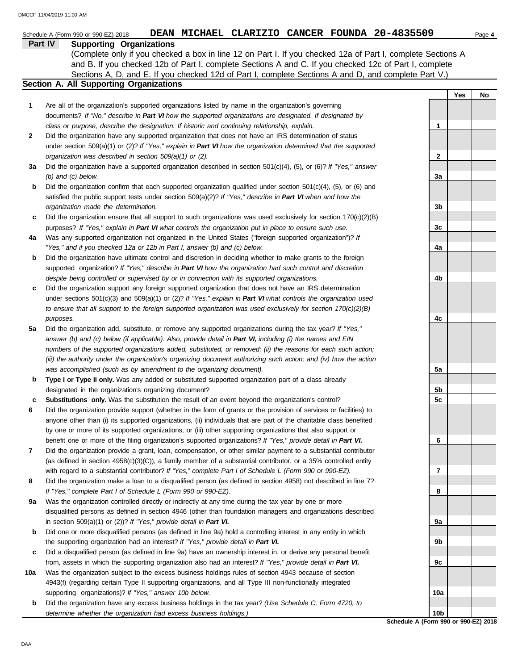|    | MCCF 11/04/2019 11:00 AM                                                                                                                                                                                                           |              |     |        |
|----|------------------------------------------------------------------------------------------------------------------------------------------------------------------------------------------------------------------------------------|--------------|-----|--------|
|    | DEAN MICHAEL CLARIZIO CANCER FOUNDA 20-4835509<br>Schedule A (Form 990 or 990-EZ) 2018                                                                                                                                             |              |     | Page 4 |
|    | Part IV<br><b>Supporting Organizations</b>                                                                                                                                                                                         |              |     |        |
|    | (Complete only if you checked a box in line 12 on Part I. If you checked 12a of Part I, complete Sections A                                                                                                                        |              |     |        |
|    | and B. If you checked 12b of Part I, complete Sections A and C. If you checked 12c of Part I, complete                                                                                                                             |              |     |        |
|    | Sections A, D, and E. If you checked 12d of Part I, complete Sections A and D, and complete Part V.)<br><b>Section A. All Supporting Organizations</b>                                                                             |              |     |        |
|    |                                                                                                                                                                                                                                    |              | Yes | No     |
| 1  | Are all of the organization's supported organizations listed by name in the organization's governing                                                                                                                               |              |     |        |
|    | documents? If "No," describe in Part VI how the supported organizations are designated. If designated by                                                                                                                           |              |     |        |
|    | class or purpose, describe the designation. If historic and continuing relationship, explain.                                                                                                                                      | 1            |     |        |
| 2  | Did the organization have any supported organization that does not have an IRS determination of status                                                                                                                             |              |     |        |
|    | under section 509(a)(1) or (2)? If "Yes," explain in Part VI how the organization determined that the supported                                                                                                                    |              |     |        |
|    | organization was described in section 509(a)(1) or (2).                                                                                                                                                                            | $\mathbf{2}$ |     |        |
| За | Did the organization have a supported organization described in section $501(c)(4)$ , (5), or (6)? If "Yes," answer                                                                                                                |              |     |        |
|    | $(b)$ and $(c)$ below.                                                                                                                                                                                                             | 3a           |     |        |
| b  | Did the organization confirm that each supported organization qualified under section $501(c)(4)$ , $(5)$ , or $(6)$ and                                                                                                           |              |     |        |
|    | satisfied the public support tests under section 509(a)(2)? If "Yes," describe in Part VI when and how the                                                                                                                         |              |     |        |
|    | organization made the determination.                                                                                                                                                                                               | 3b           |     |        |
| c  | Did the organization ensure that all support to such organizations was used exclusively for section $170(c)(2)(B)$                                                                                                                 |              |     |        |
|    | purposes? If "Yes," explain in Part VI what controls the organization put in place to ensure such use.                                                                                                                             | 3c           |     |        |
| 4a | Was any supported organization not organized in the United States ("foreign supported organization")? If                                                                                                                           |              |     |        |
|    | "Yes," and if you checked 12a or 12b in Part I, answer (b) and (c) below.                                                                                                                                                          | 4a           |     |        |
| b  | Did the organization have ultimate control and discretion in deciding whether to make grants to the foreign                                                                                                                        |              |     |        |
|    | supported organization? If "Yes," describe in Part VI how the organization had such control and discretion                                                                                                                         |              |     |        |
|    | despite being controlled or supervised by or in connection with its supported organizations.                                                                                                                                       | 4b           |     |        |
| c  | Did the organization support any foreign supported organization that does not have an IRS determination                                                                                                                            |              |     |        |
|    | under sections $501(c)(3)$ and $509(a)(1)$ or (2)? If "Yes," explain in Part VI what controls the organization used                                                                                                                |              |     |        |
|    | to ensure that all support to the foreign supported organization was used exclusively for section $170(c)(2)(B)$                                                                                                                   |              |     |        |
|    | purposes.                                                                                                                                                                                                                          | 4c           |     |        |
| 5a | Did the organization add, substitute, or remove any supported organizations during the tax year? If "Yes,"                                                                                                                         |              |     |        |
|    | answer (b) and (c) below (if applicable). Also, provide detail in Part VI, including (i) the names and EIN                                                                                                                         |              |     |        |
|    | numbers of the supported organizations added, substituted, or removed; (ii) the reasons for each such action;                                                                                                                      |              |     |        |
|    | (iii) the authority under the organization's organizing document authorizing such action; and (iv) how the action                                                                                                                  |              |     |        |
|    | was accomplished (such as by amendment to the organizing document).                                                                                                                                                                | 5a           |     |        |
| b  | Type I or Type II only. Was any added or substituted supported organization part of a class already                                                                                                                                |              |     |        |
|    | designated in the organization's organizing document?                                                                                                                                                                              | 5b           |     |        |
| с  | Substitutions only. Was the substitution the result of an event beyond the organization's control?                                                                                                                                 | 5c           |     |        |
| 6  | Did the organization provide support (whether in the form of grants or the provision of services or facilities) to                                                                                                                 |              |     |        |
|    | anyone other than (i) its supported organizations, (ii) individuals that are part of the charitable class benefited<br>by one or more of its supported organizations, or (iii) other supporting organizations that also support or |              |     |        |
|    | benefit one or more of the filing organization's supported organizations? If "Yes," provide detail in Part VI.                                                                                                                     | 6            |     |        |
| 7  | Did the organization provide a grant, loan, compensation, or other similar payment to a substantial contributor                                                                                                                    |              |     |        |
|    | (as defined in section $4958(c)(3)(C)$ ), a family member of a substantial contributor, or a 35% controlled entity                                                                                                                 |              |     |        |
|    | with regard to a substantial contributor? If "Yes," complete Part I of Schedule L (Form 990 or 990-EZ).                                                                                                                            | 7            |     |        |
| 8  | Did the organization make a loan to a disqualified person (as defined in section 4958) not described in line 7?                                                                                                                    |              |     |        |
|    | If "Yes," complete Part I of Schedule L (Form 990 or 990-EZ).                                                                                                                                                                      | 8            |     |        |
| 9a | Was the organization controlled directly or indirectly at any time during the tax year by one or more                                                                                                                              |              |     |        |
|    | disqualified persons as defined in section 4946 (other than foundation managers and organizations described                                                                                                                        |              |     |        |
|    | in section $509(a)(1)$ or (2))? If "Yes," provide detail in Part VI.                                                                                                                                                               | 9а           |     |        |
| b  | Did one or more disqualified persons (as defined in line 9a) hold a controlling interest in any entity in which                                                                                                                    |              |     |        |
|    | the supporting organization had an interest? If "Yes," provide detail in Part VI.                                                                                                                                                  | 9b           |     |        |
| с  | Did a disqualified person (as defined in line 9a) have an ownership interest in, or derive any personal benefit                                                                                                                    |              |     |        |
|    | from, assets in which the supporting organization also had an interest? If "Yes," provide detail in Part VI.                                                                                                                       | 9c           |     |        |

- **10a** Was the organization subject to the excess business holdings rules of section 4943 because of section 4943(f) (regarding certain Type II supporting organizations, and all Type III non-functionally integrated supporting organizations)? *If "Yes," answer 10b below.*
	- **b** Did the organization have any excess business holdings in the tax year? *(Use Schedule C, Form 4720, to determine whether the organization had excess business holdings.)*

**Schedule A (Form 990 or 990-EZ) 2018 10b**

**10a**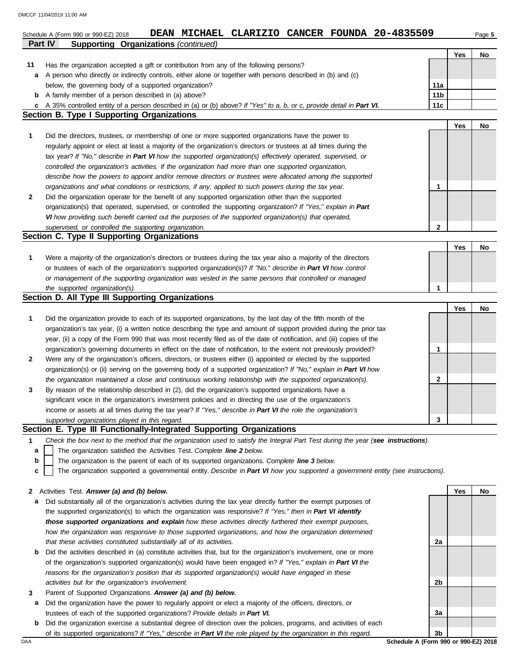|    | MICHAEL CLARIZIO CANCER FOUNDA 20-4835509<br><b>DEAN</b><br>Schedule A (Form 990 or 990-EZ) 2018                                                             |                 |     | Page 5 |
|----|--------------------------------------------------------------------------------------------------------------------------------------------------------------|-----------------|-----|--------|
|    | <b>Part IV</b><br><b>Supporting Organizations (continued)</b>                                                                                                |                 |     |        |
| 11 | Has the organization accepted a gift or contribution from any of the following persons?                                                                      |                 | Yes | No     |
| а  | A person who directly or indirectly controls, either alone or together with persons described in (b) and (c)                                                 |                 |     |        |
|    | below, the governing body of a supported organization?                                                                                                       | 11a             |     |        |
|    | <b>b</b> A family member of a person described in (a) above?                                                                                                 | 11 <sub>b</sub> |     |        |
|    | c A 35% controlled entity of a person described in (a) or (b) above? If "Yes" to a, b, or c, provide detail in Part VI.                                      | 11c             |     |        |
|    | Section B. Type I Supporting Organizations                                                                                                                   |                 |     |        |
|    |                                                                                                                                                              |                 | Yes | No     |
| 1  | Did the directors, trustees, or membership of one or more supported organizations have the power to                                                          |                 |     |        |
|    | regularly appoint or elect at least a majority of the organization's directors or trustees at all times during the                                           |                 |     |        |
|    | tax year? If "No," describe in Part VI how the supported organization(s) effectively operated, supervised, or                                                |                 |     |        |
|    | controlled the organization's activities. If the organization had more than one supported organization,                                                      |                 |     |        |
|    | describe how the powers to appoint and/or remove directors or trustees were allocated among the supported                                                    |                 |     |        |
|    | organizations and what conditions or restrictions, if any, applied to such powers during the tax year.                                                       | 1               |     |        |
| 2  | Did the organization operate for the benefit of any supported organization other than the supported                                                          |                 |     |        |
|    | organization(s) that operated, supervised, or controlled the supporting organization? If "Yes," explain in Part                                              |                 |     |        |
|    | VI how providing such benefit carried out the purposes of the supported organization(s) that operated,                                                       |                 |     |        |
|    | supervised, or controlled the supporting organization.<br>Section C. Type II Supporting Organizations                                                        | $\mathbf{2}$    |     |        |
|    |                                                                                                                                                              |                 | Yes | No     |
| 1  | Were a majority of the organization's directors or trustees during the tax year also a majority of the directors                                             |                 |     |        |
|    | or trustees of each of the organization's supported organization(s)? If "No," describe in Part VI how control                                                |                 |     |        |
|    | or management of the supporting organization was vested in the same persons that controlled or managed                                                       |                 |     |        |
|    | the supported organization(s).                                                                                                                               | 1               |     |        |
|    | Section D. All Type III Supporting Organizations                                                                                                             |                 |     |        |
|    |                                                                                                                                                              |                 | Yes | No     |
| 1  | Did the organization provide to each of its supported organizations, by the last day of the fifth month of the                                               |                 |     |        |
|    | organization's tax year, (i) a written notice describing the type and amount of support provided during the prior tax                                        |                 |     |        |
|    | year, (ii) a copy of the Form 990 that was most recently filed as of the date of notification, and (iii) copies of the                                       |                 |     |        |
|    | organization's governing documents in effect on the date of notification, to the extent not previously provided?                                             | 1               |     |        |
| 2  | Were any of the organization's officers, directors, or trustees either (i) appointed or elected by the supported                                             |                 |     |        |
|    | organization(s) or (ii) serving on the governing body of a supported organization? If "No," explain in Part VI how                                           |                 |     |        |
|    | the organization maintained a close and continuous working relationship with the supported organization(s).                                                  | 2               |     |        |
| 3  | By reason of the relationship described in (2), did the organization's supported organizations have a                                                        |                 |     |        |
|    | significant voice in the organization's investment policies and in directing the use of the organization's                                                   |                 |     |        |
|    | income or assets at all times during the tax year? If "Yes," describe in Part VI the role the organization's                                                 |                 |     |        |
|    | supported organizations played in this regard.                                                                                                               | 3               |     |        |
|    | Section E. Type III Functionally-Integrated Supporting Organizations                                                                                         |                 |     |        |
| 1  | Check the box next to the method that the organization used to satisfy the Integral Part Test during the year (see instructions).                            |                 |     |        |
| а  | The organization satisfied the Activities Test. Complete line 2 below.                                                                                       |                 |     |        |
| b  | The organization is the parent of each of its supported organizations. Complete line 3 below.                                                                |                 |     |        |
| C  | The organization supported a governmental entity. Describe in Part VI how you supported a government entity (see instructions).                              |                 |     |        |
|    |                                                                                                                                                              |                 |     |        |
| 2  | Activities Test. Answer (a) and (b) below.                                                                                                                   |                 | Yes | No     |
| а  | Did substantially all of the organization's activities during the tax year directly further the exempt purposes of                                           |                 |     |        |
|    | the supported organization(s) to which the organization was responsive? If "Yes," then in Part VI identify                                                   |                 |     |        |
|    | those supported organizations and explain how these activities directly furthered their exempt purposes,                                                     |                 |     |        |
|    | how the organization was responsive to those supported organizations, and how the organization determined                                                    |                 |     |        |
|    | that these activities constituted substantially all of its activities.                                                                                       | 2a              |     |        |
| b  | Did the activities described in (a) constitute activities that, but for the organization's involvement, one or more                                          |                 |     |        |
|    | of the organization's supported organization(s) would have been engaged in? If "Yes," explain in Part VI the                                                 |                 |     |        |
|    | reasons for the organization's position that its supported organization(s) would have engaged in these<br>activities but for the organization's involvement. |                 |     |        |
| 3  | Parent of Supported Organizations. Answer (a) and (b) below.                                                                                                 | 2b              |     |        |
|    |                                                                                                                                                              |                 |     |        |

- **a** Did the organization have the power to regularly appoint or elect a majority of the officers, directors, or trustees of each of the supported organizations? *Provide details in Part VI.*
- **b** Did the organization exercise a substantial degree of direction over the policies, programs, and activities of each of its supported organizations? *If "Yes," describe in Part VI the role played by the organization in this regard.*

DAA **Schedule A (Form 990 or 990-EZ) 2018 3b**

**3a**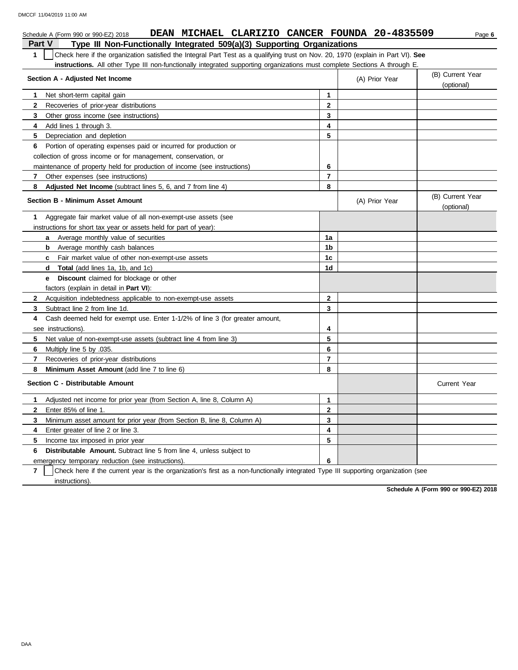|               | DEAN MICHAEL CLARIZIO CANCER FOUNDA 20-4835509<br>Schedule A (Form 990 or 990-EZ) 2018                                           |                |                | Page 6                         |
|---------------|----------------------------------------------------------------------------------------------------------------------------------|----------------|----------------|--------------------------------|
| <b>Part V</b> | Type III Non-Functionally Integrated 509(a)(3) Supporting Organizations                                                          |                |                |                                |
| $\mathbf{1}$  | Check here if the organization satisfied the Integral Part Test as a qualifying trust on Nov. 20, 1970 (explain in Part VI). See |                |                |                                |
|               | <b>instructions.</b> All other Type III non-functionally integrated supporting organizations must complete Sections A through E. |                |                |                                |
|               | Section A - Adjusted Net Income                                                                                                  |                | (A) Prior Year | (B) Current Year               |
|               |                                                                                                                                  |                |                | (optional)                     |
| 1             | Net short-term capital gain                                                                                                      | $\mathbf{1}$   |                |                                |
| $\mathbf{2}$  | Recoveries of prior-year distributions                                                                                           | $\mathbf{2}$   |                |                                |
| 3             | Other gross income (see instructions)                                                                                            | 3              |                |                                |
| 4             | Add lines 1 through 3.                                                                                                           | 4              |                |                                |
| 5             | Depreciation and depletion                                                                                                       | 5              |                |                                |
| 6             | Portion of operating expenses paid or incurred for production or                                                                 |                |                |                                |
|               | collection of gross income or for management, conservation, or                                                                   |                |                |                                |
|               | maintenance of property held for production of income (see instructions)                                                         | 6              |                |                                |
| 7             | Other expenses (see instructions)                                                                                                | 7              |                |                                |
| 8             | Adjusted Net Income (subtract lines 5, 6, and 7 from line 4)                                                                     | 8              |                |                                |
|               | Section B - Minimum Asset Amount                                                                                                 |                | (A) Prior Year | (B) Current Year<br>(optional) |
| 1             | Aggregate fair market value of all non-exempt-use assets (see                                                                    |                |                |                                |
|               | instructions for short tax year or assets held for part of year):                                                                |                |                |                                |
|               | <b>a</b> Average monthly value of securities                                                                                     | 1a             |                |                                |
|               | Average monthly cash balances<br>b                                                                                               | 1b             |                |                                |
|               | c Fair market value of other non-exempt-use assets                                                                               | 1c             |                |                                |
|               | Total (add lines 1a, 1b, and 1c)<br>d                                                                                            | 1d             |                |                                |
|               | <b>Discount</b> claimed for blockage or other<br>e –                                                                             |                |                |                                |
|               | factors (explain in detail in <b>Part VI)</b> :                                                                                  |                |                |                                |
| $\mathbf{2}$  | Acquisition indebtedness applicable to non-exempt-use assets                                                                     | $\mathbf{2}$   |                |                                |
| 3             | Subtract line 2 from line 1d.                                                                                                    | 3              |                |                                |
| 4             | Cash deemed held for exempt use. Enter 1-1/2% of line 3 (for greater amount,                                                     |                |                |                                |
|               | see instructions).                                                                                                               | 4              |                |                                |
| 5             | Net value of non-exempt-use assets (subtract line 4 from line 3)                                                                 | 5              |                |                                |
| 6             | Multiply line 5 by .035.                                                                                                         | 6              |                |                                |
| 7             | Recoveries of prior-year distributions                                                                                           | $\overline{7}$ |                |                                |
| 8             | Minimum Asset Amount (add line 7 to line 6)                                                                                      | 8              |                |                                |
|               | Section C - Distributable Amount                                                                                                 |                |                | <b>Current Year</b>            |
| 1             | Adjusted net income for prior year (from Section A, line 8, Column A)                                                            | 1              |                |                                |
| $\mathbf{2}$  | Enter 85% of line 1.                                                                                                             | $\mathbf 2$    |                |                                |
| 3             | Minimum asset amount for prior year (from Section B, line 8, Column A)                                                           | 3              |                |                                |
| 4             | Enter greater of line 2 or line 3.                                                                                               | 4              |                |                                |
| 5             | Income tax imposed in prior year                                                                                                 | 5              |                |                                |
| 6             | <b>Distributable Amount.</b> Subtract line 5 from line 4, unless subject to                                                      |                |                |                                |
|               | emergency temporary reduction (see instructions).                                                                                | 6              |                |                                |

**7** | Check here if the current year is the organization's first as a non-functionally integrated Type III supporting organization (see instructions).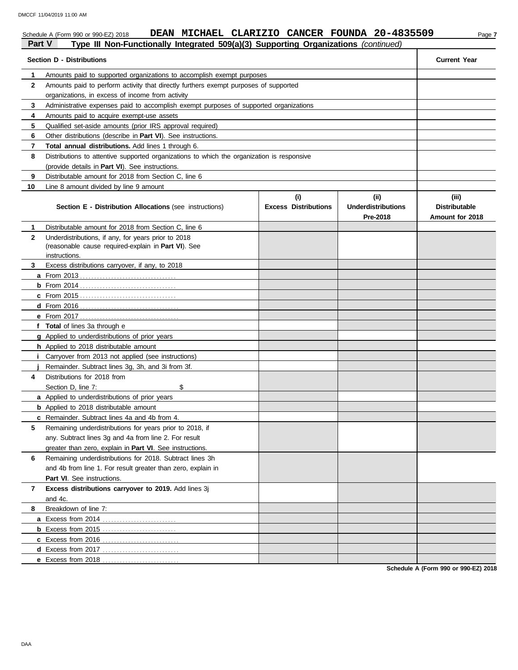### Schedule A (Form 990 or 990-EZ) 2018 **DEAN MICHAEL CLARIZIO CANCER FOUNDA 20-4835509** Page 7 **Part V Type III Non-Functionally Integrated 509(a)(3) Supporting Organizations** *(continued)* **Section D - Distributions Current Year 1 2 3 4 5 6 7 8 9 10** Amounts paid to supported organizations to accomplish exempt purposes Amounts paid to perform activity that directly furthers exempt purposes of supported organizations, in excess of income from activity Administrative expenses paid to accomplish exempt purposes of supported organizations Amounts paid to acquire exempt-use assets Qualified set-aside amounts (prior IRS approval required) Other distributions (describe in **Part VI**). See instructions. **Total annual distributions.** Add lines 1 through 6. Distributions to attentive supported organizations to which the organization is responsive (provide details in **Part VI**). See instructions. Distributable amount for 2018 from Section C, line 6 Line 8 amount divided by line 9 amount **Section E - Distribution Allocations** (see instructions) **Excess Distributions (i) (ii) Underdistributions Pre-2018 (iii) Distributable Amount for 2018 8 7 6 5 4 3 2 1 a** From 2013 . . . . . . . . . . . . . . . . . . . . . . . . . . . . . . . . . . **b** From 2014 . . . . . . . . . . . . . . . . . . . . . . . . . . . . . . . . . . **c** From 2015 . . . . . . . . . . . . . . . . . . . . . . . . . . . . . . . . . . **d** From 2016 . . . . . . . . . . . . . . . . . . . . . . . . . . . . . . . . . . . **e** From 2017 . . . . . . . . . . . . . . . . . . . . . . . . . . . . . . . . . . . **f Total** of lines 3a through e **g** Applied to underdistributions of prior years **h** Applied to 2018 distributable amount **i** Carryover from 2013 not applied (see instructions) **j** Remainder. Subtract lines 3g, 3h, and 3i from 3f. **a** Applied to underdistributions of prior years **b** Applied to 2018 distributable amount **c** Remainder. Subtract lines 4a and 4b from 4. **a** Excess from 2014 . . . . . . . . . . . . . . . . . . . . . . . . . . **b** Excess from 2015 . . . . . . . . . . . . . . . . . . . . . . . . . . **c** Excess from 2016 . . . . . . . . . . . . . . . . . . . . . . . . . . . **d** Excess from 2017 . . . . . . . . . . . . . . . . . . . . . . . . . . . Distributable amount for 2018 from Section C, line 6 Underdistributions, if any, for years prior to 2018 (reasonable cause required-explain in **Part VI**). See Excess distributions carryover, if any, to 2018 Distributions for 2018 from Section D, line 7: \$ Remaining underdistributions for years prior to 2018, if any. Subtract lines 3g and 4a from line 2. For result greater than zero, explain in **Part VI**. See instructions. Remaining underdistributions for 2018. Subtract lines 3h and 4b from line 1. For result greater than zero, explain in **Part VI**. See instructions. **Excess distributions carryover to 2019.** Add lines 3j and 4c. Breakdown of line 7: instructions.

**Schedule A (Form 990 or 990-EZ) 2018**

**e** Excess from 2018 . . . . . . . . . . . . . . . . . . . . . . . . . . .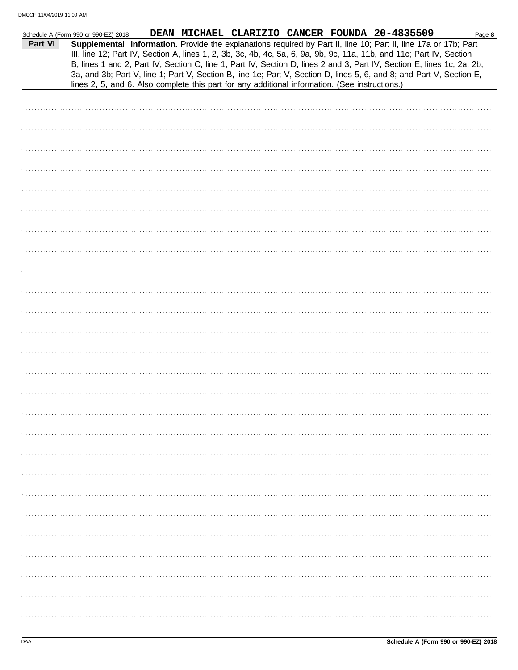|         | Schedule A (Form 990 or 990-EZ) 2018                                                           |  |  | DEAN MICHAEL CLARIZIO CANCER FOUNDA 20-4835509                                                                                                                                                                                                                                                                                                                                                                                                                                            | Page 8 |
|---------|------------------------------------------------------------------------------------------------|--|--|-------------------------------------------------------------------------------------------------------------------------------------------------------------------------------------------------------------------------------------------------------------------------------------------------------------------------------------------------------------------------------------------------------------------------------------------------------------------------------------------|--------|
| Part VI | lines 2, 5, and 6. Also complete this part for any additional information. (See instructions.) |  |  | Supplemental Information. Provide the explanations required by Part II, line 10; Part II, line 17a or 17b; Part<br>III, line 12; Part IV, Section A, lines 1, 2, 3b, 3c, 4b, 4c, 5a, 6, 9a, 9b, 9c, 11a, 11b, and 11c; Part IV, Section<br>B, lines 1 and 2; Part IV, Section C, line 1; Part IV, Section D, lines 2 and 3; Part IV, Section E, lines 1c, 2a, 2b,<br>3a, and 3b; Part V, line 1; Part V, Section B, line 1e; Part V, Section D, lines 5, 6, and 8; and Part V, Section E, |        |
|         |                                                                                                |  |  |                                                                                                                                                                                                                                                                                                                                                                                                                                                                                           |        |
|         |                                                                                                |  |  |                                                                                                                                                                                                                                                                                                                                                                                                                                                                                           |        |
|         |                                                                                                |  |  |                                                                                                                                                                                                                                                                                                                                                                                                                                                                                           |        |
|         |                                                                                                |  |  |                                                                                                                                                                                                                                                                                                                                                                                                                                                                                           |        |
|         |                                                                                                |  |  |                                                                                                                                                                                                                                                                                                                                                                                                                                                                                           |        |
|         |                                                                                                |  |  |                                                                                                                                                                                                                                                                                                                                                                                                                                                                                           |        |
|         |                                                                                                |  |  |                                                                                                                                                                                                                                                                                                                                                                                                                                                                                           |        |
|         |                                                                                                |  |  |                                                                                                                                                                                                                                                                                                                                                                                                                                                                                           |        |
|         |                                                                                                |  |  |                                                                                                                                                                                                                                                                                                                                                                                                                                                                                           |        |
|         |                                                                                                |  |  |                                                                                                                                                                                                                                                                                                                                                                                                                                                                                           |        |
|         |                                                                                                |  |  |                                                                                                                                                                                                                                                                                                                                                                                                                                                                                           |        |
|         |                                                                                                |  |  |                                                                                                                                                                                                                                                                                                                                                                                                                                                                                           |        |
|         |                                                                                                |  |  |                                                                                                                                                                                                                                                                                                                                                                                                                                                                                           |        |
|         |                                                                                                |  |  |                                                                                                                                                                                                                                                                                                                                                                                                                                                                                           |        |
|         |                                                                                                |  |  |                                                                                                                                                                                                                                                                                                                                                                                                                                                                                           |        |
|         |                                                                                                |  |  |                                                                                                                                                                                                                                                                                                                                                                                                                                                                                           |        |
|         |                                                                                                |  |  |                                                                                                                                                                                                                                                                                                                                                                                                                                                                                           |        |
|         |                                                                                                |  |  |                                                                                                                                                                                                                                                                                                                                                                                                                                                                                           |        |
|         |                                                                                                |  |  |                                                                                                                                                                                                                                                                                                                                                                                                                                                                                           |        |
|         |                                                                                                |  |  |                                                                                                                                                                                                                                                                                                                                                                                                                                                                                           |        |
|         |                                                                                                |  |  |                                                                                                                                                                                                                                                                                                                                                                                                                                                                                           |        |
|         |                                                                                                |  |  |                                                                                                                                                                                                                                                                                                                                                                                                                                                                                           |        |
|         |                                                                                                |  |  |                                                                                                                                                                                                                                                                                                                                                                                                                                                                                           |        |
|         |                                                                                                |  |  |                                                                                                                                                                                                                                                                                                                                                                                                                                                                                           |        |
|         |                                                                                                |  |  |                                                                                                                                                                                                                                                                                                                                                                                                                                                                                           |        |
|         |                                                                                                |  |  |                                                                                                                                                                                                                                                                                                                                                                                                                                                                                           |        |
|         |                                                                                                |  |  |                                                                                                                                                                                                                                                                                                                                                                                                                                                                                           |        |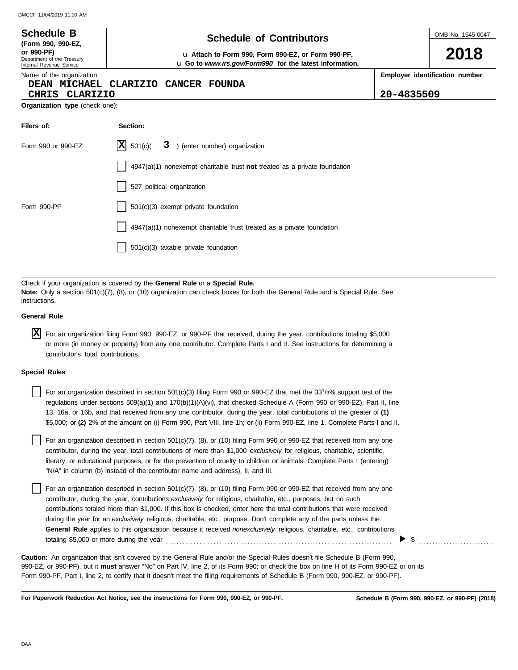| <b>Schedule B</b><br>(Form 990, 990-EZ,<br>or 990-PF)<br>Department of the Treasury<br>Internal Revenue Service | <b>Schedule of Contributors</b><br>u Attach to Form 990, Form 990-EZ, or Form 990-PF.<br>u Go to www.irs.gov/Form990 for the latest information.                                                            |            | OMB No. 1545-0047<br>2018      |
|-----------------------------------------------------------------------------------------------------------------|-------------------------------------------------------------------------------------------------------------------------------------------------------------------------------------------------------------|------------|--------------------------------|
| Name of the organization<br>CLARIZIO<br>CHRIS<br><b>Organization type (check one):</b>                          | DEAN MICHAEL CLARIZIO CANCER FOUNDA                                                                                                                                                                         | 20-4835509 | Employer identification number |
| Filers of:                                                                                                      | Section:                                                                                                                                                                                                    |            |                                |
| Form 990 or 990-EZ                                                                                              | $ \mathbf{X} $ 501(c)(<br>3 ) (enter number) organization                                                                                                                                                   |            |                                |
|                                                                                                                 | $4947(a)(1)$ nonexempt charitable trust not treated as a private foundation                                                                                                                                 |            |                                |
|                                                                                                                 | 527 political organization                                                                                                                                                                                  |            |                                |
| Form 990-PF                                                                                                     | 501(c)(3) exempt private foundation                                                                                                                                                                         |            |                                |
|                                                                                                                 | 4947(a)(1) nonexempt charitable trust treated as a private foundation                                                                                                                                       |            |                                |
|                                                                                                                 | 501(c)(3) taxable private foundation                                                                                                                                                                        |            |                                |
|                                                                                                                 |                                                                                                                                                                                                             |            |                                |
| instructions.                                                                                                   | Check if your organization is covered by the General Rule or a Special Rule.<br>Note: Only a section 501(c)(7), (8), or (10) organization can check boxes for both the General Rule and a Special Rule. See |            |                                |

### **General Rule**

For an organization filing Form 990, 990-EZ, or 990-PF that received, during the year, contributions totaling \$5,000 **X** or more (in money or property) from any one contributor. Complete Parts I and II. See instructions for determining a contributor's total contributions.

### **Special Rules**

| For an organization described in section 501(c)(3) filing Form 990 or 990-EZ that met the $33^{1/3\%}$ support test of the  |
|-----------------------------------------------------------------------------------------------------------------------------|
| regulations under sections 509(a)(1) and 170(b)(1)(A)(vi), that checked Schedule A (Form 990 or 990-EZ), Part II, line      |
| 13, 16a, or 16b, and that received from any one contributor, during the year, total contributions of the greater of (1)     |
| \$5,000; or (2) 2% of the amount on (i) Form 990, Part VIII, line 1h; or (ii) Form 990-EZ, line 1. Complete Parts I and II. |

literary, or educational purposes, or for the prevention of cruelty to children or animals. Complete Parts I (entering) For an organization described in section  $501(c)(7)$ ,  $(8)$ , or  $(10)$  filing Form 990 or 990-EZ that received from any one contributor, during the year, total contributions of more than \$1,000 *exclusively* for religious, charitable, scientific, "N/A" in column (b) instead of the contributor name and address), II, and III.

For an organization described in section 501(c)(7), (8), or (10) filing Form 990 or 990-EZ that received from any one contributor, during the year, contributions *exclusively* for religious, charitable, etc., purposes, but no such contributions totaled more than \$1,000. If this box is checked, enter here the total contributions that were received during the year for an *exclusively* religious, charitable, etc., purpose. Don't complete any of the parts unless the **General Rule** applies to this organization because it received *nonexclusively* religious, charitable, etc., contributions totaling \$5,000 or more during the year . . . . . . . . . . . . . . . . . . . . . . . . . . . . . . . . . . . . . . . . . . . . . . . . . . . . . . . . . . . . . . . . . . . . . . . . . . . . . . . .

990-EZ, or 990-PF), but it **must** answer "No" on Part IV, line 2, of its Form 990; or check the box on line H of its Form 990-EZ or on its Form 990-PF, Part I, line 2, to certify that it doesn't meet the filing requirements of Schedule B (Form 990, 990-EZ, or 990-PF). **Caution:** An organization that isn't covered by the General Rule and/or the Special Rules doesn't file Schedule B (Form 990,

**For Paperwork Reduction Act Notice, see the instructions for Form 990, 990-EZ, or 990-PF.**

\$ . . . . . . . . . . . . . . . . . . . . . . . . . . .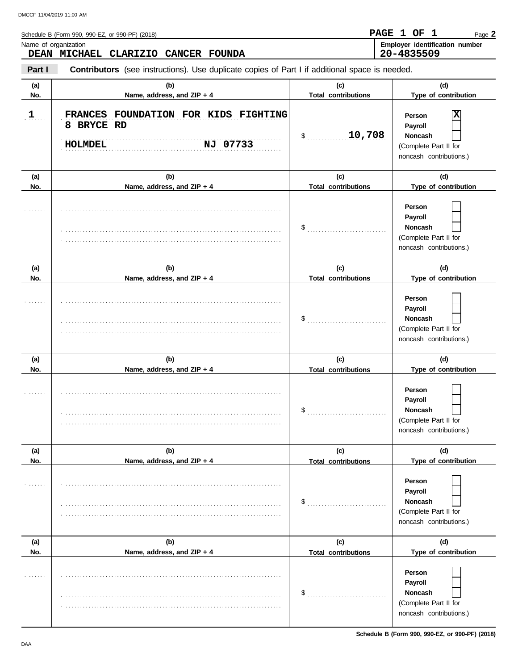| Schedule B (Form 990, 990-EZ, or 990-PF) (2018) | PAGE 1 OF  |  | Page 2                                |
|-------------------------------------------------|------------|--|---------------------------------------|
| Name of organization                            |            |  | <b>Employer identification number</b> |
| <b>DEAN</b><br>MICHAEL CLARIZIO CANCER FOUNDA   | 20-4835509 |  |                                       |
|                                                 |            |  |                                       |

**Part I Contributors** (see instructions). Use duplicate copies of Part I if additional space is needed.

| (a) | (b)                                                                              | (c)                        | (d)                                                                                     |
|-----|----------------------------------------------------------------------------------|----------------------------|-----------------------------------------------------------------------------------------|
| No. | Name, address, and ZIP + 4                                                       | <b>Total contributions</b> | Type of contribution                                                                    |
| 1   | FRANCES FOUNDATION FOR KIDS FIGHTING<br>8 BRYCE RD<br>NJ 07733<br><b>HOLMDEL</b> | 10,708<br>\$               | Person<br>Payroll<br><b>Noncash</b><br>(Complete Part II for<br>noncash contributions.) |
| (a) | (b)                                                                              | (c)                        | (d)                                                                                     |
| No. | Name, address, and ZIP + 4                                                       | <b>Total contributions</b> | Type of contribution                                                                    |
|     |                                                                                  | \$                         | Person<br>Payroll<br><b>Noncash</b><br>(Complete Part II for<br>noncash contributions.) |
| (a) | (b)                                                                              | (c)                        | (d)                                                                                     |
| No. | Name, address, and ZIP + 4                                                       | <b>Total contributions</b> | Type of contribution                                                                    |
|     |                                                                                  | \$                         | Person<br>Payroll<br><b>Noncash</b><br>(Complete Part II for<br>noncash contributions.) |
| (a) | (b)                                                                              | (c)                        | (d)                                                                                     |
| No. | Name, address, and ZIP + 4                                                       | <b>Total contributions</b> | Type of contribution                                                                    |
|     |                                                                                  | \$                         | Person<br>Payroll<br><b>Noncash</b><br>(Complete Part II for<br>noncash contributions.) |
| (a) | (b)                                                                              | (c)                        | (d)                                                                                     |
| No. | Name, address, and ZIP + 4                                                       | <b>Total contributions</b> | Type of contribution                                                                    |
| .   |                                                                                  | \$                         | Person<br>Payroll<br><b>Noncash</b><br>(Complete Part II for<br>noncash contributions.) |
| (a) | (b)                                                                              | (c)                        | (d)                                                                                     |
| No. | Name, address, and ZIP + 4                                                       | <b>Total contributions</b> | Type of contribution                                                                    |
| .   |                                                                                  | \$                         | Person<br>Payroll<br><b>Noncash</b><br>(Complete Part II for<br>noncash contributions.) |

**Schedule B (Form 990, 990-EZ, or 990-PF) (2018)**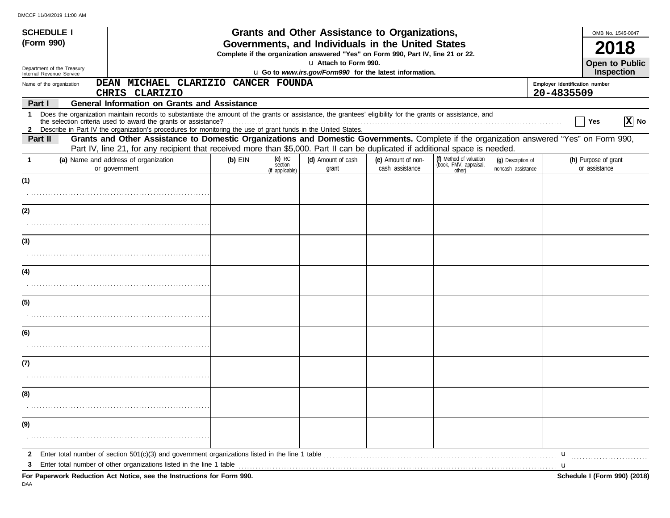| <b>SCHEDULE I</b>          |                                                                                                                                                                                                                                                                                                                                                 |           |                                                                                                                                       | Grants and Other Assistance to Organizations,           |                                       |                                                             |                                          |                                              | OMB No. 1545-0047                     |          |
|----------------------------|-------------------------------------------------------------------------------------------------------------------------------------------------------------------------------------------------------------------------------------------------------------------------------------------------------------------------------------------------|-----------|---------------------------------------------------------------------------------------------------------------------------------------|---------------------------------------------------------|---------------------------------------|-------------------------------------------------------------|------------------------------------------|----------------------------------------------|---------------------------------------|----------|
| (Form 990)                 |                                                                                                                                                                                                                                                                                                                                                 |           | Governments, and Individuals in the United States<br>Complete if the organization answered "Yes" on Form 990, Part IV, line 21 or 22. |                                                         |                                       |                                                             |                                          |                                              |                                       |          |
| Department of the Treasury | La Attach to Form 990.                                                                                                                                                                                                                                                                                                                          |           |                                                                                                                                       |                                                         |                                       |                                                             |                                          |                                              | <b>Open to Public</b>                 |          |
| Internal Revenue Service   |                                                                                                                                                                                                                                                                                                                                                 |           |                                                                                                                                       | u Go to www.irs.gov/Form990 for the latest information. |                                       |                                                             |                                          |                                              | Inspection                            |          |
| Name of the organization   | DEAN MICHAEL CLARIZIO CANCER FOUNDA<br>CHRIS CLARIZIO                                                                                                                                                                                                                                                                                           |           |                                                                                                                                       |                                                         |                                       |                                                             |                                          | Employer identification number<br>20-4835509 |                                       |          |
| Part I                     | <b>General Information on Grants and Assistance</b>                                                                                                                                                                                                                                                                                             |           |                                                                                                                                       |                                                         |                                       |                                                             |                                          |                                              |                                       |          |
| $\mathbf 1$                | Does the organization maintain records to substantiate the amount of the grants or assistance, the grantees' eligibility for the grants or assistance, and<br>the selection criteria used to award the grants or assistance?<br>2 Describe in Part IV the organization's procedures for monitoring the use of grant funds in the United States. |           |                                                                                                                                       |                                                         |                                       |                                                             |                                          |                                              | Yes                                   | $ X $ No |
| Part II                    | Grants and Other Assistance to Domestic Organizations and Domestic Governments. Complete if the organization answered "Yes" on Form 990,<br>Part IV, line 21, for any recipient that received more than \$5,000. Part II can be duplicated if additional space is needed.                                                                       |           |                                                                                                                                       |                                                         |                                       |                                                             |                                          |                                              |                                       |          |
| -1                         | (a) Name and address of organization<br>or government                                                                                                                                                                                                                                                                                           | $(b)$ EIN | $(c)$ IRC<br>section<br>(if applicable)                                                                                               | (d) Amount of cash<br>grant                             | (e) Amount of non-<br>cash assistance | (f) Method of valuation<br>(book, FMV, appraisal,<br>other) | (q) Description of<br>noncash assistance |                                              | (h) Purpose of grant<br>or assistance |          |
| (1)                        |                                                                                                                                                                                                                                                                                                                                                 |           |                                                                                                                                       |                                                         |                                       |                                                             |                                          |                                              |                                       |          |
|                            |                                                                                                                                                                                                                                                                                                                                                 |           |                                                                                                                                       |                                                         |                                       |                                                             |                                          |                                              |                                       |          |
| (2)                        |                                                                                                                                                                                                                                                                                                                                                 |           |                                                                                                                                       |                                                         |                                       |                                                             |                                          |                                              |                                       |          |
|                            |                                                                                                                                                                                                                                                                                                                                                 |           |                                                                                                                                       |                                                         |                                       |                                                             |                                          |                                              |                                       |          |
| (3)                        |                                                                                                                                                                                                                                                                                                                                                 |           |                                                                                                                                       |                                                         |                                       |                                                             |                                          |                                              |                                       |          |
| (4)                        |                                                                                                                                                                                                                                                                                                                                                 |           |                                                                                                                                       |                                                         |                                       |                                                             |                                          |                                              |                                       |          |
|                            |                                                                                                                                                                                                                                                                                                                                                 |           |                                                                                                                                       |                                                         |                                       |                                                             |                                          |                                              |                                       |          |
| (5)                        |                                                                                                                                                                                                                                                                                                                                                 |           |                                                                                                                                       |                                                         |                                       |                                                             |                                          |                                              |                                       |          |
| (6)                        |                                                                                                                                                                                                                                                                                                                                                 |           |                                                                                                                                       |                                                         |                                       |                                                             |                                          |                                              |                                       |          |
|                            |                                                                                                                                                                                                                                                                                                                                                 |           |                                                                                                                                       |                                                         |                                       |                                                             |                                          |                                              |                                       |          |
| (7)                        |                                                                                                                                                                                                                                                                                                                                                 |           |                                                                                                                                       |                                                         |                                       |                                                             |                                          |                                              |                                       |          |
| (8)                        |                                                                                                                                                                                                                                                                                                                                                 |           |                                                                                                                                       |                                                         |                                       |                                                             |                                          |                                              |                                       |          |
|                            |                                                                                                                                                                                                                                                                                                                                                 |           |                                                                                                                                       |                                                         |                                       |                                                             |                                          |                                              |                                       |          |
| (9)                        |                                                                                                                                                                                                                                                                                                                                                 |           |                                                                                                                                       |                                                         |                                       |                                                             |                                          |                                              |                                       |          |
|                            |                                                                                                                                                                                                                                                                                                                                                 |           |                                                                                                                                       |                                                         |                                       |                                                             |                                          | u                                            |                                       |          |
| 3                          |                                                                                                                                                                                                                                                                                                                                                 |           |                                                                                                                                       |                                                         |                                       |                                                             |                                          | <b>u</b>                                     |                                       |          |
|                            | For Paperwork Reduction Act Notice, see the Instructions for Form 990.                                                                                                                                                                                                                                                                          |           |                                                                                                                                       |                                                         |                                       |                                                             |                                          |                                              | Schedule I (Form 990) (2018)          |          |

DAA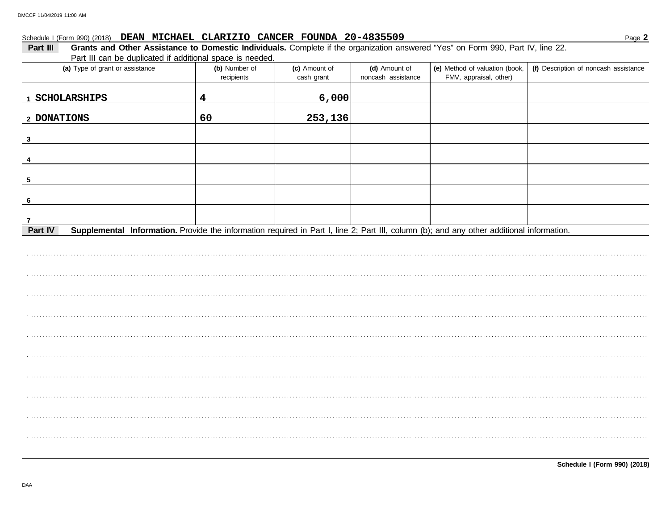### Schedule I (Form 990) (2018) DEAN MICHAEL CLARIZIO CANCER FOUNDA 20-4835509

Grants and Other Assistance to Domestic Individuals. Complete if the organization answered "Yes" on Form 990, Part IV, line 22. Part III

### Part III can be duplicated if additional space is needed.

| (a) Type of grant or assistance                                                                                                                                        | (b) Number of<br>recipients | (c) Amount of<br>cash grant | (d) Amount of<br>noncash assistance | (e) Method of valuation (book,<br>FMV, appraisal, other) | (f) Description of noncash assistance |
|------------------------------------------------------------------------------------------------------------------------------------------------------------------------|-----------------------------|-----------------------------|-------------------------------------|----------------------------------------------------------|---------------------------------------|
| 1 SCHOLARSHIPS                                                                                                                                                         | $\overline{\mathbf{4}}$     | 6,000                       |                                     |                                                          |                                       |
| 2 DONATIONS                                                                                                                                                            | 60                          | 253,136                     |                                     |                                                          |                                       |
| $\mathbf{3}$                                                                                                                                                           |                             |                             |                                     |                                                          |                                       |
| 4                                                                                                                                                                      |                             |                             |                                     |                                                          |                                       |
| -5                                                                                                                                                                     |                             |                             |                                     |                                                          |                                       |
| 6                                                                                                                                                                      |                             |                             |                                     |                                                          |                                       |
|                                                                                                                                                                        |                             |                             |                                     |                                                          |                                       |
| $\overline{7}$<br>Part IV<br>Supplemental Information. Provide the information required in Part I, line 2; Part III, column (b); and any other additional information. |                             |                             |                                     |                                                          |                                       |
|                                                                                                                                                                        |                             |                             |                                     |                                                          |                                       |
|                                                                                                                                                                        |                             |                             |                                     |                                                          |                                       |
|                                                                                                                                                                        |                             |                             |                                     |                                                          |                                       |
|                                                                                                                                                                        |                             |                             |                                     |                                                          |                                       |
|                                                                                                                                                                        |                             |                             |                                     |                                                          |                                       |
|                                                                                                                                                                        |                             |                             |                                     |                                                          |                                       |
|                                                                                                                                                                        |                             |                             |                                     |                                                          |                                       |
|                                                                                                                                                                        |                             |                             |                                     |                                                          |                                       |
|                                                                                                                                                                        |                             |                             |                                     |                                                          |                                       |
|                                                                                                                                                                        |                             |                             |                                     |                                                          |                                       |

Page 2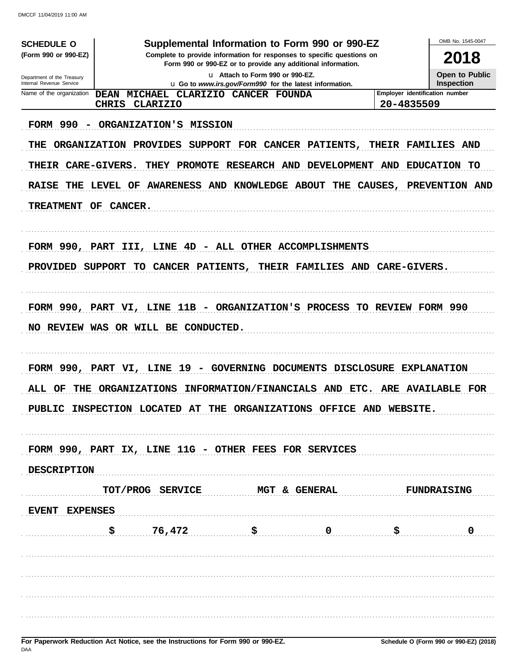| <b>SCHEDULE O</b>                                      |                                                                                                                                        | Supplemental Information to Form 990 or 990-EZ                          |                                      |                                 |            | OMB No. 1545-0047                                   |  |  |
|--------------------------------------------------------|----------------------------------------------------------------------------------------------------------------------------------------|-------------------------------------------------------------------------|--------------------------------------|---------------------------------|------------|-----------------------------------------------------|--|--|
| (Form 990 or 990-EZ)                                   | Complete to provide information for responses to specific questions on<br>Form 990 or 990-EZ or to provide any additional information. |                                                                         |                                      |                                 |            |                                                     |  |  |
| Department of the Treasury<br>Internal Revenue Service | u Attach to Form 990 or 990-EZ.<br>u Go to www.irs.gov/Form990 for the latest information.                                             |                                                                         |                                      |                                 |            |                                                     |  |  |
| Name of the organization                               | <b>DEAN</b>                                                                                                                            | MICHAEL CLARIZIO CANCER FOUNDA                                          |                                      |                                 |            | <b>Inspection</b><br>Employer identification number |  |  |
|                                                        | <b>CHRIS</b>                                                                                                                           | <b>CLARIZIO</b>                                                         |                                      |                                 | 20-4835509 |                                                     |  |  |
| FORM 990 -                                             |                                                                                                                                        | ORGANIZATION'S MISSION                                                  |                                      |                                 |            |                                                     |  |  |
| THE                                                    |                                                                                                                                        | ORGANIZATION PROVIDES                                                   | SUPPORT FOR CANCER PATIENTS,         |                                 |            | THEIR FAMILIES AND                                  |  |  |
| THEIR CARE-GIVERS.                                     |                                                                                                                                        | THEY PROMOTE RESEARCH AND DEVELOPMENT                                   |                                      |                                 | AND        | <b>EDUCATION</b><br>TО                              |  |  |
| <b>RAISE THE</b>                                       |                                                                                                                                        | LEVEL OF AWARENESS AND KNOWLEDGE ABOUT THE CAUSES, PREVENTION AND       |                                      |                                 |            |                                                     |  |  |
| TREATMENT OF CANCER.                                   |                                                                                                                                        |                                                                         |                                      |                                 |            |                                                     |  |  |
|                                                        |                                                                                                                                        |                                                                         |                                      |                                 |            |                                                     |  |  |
|                                                        |                                                                                                                                        | FORM 990, PART III, LINE 4D - ALL OTHER ACCOMPLISHMENTS                 |                                      |                                 |            |                                                     |  |  |
| PROVIDED SUPPORT                                       |                                                                                                                                        | TO CANCER PATIENTS,                                                     |                                      | THEIR FAMILIES AND CARE-GIVERS. |            |                                                     |  |  |
|                                                        |                                                                                                                                        |                                                                         |                                      |                                 |            |                                                     |  |  |
|                                                        |                                                                                                                                        | FORM 990, PART VI, LINE 11B - ORGANIZATION'S PROCESS TO REVIEW FORM 990 |                                      |                                 |            |                                                     |  |  |
|                                                        |                                                                                                                                        |                                                                         |                                      |                                 |            |                                                     |  |  |
|                                                        |                                                                                                                                        | NO REVIEW WAS OR WILL BE CONDUCTED.                                     |                                      |                                 |            |                                                     |  |  |
|                                                        |                                                                                                                                        |                                                                         |                                      |                                 |            |                                                     |  |  |
|                                                        |                                                                                                                                        | FORM 990, PART VI, LINE 19 - GOVERNING DOCUMENTS DISCLOSURE EXPLANATION |                                      |                                 |            |                                                     |  |  |
| ALL OF                                                 |                                                                                                                                        | <b>THE ORGANIZATIONS</b>                                                | INFORMATION/FINANCIALS AND ETC.      |                                 |            | <b>ARE AVAILABLE FOR</b>                            |  |  |
| <b>PITRT.TC</b>                                        |                                                                                                                                        | INSPECTION LOCATED AT                                                   | THE ORGANIZATIONS OFFICE AND WEBSITE |                                 |            |                                                     |  |  |
|                                                        |                                                                                                                                        |                                                                         |                                      |                                 |            |                                                     |  |  |
|                                                        |                                                                                                                                        | FORM 990, PART IX, LINE 11G - OTHER FEES FOR SERVICES                   |                                      |                                 |            |                                                     |  |  |
| <b>DESCRIPTION</b>                                     |                                                                                                                                        |                                                                         |                                      |                                 |            |                                                     |  |  |
|                                                        |                                                                                                                                        | TOT/PROG SERVICE                                                        |                                      | MGT & GENERAL                   |            | <b>FUNDRAISING</b>                                  |  |  |
| EVENT EXPENSES                                         |                                                                                                                                        |                                                                         |                                      |                                 |            |                                                     |  |  |
|                                                        |                                                                                                                                        | 76,472                                                                  | \$                                   | $\mathbf 0$                     | \$         | 0                                                   |  |  |
|                                                        |                                                                                                                                        |                                                                         |                                      |                                 |            |                                                     |  |  |
|                                                        |                                                                                                                                        |                                                                         |                                      |                                 |            |                                                     |  |  |
|                                                        |                                                                                                                                        |                                                                         |                                      |                                 |            |                                                     |  |  |
|                                                        |                                                                                                                                        |                                                                         |                                      |                                 |            |                                                     |  |  |
|                                                        |                                                                                                                                        |                                                                         |                                      |                                 |            |                                                     |  |  |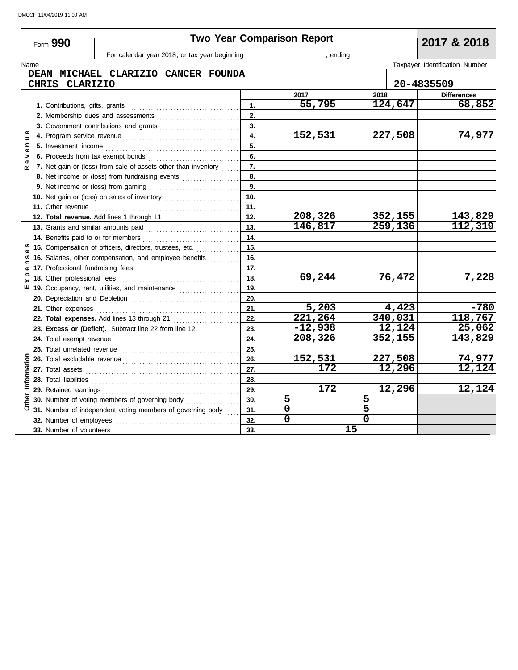### DMCCF 11/04/2019 11:00 AM**Two Year Comparison Report 2017 & 2018** Form **990** For calendar year 2018, or tax year beginning and the set of the set of the set of the set of the set of the set of the set of the set of the set of the set of the set of the set of the set of the set of the set of the set Name Taxpayer Identification Number **DEAN MICHAEL CLARIZIO CANCER FOUNDA CHRIS CLARIZIO 20-4835509 2017 2018 Differences 55,795 124,647 68,852 1. 1.** Contributions, gifts, grants . . . . . . . . . . . . . . . . . . . . . . . . . . . . . . . . . . . . . . . **2. 2.** Membership dues and assessments . . . . . . . . . . . . . . . . . . . . . . . . . . . . . **3. 3.** Government contributions and grants **......................... 152,531 227,508 74,977 R e v e n u e 4. 4.** Program service revenue . . . . . . . . . . . . . . . . . . . . . . . . . . . . . . . . . . . . . . . . . **5. 5.** Investment income . . . . . . . . . . . . . . . . . . . . . . . . . . . . . . . . . . . . . . . . . . . . . . . **6. 6.** Proceeds from tax exempt bonds . . . . . . . . . . . . . . . . . . . . . . . . . . . . . . . . **7. 7.** Net gain or (loss) from sale of assets other than inventory  $\ldots$ **8. 8.** Net income or (loss) from fundraising events .................... **9.** Net income or (loss) from gaming . . . . . . . . . . . . . . . . . . . . . . . . . . . . . . . . **9. 10. 10.** Net gain or (loss) on sales of inventory ............................ **11.** Other revenue . . . . . . . . . . . . . . . . . . . . . . . . . . . . . . . . . . . . . . . . . . . . . . . . . . . . **11. 208,326 352,155 143,829 12. Total revenue.** Add lines 1 through 11 **12. 146,817 259,136 112,319 13.** Grants and similar amounts paid . . . . . . . . . . . . . . . . . . . . . . . . . . . . . . . . . **13. 14. 14.** Benefits paid to or for members . . . . . . . . . . . . . . . . . . . . . . . . . . . . . . . . . . s, **15. E x p e n s e s 15.** Compensation of officers, directors, trustees, etc. . . . . . . . . . . . . . . . pense **16. 16.** Salaries, other compensation, and employee benefits *.........*... **17. 17.** Professional fundraising fees . . . . . . . . . . . . . . . . . . . . . . . . . . . . . . . . . . . . **69,244 76,472 7,228 18. 18.** Other professional fees . . . . . . . . . . . . . . . . . . . . . . . . . . . . . . . . . . . . . . . . . .  $\tilde{E}$  X **19. 19.** Occupancy, rent, utilities, and maintenance *...................*... **20. 20.** Depreciation and Depletion . . . . . . . . . . . . . . . . . . . . . . . . . . . . . . . . . . . . . . . **5,203 4,423 -780 21. 21.** Other expenses . . . . . . . . . . . . . . . . . . . . . . . . . . . . . . . . . . . . . . . . . . . . . . . . . . **221,264 340,031 118,767 22. Total expenses.** Add lines 13 through 21 . . . . . . . . . . . . . . . . . . . . . . . **22. 23. -12,938 12,124 25,062 Excess or (Deficit).** Subtract line 22 from line 12 **23. 208,326 352,155 143,829 24. 24.** Total exempt revenue . . . . . . . . . . . . . . . . . . . . . . . . . . . . . . . . . . . . . . . . . . **25. 25.** Total unrelated revenue . . . . . . . . . . . . . . . . . . . . . . . . . . . . . . . . . . . . . . . . . . Information **152,531 227,508 74,977 Other Information 26.** Total excludable revenue . . . . . . . . . . . . . . . . . . . . . . . . . . . . . . . . . . . . . . . . . **26. 27.** Total assets **172 12,296 12,124 27.** Total liabilities . . . . . . . . . . . . . . . . . . . . . . . . . . . . . . . . . . . . . . . . . . . . . . . . . . . . **28. 28. 172 12,296 12,124** Retained earnings . . . . . . . . . . . . . . . . . . . . . . . . . . . . . . . . . . . . . . . . . . . . . . . . **29. 29.** Other **30.** Number of voting members of governing body ................... **5 5 30. 31. 0 5 31.** Number of independent voting members of governing body  $\ldots$ **32.** Number of employees . . . . . . . . . . . . . . . . . . . . . . . . . . . . . . . . . . . . . . . . . . . . **0 0 32.**

**15**

**33.** Number of volunteers **33.**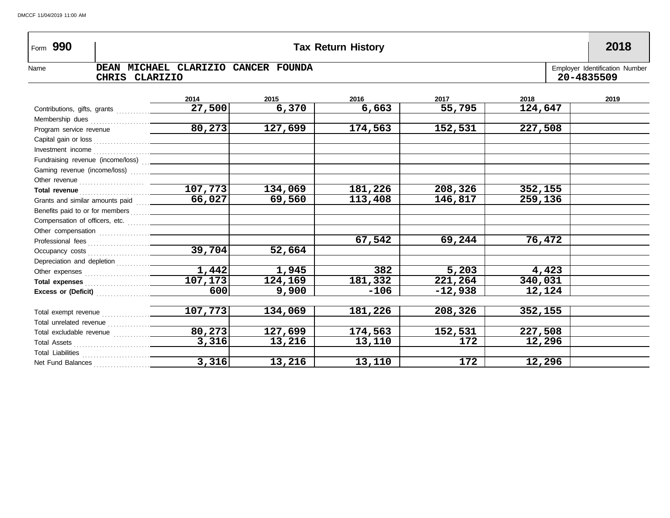| Form 990                                                                                                                                                                                                                            |                                                   |         | <b>Tax Return History</b> |           |         | 2018                                         |
|-------------------------------------------------------------------------------------------------------------------------------------------------------------------------------------------------------------------------------------|---------------------------------------------------|---------|---------------------------|-----------|---------|----------------------------------------------|
| <b>DEAN</b><br>Name<br><b>CHRIS</b>                                                                                                                                                                                                 | MICHAEL CLARIZIO CANCER FOUNDA<br><b>CLARIZIO</b> |         |                           |           |         | Employer Identification Number<br>20-4835509 |
|                                                                                                                                                                                                                                     |                                                   |         |                           |           |         |                                              |
|                                                                                                                                                                                                                                     | 2014                                              | 2015    | 2016                      | 2017      | 2018    | 2019                                         |
|                                                                                                                                                                                                                                     | 27,500                                            | 6,370   | 6,663                     | 55,795    | 124,647 |                                              |
|                                                                                                                                                                                                                                     | 80,273                                            | 127,699 |                           |           |         |                                              |
| Program service revenue                                                                                                                                                                                                             |                                                   |         | 174,563                   | 152,531   | 227,508 |                                              |
|                                                                                                                                                                                                                                     |                                                   |         |                           |           |         |                                              |
|                                                                                                                                                                                                                                     |                                                   |         |                           |           |         |                                              |
| Fundraising revenue (income/loss)  _____________                                                                                                                                                                                    |                                                   |         |                           |           |         |                                              |
|                                                                                                                                                                                                                                     |                                                   |         |                           |           |         |                                              |
|                                                                                                                                                                                                                                     | 107,773                                           | 134,069 | 181,226                   | 208,326   | 352,155 |                                              |
|                                                                                                                                                                                                                                     | 66,027                                            | 69,560  | 113,408                   | 146,817   | 259,136 |                                              |
|                                                                                                                                                                                                                                     |                                                   |         |                           |           |         |                                              |
|                                                                                                                                                                                                                                     |                                                   |         |                           |           |         |                                              |
|                                                                                                                                                                                                                                     |                                                   |         |                           |           |         |                                              |
|                                                                                                                                                                                                                                     |                                                   |         | 67,542                    | 69,244    | 76,472  |                                              |
|                                                                                                                                                                                                                                     | 39,704                                            | 52,664  |                           |           |         |                                              |
|                                                                                                                                                                                                                                     |                                                   |         |                           |           |         |                                              |
|                                                                                                                                                                                                                                     | 1,442                                             | 1,945   | 382                       | 5,203     | 4,423   |                                              |
|                                                                                                                                                                                                                                     | 107,173                                           | 124,169 | 181,332                   | 221,264   | 340,031 |                                              |
|                                                                                                                                                                                                                                     | 600                                               | 9,900   | $-106$                    | $-12,938$ | 12,124  |                                              |
|                                                                                                                                                                                                                                     |                                                   |         |                           |           |         |                                              |
| Total exempt revenue <i>manual</i> contains a series and a series of the series and a series of the series of the series of the series of the series of the series of the series of the series of the series of the series of the s | 107,773                                           | 134,069 | 181,226                   | 208,326   | 352,155 |                                              |
|                                                                                                                                                                                                                                     |                                                   |         |                           |           |         |                                              |
|                                                                                                                                                                                                                                     | 80,273                                            | 127,699 | 174,563                   | 152,531   | 227,508 |                                              |
|                                                                                                                                                                                                                                     | 3,316                                             | 13,216  | 13,110                    | 172       | 12,296  |                                              |
|                                                                                                                                                                                                                                     |                                                   |         |                           |           |         |                                              |
| Net Fund Balances                                                                                                                                                                                                                   | 3,316                                             | 13,216  | 13,110                    | 172       | 12,296  |                                              |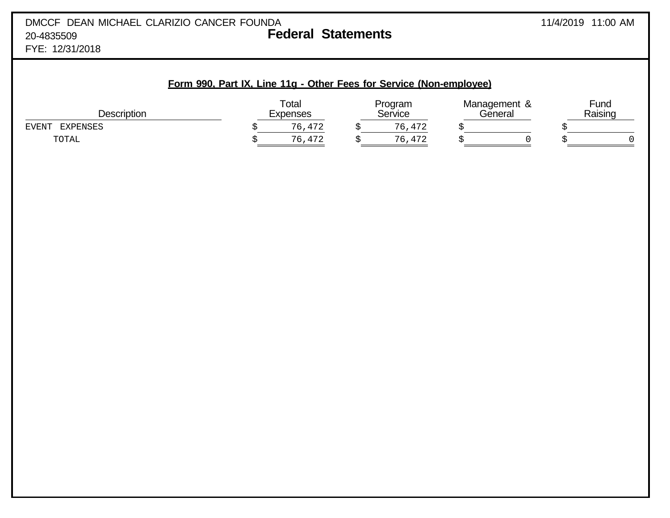# DMCCF DEAN MICHAEL CLARIZIO CANCER FOUNDA 11/4/2019 11:00 AM 20-4835509 **Federal Statements** FYE: 12/31/2018 **Form 990, Part IX, Line 11g - Other Fees for Service (Non-employee)**

| <b>Description</b> | Total<br>∟xpenses | Program<br>Service | Management &<br>Seneral <sup>-</sup> | - | ⊢und<br>Raising |
|--------------------|-------------------|--------------------|--------------------------------------|---|-----------------|
| EXPENSES<br>EVENT  | 76,472            | 472<br>76.         |                                      |   |                 |
| TOTAL              | 76,472            | .472<br>76.        |                                      |   |                 |